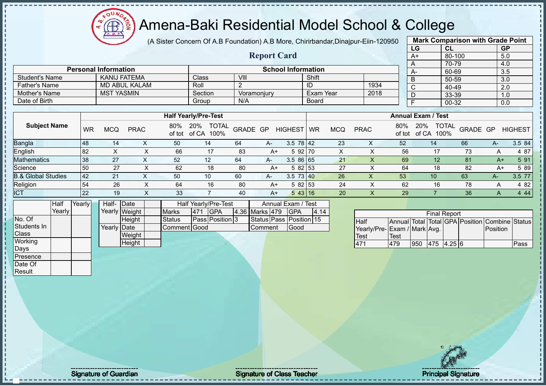(A Sister Concern Of A.B Foundation) A.B More, Chirirbandar,Dinajpur-Eiin-120950 **Report Card**

|              | <b>Mark Comparison with Grade Point</b> |                  |
|--------------|-----------------------------------------|------------------|
| LG           | <b>CL</b>                               | <b>GP</b>        |
| $A+$         | 80-100                                  | 5.0              |
| A            | 70-79                                   | 4.0              |
| A-           | 60-69                                   | $3.\overline{5}$ |
| B            | 50-59                                   | 3.0              |
| $\mathsf{C}$ | 40-49                                   | 2.0              |
| D            | 33-39                                   | 1.0              |
|              | 00-32                                   | 0.0              |
|              |                                         |                  |

|                       |                             |         | $\mathbf{A}$ |                           |      | .    | <b>00 I UU</b> |
|-----------------------|-----------------------------|---------|--------------|---------------------------|------|------|----------------|
|                       |                             |         |              |                           |      |      | 70-79          |
|                       | <b>Personal Information</b> |         |              | <b>School Information</b> |      | $A-$ | 60-69          |
| <b>Student's Name</b> | KANIJ FATEMA                | Class.  | VIII         | Shift                     |      |      | 50-59          |
| Father's Name         | MD ABUL KALAM               | Roll    |              |                           | 1934 |      | 40-49          |
| Mother's Name         | <b>MST YASMIN</b>           | Section | Voramonjury  | Exam Year                 | 2018 | IJ   | 33-39          |
| Date of Birth         |                             | Group   | N/A          | <b>Board</b>              |      |      | 00-32          |

|                               |    |            |             |     | <b>Half Yearly/Pre-Test</b>                 |          |      |                 |           |     |             |               | <b>Annual Exam / Test</b>            |                 |      |                |
|-------------------------------|----|------------|-------------|-----|---------------------------------------------|----------|------|-----------------|-----------|-----|-------------|---------------|--------------------------------------|-----------------|------|----------------|
| <b>Subject Name</b>           | WR | <b>MCQ</b> | <b>PRAC</b> | 80% | <b>TOTAL</b><br>20%<br>of tot of CA<br>100% | GRADE GP |      | <b>HIGHEST</b>  | <b>WR</b> | MCQ | <b>PRAC</b> | 80%<br>of tot | <b>TOTAL</b><br>20%<br>of CA<br>100% | GRADE GP        |      | <b>HIGHEST</b> |
| <b>Bangla</b>                 | 48 | 14         |             | 50  | 14                                          | 64       | A-   | $3.5 \ 78 \ 42$ |           | 23  | X           | 52            | 14                                   | 66              | $A-$ | 3.5 84         |
| English                       | 82 |            |             | 66  | 17                                          | 83       | $A+$ | 5 92 70         |           | X   |             | 56            | 17                                   | 73              | A    | 4 87           |
| Mathematics                   | 38 | 27         |             | 52  | 12                                          | 64       | $A-$ | 3.586165        |           | 21  |             | 69            | 12                                   | 81              | A+   | 5 91           |
| Science                       | 50 | 27         |             | 62  | 18                                          | -80      | A+   | 5 82 53         |           | 27  |             | 64            | 18                                   | 82              | A+   | 5 89           |
| <b>B.&amp; Global Studies</b> | 42 | 21         |             | 50  | 10                                          | 60       | A-   | $3.5$ 73 40     |           | 26  | $\Lambda$   | 53            | 10 <sup>°</sup>                      | 63              | $A-$ | 3.5 77         |
| Religion                      | 54 | 26         |             | 64  | 16                                          | -80      | $A+$ | 5 82 53         |           | 24  |             | 62            | 16                                   | 78              | A    | 4 8 2          |
| <b>ICT</b>                    | 22 | 19         |             | 33  |                                             | 40       | A+   | 543 16          |           | 20  | ∧           | 29            |                                      | 36 <sub>1</sub> | A    | 4 4 4          |

|                  | Half     | Yearly | Half- Date  |               |               |     | Half Yearly/Pre-Test   |                | Annual Exam / Test      |      |
|------------------|----------|--------|-------------|---------------|---------------|-----|------------------------|----------------|-------------------------|------|
|                  | Yearlv l |        |             | Yearly Weight | <b>Marks</b>  | 471 | <b>IGPA</b>            | 4.36 Marks 479 | <b>IGPA</b>             | 4.14 |
| No. Of           |          |        |             | <b>Height</b> | <b>Status</b> |     | <b>Pass Position 3</b> |                | Status Pass Position 15 |      |
| Students In      |          |        | Yearly Date |               | Comment Good  |     |                        | Comment        | <b>IGood</b>            |      |
| <b>Class</b>     |          |        |             | Weight        |               |     |                        |                |                         |      |
| Working          |          |        |             | Height        |               |     |                        |                |                         |      |
| Days             |          |        |             |               |               |     |                        |                |                         |      |
| <b>IPresence</b> |          |        |             |               |               |     |                        |                |                         |      |

|                             |      |     | <b>Final Report</b> |  |                                                |      |
|-----------------------------|------|-----|---------------------|--|------------------------------------------------|------|
| <b>Half</b>                 |      |     |                     |  | Annual Total Total GPA Position Combine Status |      |
| Yearly/Pre-Exam / Mark Avg. |      |     |                     |  | Position                                       |      |
| Test                        | Test |     |                     |  |                                                |      |
|                             | 479  | 950 | 475 4.25 6          |  |                                                | Pass |

Date Of Result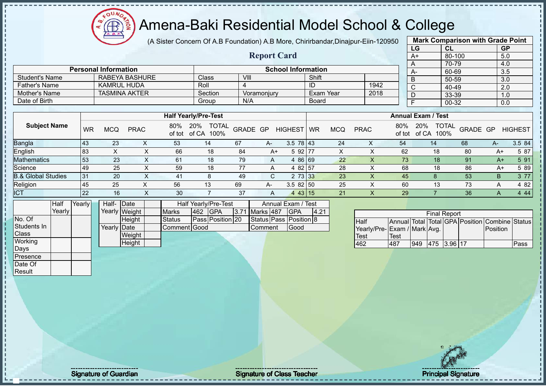FOUND

# $\left(\sqrt[2^n]{\bigoplus_{i=1}^{n}^2}\right)$ Amena-Baki Residential Model School & College

|                               |           |                             |                       |               | (A Sister Concern Of A.B Foundation) A.B More, Chirirbandar, Dinajpur-Eiin-120950 |          |                    |                           |                  |             |                             |             |                           | <b>Mark Comparison with Grade Point</b>        |          |                  |                |
|-------------------------------|-----------|-----------------------------|-----------------------|---------------|-----------------------------------------------------------------------------------|----------|--------------------|---------------------------|------------------|-------------|-----------------------------|-------------|---------------------------|------------------------------------------------|----------|------------------|----------------|
|                               |           |                             |                       |               |                                                                                   |          |                    |                           |                  |             |                             |             | LG                        | CL                                             |          | GP               |                |
|                               |           |                             |                       |               |                                                                                   |          | <b>Report Card</b> |                           |                  |             |                             |             | $A+$                      | 80-100                                         |          | 5.0              |                |
|                               |           |                             |                       |               |                                                                                   |          |                    |                           |                  |             |                             |             | A                         | 70-79                                          |          | 4.0              |                |
|                               |           | <b>Personal Information</b> |                       |               |                                                                                   |          |                    | <b>School Information</b> |                  |             |                             |             | A-                        | 60-69                                          |          | 3.5              |                |
| <b>Student's Name</b>         |           |                             | <b>RABEYA BASHURE</b> |               | Class                                                                             | VIII     |                    |                           | Shift            |             |                             |             | B                         | 50-59                                          |          | $\overline{3.0}$ |                |
| <b>Father's Name</b>          |           | <b>KAMRUL HUDA</b>          |                       |               | Roll                                                                              | 4        |                    |                           | ID               |             | 1942                        |             | $\overline{C}$            | 40-49                                          |          | $\overline{2.0}$ |                |
| Mother's Name                 |           |                             | <b>TASMINA AKTER</b>  |               | Section                                                                           |          | Voramonjury        |                           | <b>Exam Year</b> |             | 2018                        |             | D                         | 33-39                                          |          | 1.0              |                |
| Date of Birth                 |           |                             |                       |               | Group                                                                             | N/A      |                    |                           | <b>Board</b>     |             |                             |             | Ŧ                         | 00-32                                          |          | 0.0              |                |
|                               |           |                             |                       |               |                                                                                   |          |                    |                           |                  |             |                             |             |                           |                                                |          |                  |                |
|                               |           |                             |                       |               | <b>Half Yearly/Pre-Test</b>                                                       |          |                    |                           |                  |             |                             |             | <b>Annual Exam / Test</b> |                                                |          |                  |                |
| <b>Subject Name</b>           | <b>WR</b> | <b>MCQ</b>                  | <b>PRAC</b>           | 80%           | 20%<br>TOTAL<br>of tot of CA 100%                                                 | GRADE GP |                    | <b>HIGHEST</b>            | <b>WR</b>        | <b>MCQ</b>  | <b>PRAC</b>                 | 80%         | 20%                       | TOTAL<br>of tot of CA 100%                     | GRADE GP |                  | <b>HIGHEST</b> |
| Bangla                        | 43        | 23                          | X                     | 53            | 14                                                                                | 67       | A-                 | $3.5 \ 78 \ 43$           |                  | 24          | X                           | 54          |                           | 14                                             | 68       | A-               | 3.5 84         |
| English                       | 83        | $\pmb{\times}$              | $\pmb{\times}$        | 66            | 18                                                                                | 84       | $A+$               | 5 92 77                   |                  | $\mathsf X$ | $\mathsf{X}$                | 62          |                           | 18                                             | 80       | $A+$             | 5 87           |
| <b>Mathematics</b>            | 53        | 23                          | X                     | 61            | 18                                                                                | 79       | A                  | 4 86 69                   |                  | 22          | X                           | 73          |                           | 18                                             | 91       | $A+$             | 5 91           |
| Science                       | 49        | 25                          | X                     | 59            | 18                                                                                | 77       | A                  | 4 82 57                   |                  | 28          | X                           | 68          |                           | 18                                             | 86       | A+               | 5 89           |
| <b>B.&amp; Global Studies</b> | 31        | 20                          | $\mathsf{x}$          | 41            | 8                                                                                 | 49       | $\mathsf{C}$       | 2 73 33                   |                  | 23          | $\mathsf X$                 | 45          |                           | 8                                              | 53       | B                | 3 77           |
| Religion                      | 45        | 25                          | $\mathsf{X}$          | 56            | 13                                                                                | 69       | A-                 | $3.582$ 50                |                  | 25          | $\times$                    | 60          |                           | 13                                             | 73       | Α                | 4 8 2          |
| <b>ICT</b>                    | 22        | 16                          | $\mathsf{X}$          | 30            | $\overline{7}$                                                                    | 37       | A                  | 4 43 15                   |                  | 21          | $\boldsymbol{\mathsf{X}}$   | 29          |                           | $\overline{7}$                                 | 36       | A                | 4 4 4          |
| Half                          | Yearly    | Half- Date                  |                       |               | Half Yearly/Pre-Test                                                              |          |                    | Annual Exam / Test        |                  |             |                             |             |                           |                                                |          |                  |                |
| Yearly                        |           | Yearly Weight               |                       | <b>Marks</b>  | 462<br><b>GPA</b>                                                                 | 3.71     | Marks 487          | <b>GPA</b>                | 4.21             |             |                             |             |                           | <b>Final Report</b>                            |          |                  |                |
| No. Of                        |           |                             | Height                | <b>Status</b> | Pass Position 20                                                                  |          |                    | Status Pass Position 8    |                  |             | <b>Half</b>                 |             |                           | Annual Total Total GPA Position Combine Status |          |                  |                |
| Students In                   |           | Yearly Date                 |                       | Comment Good  |                                                                                   |          | Comment            | Good                      |                  |             | Yearly/Pre-Exam / Mark Avg. |             |                           |                                                |          | Position         |                |
| Class                         |           |                             | Weight                |               |                                                                                   |          |                    |                           |                  |             | <b>Test</b>                 | <b>Test</b> |                           |                                                |          |                  |                |
| Working                       |           |                             | Height                |               |                                                                                   |          |                    |                           |                  |             | 462                         | 487         |                           | 949 475 3.96 17                                |          |                  | Pass           |
| Days                          |           |                             |                       |               |                                                                                   |          |                    |                           |                  |             |                             |             |                           |                                                |          |                  |                |
| Presence                      |           |                             |                       |               |                                                                                   |          |                    |                           |                  |             |                             |             |                           |                                                |          |                  |                |
| Date Of                       |           |                             |                       |               |                                                                                   |          |                    |                           |                  |             |                             |             |                           |                                                |          |                  |                |
| Result                        |           |                             |                       |               |                                                                                   |          |                    |                           |                  |             |                             |             |                           |                                                |          |                  |                |
|                               |           |                             |                       |               |                                                                                   |          |                    |                           |                  |             |                             |             |                           |                                                |          |                  |                |
|                               |           |                             |                       |               |                                                                                   |          |                    |                           |                  |             |                             |             |                           |                                                |          |                  |                |
|                               |           |                             |                       |               |                                                                                   |          |                    |                           |                  |             |                             |             |                           |                                                |          |                  |                |
|                               |           |                             |                       |               |                                                                                   |          |                    |                           |                  |             |                             |             |                           |                                                |          |                  |                |

л

Signature of Guardian Signature of Class Teacher

**Principal Signature**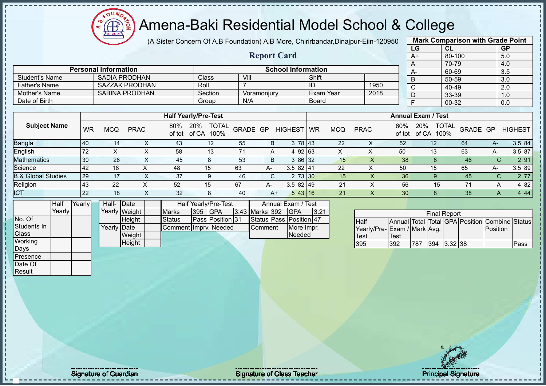oυ **AR** 

#### Amena-Baki Residential Model School & College

(A Sister Concern Of A.B Foundation) A.B More, Chirirbandar,Dinajpur-Eiin-120950

**Report Card**

|      | <b>Mark Comparison with Grade Point</b> |           |
|------|-----------------------------------------|-----------|
| LG   | <b>CL</b>                               | <b>GP</b> |
| $A+$ | 80-100                                  | 5.0       |
|      | 70-79                                   | 4.0       |
| А-   | 60-69                                   | 3.5       |
| B    | 50-59                                   | 3.0       |
| Ć    | 40-49                                   | 2.0       |
|      | 33-39                                   | 1.0       |
|      | 00-32                                   | 0.0       |
|      |                                         |           |

| <b>Student's Name</b> |           |            | <b>SADIA PRODHAN</b>  |     | <b>Class</b>                                  | VIII |             |                | Shift        |            |             |     | -B                        | 50-59         |          |      | 3.0            |
|-----------------------|-----------|------------|-----------------------|-----|-----------------------------------------------|------|-------------|----------------|--------------|------------|-------------|-----|---------------------------|---------------|----------|------|----------------|
| Father's Name         |           |            | SAZZAK PRODHAN        |     | Roll                                          |      |             |                |              |            | 1950        |     | $\sim$                    | 40-49         |          |      | 2.0            |
| Mother's Name         |           |            | <b>SABINA PRODHAN</b> |     | Section                                       |      | Voramonjury |                |              | Exam Year  | 2018        |     | D                         | 33-39         |          |      | 1.0            |
| Date of Birth         |           |            |                       |     | Group                                         | N/A  |             |                | <b>Board</b> |            |             |     |                           | 00-32         |          |      | 0.0            |
|                       |           |            |                       |     |                                               |      |             |                |              |            |             |     |                           |               |          |      |                |
|                       |           |            |                       |     | <b>Half Yearly/Pre-Test</b>                   |      |             |                |              |            |             |     | <b>Annual Exam / Test</b> |               |          |      |                |
| <b>Subject Name</b>   | <b>WR</b> | <b>MCQ</b> | <b>PRAC</b>           | 80% | TOTAL GRADE GP<br>20%<br>of tot of CA<br>100% |      |             | <b>HIGHEST</b> | <b>WR</b>    | <b>MCQ</b> | <b>PRAC</b> | 80% | 20%<br>of tot of CA       | TOTAL<br>100% | GRADE GP |      | <b>HIGHEST</b> |
| Bangla                | <b>40</b> | 14         | X                     | 43  | 12                                            | 55   | B           | 3              | 78 43        | 22         | ⌒           | 52  |                           | 12            | 64       | $A-$ | 3.5 84         |
| English               | 72        |            | X                     | 58  | 13                                            | 71   | A           | 4 92 63        |              | X          |             | 50  |                           | 13            | 63       | A-   | 3.5 87         |
| <b>Mathematics</b>    | 30        | 26         |                       | 45  |                                               | 53   | B           | 3              | 86 32        | 15         |             | 38  |                           |               | 46       |      | 2 91           |

| Vlathematics                  | l 30               | oc<br>م∠        | 40 | vu | 86132<br>ີ                                       | ∪ו           | 38        |    | 40                  | O1.         |
|-------------------------------|--------------------|-----------------|----|----|--------------------------------------------------|--------------|-----------|----|---------------------|-------------|
| Science                       | $\Delta$<br>$\tau$ |                 | 48 | ხა | $\sim$ $\sim$<br>$82 \, 14^{\circ}$<br>ィト<br>◡.◡ | $\sim$<br>-- | . 50      | ∪ו | $\sim$ $\sim$<br>65 | 3.5<br>89 l |
| <b>3.&amp; Global Studies</b> | 29                 |                 |    |    | 3130<br>$\sim$                                   |              | ახ        |    |                     |             |
| Religion                      | $\sqrt{2}$<br>43   | oc<br><u>__</u> | よつ |    | $3.582$  49                                      | <u>_</u>     | E C<br>ჂႩ |    |                     | ററ          |
| $\sim$ $\sim$                 | 22                 |                 | ັ້ | 41 | -<br>43116<br>◡                                  |              |           |    | 38                  | 44          |

|              | Half   | Yearly | Half- Date  |               |                       |                | <b>Half Yearly/Pre-Test</b> |                | Annual Exam / Test      |      |
|--------------|--------|--------|-------------|---------------|-----------------------|----------------|-----------------------------|----------------|-------------------------|------|
|              | Yearlv |        |             | Yearly Weight | <b>Marks</b>          | <b>395 GPA</b> |                             | 3.43 Marks 392 | IGPA                    | 3.21 |
| No. Of       |        |        |             | <b>Height</b> | <b>Status</b>         |                | <b>Pass Position 31</b>     |                | Status Pass Position 47 |      |
| Students In  |        |        | Yearly Date |               | Comment Imprv. Needed |                |                             | Comment        | More Impr.              |      |
| <b>Class</b> |        |        |             | Weight        |                       |                |                             |                | Needed                  |      |
| Working      |        |        |             | Height        |                       |                |                             |                |                         |      |
| Days         |        |        |             |               |                       |                |                             |                |                         |      |

**Personal Information**<br> **School Information**<br> **School Information**<br> **School Information**<br> **School Information** 

|                             |      |     | <b>Final Report</b> |           |                                                |      |
|-----------------------------|------|-----|---------------------|-----------|------------------------------------------------|------|
| <b>I</b> Half               |      |     |                     |           | Annual Total Total GPA Position Combine Status |      |
| Yearly/Pre-Exam / Mark Avg. |      |     |                     |           | <b>IPosition</b>                               |      |
| Test                        | Test |     |                     |           |                                                |      |
| <b>395</b>                  | 392  | 787 | 394                 | $3.32$ 38 |                                                | Pass |



Presence Date Of **Result** 

Signature of Guardian Signature Signature of Class Teacher National Signature Principal Signature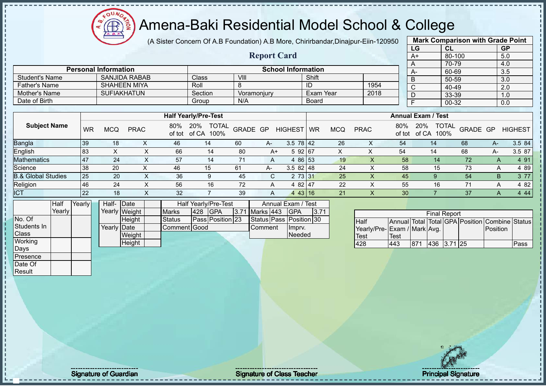Æ

# Amena-Baki Residential Model School & College

(A Sister Concern Of A.B Foundation) A.B More, Chirirbandar,Dinajpur-Eiin-120950

**Report Card**

|                   | <b>Mark Comparison with Grade Point</b> |           |  |  |  |  |  |  |  |
|-------------------|-----------------------------------------|-----------|--|--|--|--|--|--|--|
| LG                | CL                                      | <b>GP</b> |  |  |  |  |  |  |  |
| $\overline{A+}$   | 80-100                                  | 5.0       |  |  |  |  |  |  |  |
| 70-79<br>4.0<br>A |                                         |           |  |  |  |  |  |  |  |
| A-                | 60-69                                   | 3.5       |  |  |  |  |  |  |  |
| B                 | 50-59                                   | 3.0       |  |  |  |  |  |  |  |
| $\overline{C}$    | 40-49                                   | 2.0       |  |  |  |  |  |  |  |
| D                 | 33-39                                   | 1.0       |  |  |  |  |  |  |  |
| F<br>00-32<br>0.0 |                                         |           |  |  |  |  |  |  |  |
|                   |                                         |           |  |  |  |  |  |  |  |

| Date of Birth                 |           |            |             |     | Group                                    | N/A      |    |                 | <b>Board</b> |            |             |               |                           | $\sim$ $\sim$ $\sim$<br>00-32 |          |      | $\cdot\cdot\cdot$<br>0.0 |
|-------------------------------|-----------|------------|-------------|-----|------------------------------------------|----------|----|-----------------|--------------|------------|-------------|---------------|---------------------------|-------------------------------|----------|------|--------------------------|
|                               |           |            |             |     |                                          |          |    |                 |              |            |             |               |                           |                               |          |      |                          |
|                               |           |            |             |     | <b>Half Yearly/Pre-Test</b>              |          |    |                 |              |            |             |               | <b>Annual Exam / Test</b> |                               |          |      |                          |
| <b>Subject Name</b>           | <b>WR</b> | <b>MCQ</b> | <b>PRAC</b> | 80% | <b>TOTAL</b><br>20%<br>of tot of CA 100% | GRADE GP |    | <b>HIGHEST</b>  | <b>WR</b>    | <b>MCQ</b> | <b>PRAC</b> | 80%<br>of tot | 20%<br>of CA              | <b>TOTAL</b><br>100%          | GRADE GP |      | <b>HIGHEST</b>           |
| <b>Bangla</b>                 | 39        | 18         |             | 46  | 14                                       | 60       | A- | $3.5 \ 78 \ 42$ |              | 26         | х           | 54            |                           | 14                            | 68       | $A-$ | 3.5 84                   |
| English                       | 83        |            |             | 66  | 14                                       | 80       | A+ | 5 92 67         |              |            |             | 54            |                           | 14                            | 68       | A-   | 3.5 87                   |
| <b>Mathematics</b>            | 147       | 24         | $\lambda$   | 57  | 14                                       | 71       | A  | 4 86 53         |              | 19         |             | 58            |                           | 14                            | 72       | A    | 4 9 1                    |
| Science                       | 38        | 20         |             | 46  | 15                                       | 61       | A- | $3.582$   48    |              | 24         |             | 58            |                           | 15                            | 73       | A    | 4 8 9                    |
| <b>B.&amp; Global Studies</b> | 25        | 20         | x           | 36  | 9                                        | 45       | C. | 2 73 31         |              | 25         |             | 45            |                           |                               | 54       | B.   | 3 7 7                    |
| Religion                      | 46        | 24         | ⋏           | 56  | 16                                       | 72       | A  | 4 82 47         |              | 22         |             | 55            |                           | 16                            | 71       | A    | 4 8 2                    |
| <b>ICT</b>                    | 22        | 18         |             | 32  |                                          | 39       | A  | 443 16          |              | 21         |             | 30            |                           |                               | 37       | A    | 4 4 4                    |

|              | Half   | Yearlv <b>I</b> | Half-                | <b>IDate</b>  |                      | Half Yearly/Pre-Test |                  | Annual Exam / Test |                         |       |
|--------------|--------|-----------------|----------------------|---------------|----------------------|----------------------|------------------|--------------------|-------------------------|-------|
|              | Yearly |                 |                      | Yearly Weight | <b>Marks</b>         | 1428                 | IGPA             | 3.71 Marks 443     | IGPA                    | 13.71 |
| No. Of       |        |                 |                      | <b>Height</b> | Status               |                      | Pass Position 23 |                    | Status Pass Position 30 |       |
| Students In  |        |                 | Yearlv <b>I</b> Date |               | <b>IComment Good</b> |                      |                  | <b>Comment</b>     | Impry.                  |       |
| <b>Class</b> |        |                 |                      | Weight        |                      |                      |                  |                    | Needed                  |       |
| Working      |        |                 |                      | Height        |                      |                      |                  |                    |                         |       |
| Days         |        |                 |                      |               |                      |                      |                  |                    |                         |       |

**Personal Information School Information** 

Father's Name SHAHEEN MIYA Roll 8 | ID 1954<br>
Mother's Name SUFIAKHATUN Section Voramonjury Exam Year 2018

Student's Name SANJIDA RABAB Class VIII Shift<br>
Father's Name SHAHEEN MIYA Roll 8 ID

Mother's Name SUFIAKHATUN Section Voramonjury Exam Year

|                             |      |     | <b>Final Report</b> |  |                                                |      |
|-----------------------------|------|-----|---------------------|--|------------------------------------------------|------|
| <b>Half</b>                 |      |     |                     |  | Annual Total Total GPA Position Combine Status |      |
| Yearly/Pre-Exam / Mark Avg. |      |     |                     |  | Position                                       |      |
| <b>Test</b>                 | Test |     |                     |  |                                                |      |
| 428                         | 443  | 871 | 436 3.71 25         |  |                                                | Pass |

Presence Date Of **Result** 

Signature of Guardian Signature Signature of Class Teacher Principal Signature Principal Signature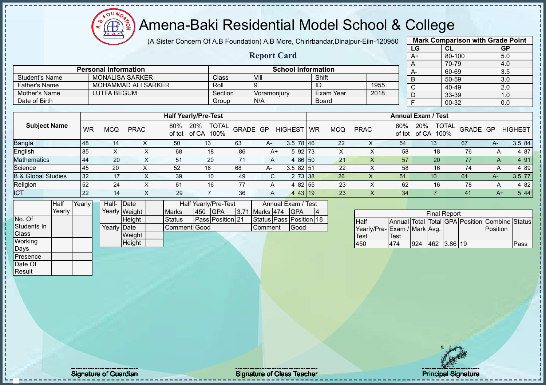(A Sister Concern Of A.B Foundation) A.B More, Chirirbandar,Dinajpur-Eiin-120950 **Mark Comparison with Grade Point**

|                               |                |           |                             |               |                | (A Sister Concentr Of A.D Foundation) A.D More, Chimbangan,Dinapur-Lilli-TZ0950 |         |                    |                                  |           |            |                              |                           |     | $m$ an, Johnpanovn with Jiaac I omt            |          |                 |                |
|-------------------------------|----------------|-----------|-----------------------------|---------------|----------------|---------------------------------------------------------------------------------|---------|--------------------|----------------------------------|-----------|------------|------------------------------|---------------------------|-----|------------------------------------------------|----------|-----------------|----------------|
|                               |                |           |                             |               |                |                                                                                 |         |                    |                                  |           |            |                              |                           | LG  | CL                                             |          |                 | <b>GP</b>      |
|                               |                |           |                             |               |                |                                                                                 |         | <b>Report Card</b> |                                  |           |            |                              |                           | A+  | 80-100                                         |          |                 | 5.0            |
|                               |                |           |                             |               |                |                                                                                 |         |                    |                                  |           |            |                              |                           | A   | 70-79                                          |          |                 | 4.0            |
|                               |                |           | <b>Personal Information</b> |               |                |                                                                                 |         |                    | <b>School Information</b>        |           |            |                              |                           | A-  | 60-69                                          |          |                 | 3.5            |
| <b>Student's Name</b>         |                |           | <b>MONALISA SARKER</b>      |               |                | Class                                                                           |         | VIII               |                                  | Shift     |            |                              |                           | B   | 50-59                                          |          |                 | 3.0            |
| <b>Father's Name</b>          |                |           | <b>MOHAMMAD ALI SARKER</b>  |               |                | Roll                                                                            |         | 9                  |                                  | ID        |            | 1955                         |                           | C   | 40-49                                          |          |                 | 2.0            |
| Mother's Name                 |                |           | <b>LUTFA BEGUM</b>          |               |                |                                                                                 | Section | Voramonjury        |                                  |           | Exam Year  | 2018                         |                           | D   | 33-39                                          |          |                 | 1.0            |
| Date of Birth                 |                |           |                             |               |                | Group                                                                           |         | N/A                |                                  |           | Board      |                              |                           | F   | 00-32                                          |          |                 | 0.0            |
|                               |                |           |                             |               |                |                                                                                 |         |                    |                                  |           |            |                              |                           |     |                                                |          |                 |                |
|                               |                |           | <b>Half Yearly/Pre-Test</b> |               |                |                                                                                 |         |                    |                                  |           |            |                              | <b>Annual Exam / Test</b> |     |                                                |          |                 |                |
| <b>Subject Name</b>           |                | <b>WR</b> | <b>MCQ</b>                  | <b>PRAC</b>   | 80%<br>of tot  | 20%<br><b>TOTAL</b><br>of CA<br>100%                                            |         | GRADE GP           | <b>HIGHEST</b>                   | <b>WR</b> | <b>MCQ</b> | <b>PRAC</b>                  | 80%<br>of tot             | 20% | <b>TOTAL</b><br>of CA 100%                     | GRADE GP |                 | <b>HIGHEST</b> |
| Bangla                        |                | 48        | 14                          |               | $\times$<br>50 | 13                                                                              | 63      | A-                 | $3.5 \ 78 \ 46$                  |           | 22         | X                            | 54                        |     | 13                                             | 67       | $A-$            | 3.5 84         |
| English                       |                | 85        | X                           |               | X<br>68        | 18                                                                              | 86      | $A+$               | 5 92 73                          |           | X          | X                            | 58                        |     | 18                                             | 76       | A               | 4 87           |
| Mathematics                   |                | 44        | 20                          |               | X<br>51        | 20                                                                              | 71      | A                  | 4 86 50                          |           | 21         | X                            | 57                        |     | 20                                             | 77       | A               | 4 9 1          |
| Science                       |                | 45        | 20                          |               | X<br>52        | 16                                                                              | 68      | A-                 | $3.582$ 51                       |           | 22         | X                            | 58                        |     | 16                                             | 74       | Α               | 4 8 9          |
| <b>B.&amp; Global Studies</b> |                | 32        | 17                          |               | Χ<br>39        | 10                                                                              | 49      | C                  | $2 \t73 \t38$                    |           | 26         | X                            | 51                        |     | 10 <sup>°</sup>                                | 61       | $A-$            | 3.5 77         |
| Religion                      |                | 52        | 24                          |               | X<br>61        | 16                                                                              | 77      | A                  | 4 82 55                          |           | 23         | X                            | 62                        |     | 16                                             | 78       | A               | 4 8 2          |
| <b>ICT</b>                    |                | 22        | 14                          |               | X<br>29        | $\overline{7}$                                                                  | 36      | A                  | 4 43 19                          |           | 23         | $\mathsf{X}$                 | 34                        |     |                                                | 41       | $A+$            | 5 44           |
|                               | Half<br>Yearly | Yearly    | Half-                       | Date          |                | Half Yearly/Pre-Test<br><b>GPA</b><br>450                                       |         | Marks 474          | Annual Exam / Test<br><b>GPA</b> |           |            |                              |                           |     |                                                |          |                 |                |
|                               |                |           |                             | Yearly Weight | <b>Marks</b>   |                                                                                 | 3.71    |                    |                                  | 14        |            |                              |                           |     | <b>Final Report</b>                            |          |                 |                |
| No. Of<br>Students In         |                |           |                             | Height        | Status         | Pass Position 21                                                                |         |                    | Status Pass Position 18          |           |            | <b>Half</b>                  |                           |     | Annual Total Total GPA Position Combine Status |          |                 |                |
|                               |                |           | Yearly Date                 |               |                | Comment Good                                                                    |         | Comment            | Good                             |           |            | Yearly/Pre- Exam / Mark Avg. |                           |     |                                                |          | <b>Position</b> |                |
| Class                         |                |           |                             | Weight        |                |                                                                                 |         |                    |                                  |           |            | Test                         | Test                      |     |                                                |          |                 |                |
| Working                       |                |           |                             | Height        |                |                                                                                 |         |                    |                                  |           |            | 450                          | 474                       |     | 924 462 3.86 19                                |          |                 | Pass           |

924 462 3.86 19 Pass

No. Of Students In **Class Working** Days Presence Date Of **Result** 

Signature of Guardian Signature of Class Teacher Principal Signature Principal Signature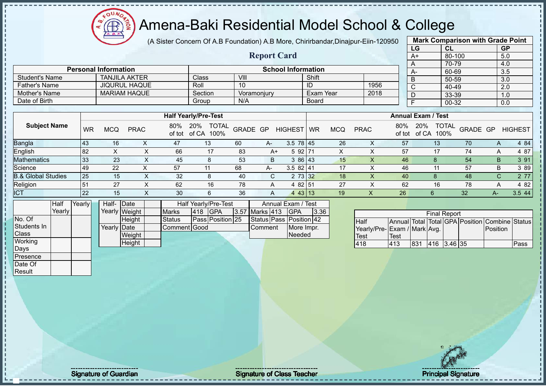$QUN$ Æ

#### Amena-Baki Residential Model School & College

(A Sister Concern Of A.B Foundation) A.B More, Chirirbandar,Dinajpur-Eiin-120950

**Report Card**

|      | <b>Mark Comparison with Grade Point</b> |           |
|------|-----------------------------------------|-----------|
| LG   | CL                                      | <b>GP</b> |
| $A+$ | 80-100                                  | 5.0       |
| A    | 70-79                                   | 4.0       |
| A-   | 60-69                                   | 3.5       |
| B    | 50-59                                   | 3.0       |
| C    | 40-49                                   | 2.0       |
| D    | 33-39                                   | 1.0       |
| F    | 00-32                                   | 0.0       |
|      |                                         |           |

| <b>Father's Name</b>          |           |            | <b>JIQURUL HAQUE</b> |               | Roll                                 | 10       |             |                | ID        |            | 1956        |               | $\mathsf{C}$              | 40-49                |          |     | 2.0            |
|-------------------------------|-----------|------------|----------------------|---------------|--------------------------------------|----------|-------------|----------------|-----------|------------|-------------|---------------|---------------------------|----------------------|----------|-----|----------------|
| Mother's Name                 |           |            | <b>MARIAM HAQUE</b>  |               | Section                              |          | Voramonjury |                | Exam Year |            | 2018        |               | D                         | 33-39                |          |     | 1.0            |
| Date of Birth                 |           |            |                      |               | Group                                | N/A      |             |                | Board     |            |             |               |                           | 00-32                |          |     | 0.0            |
|                               |           |            |                      |               |                                      |          |             |                |           |            |             |               |                           |                      |          |     |                |
|                               |           |            |                      |               | <b>Half Yearly/Pre-Test</b>          |          |             |                |           |            |             |               | <b>Annual Exam / Test</b> |                      |          |     |                |
| <b>Subject Name</b>           | <b>WR</b> | <b>MCQ</b> | <b>PRAC</b>          | 80%<br>of tot | <b>TOTAL</b><br>20%<br>of CA<br>100% | GRADE GP |             | <b>HIGHEST</b> | <b>WR</b> | <b>MCQ</b> | <b>PRAC</b> | 80%<br>of tot | 20%<br>of CA              | <b>TOTAL</b><br>100% | GRADE GP |     | <b>HIGHEST</b> |
| <b>Bangla</b>                 | 43        | 16         |                      | 47            | 13                                   | 60       | А-          | $3.5$ 78 45    |           | 26         |             | 57            |                           | 13 <sup>°</sup>      | 70       | A   | 4 84           |
| English                       | 82        | X          | x                    | 66            | 17                                   | 83       | A+          | 5 92 71        |           | X          |             | 57            |                           | 17                   | 74       | A   | 4 87           |
| <b>Mathematics</b>            | 33        | 23         | X.                   | 45            | 8                                    | 53       | B           | 3 86 43        |           | 15         | X.          | 46            |                           |                      | 54       | B.  | 3 91           |
| Science                       | 49        | 22         |                      | 57            | 11                                   | 68       | A-          | $3.582$   41   |           | 17         |             | 46            |                           |                      | 57       | B   | 3 8 9          |
| <b>B.&amp; Global Studies</b> | 25        | 15         | X                    | 32            | 8                                    | 40       | C.          | 2 73 32        |           | 18         |             | 40            |                           |                      | 48       | C.  | 2 77           |
| Religion                      | 51        | 27         | x                    | 62            | 16                                   | 78       | A           | 4 82 51        |           | 27         |             | 62            |                           | 16                   | 78       | A   | 4 8 2          |
| <b>ICT</b>                    | 22        | 15         |                      | 30            | 6                                    | 36       | A           | $443$ 13       |           | 19         |             | 26            |                           | 6                    | 32       | A-. | 3.5 44         |

|              | Half     | Yearly I | Half- Date  |               |               | Half Yearly/Pre-Test |                  | Annual Exam / Test    |                         |      |
|--------------|----------|----------|-------------|---------------|---------------|----------------------|------------------|-----------------------|-------------------------|------|
|              | Yearlv l |          |             | Yearly Weight | <b>Marks</b>  | 418                  | <b>IGPA</b>      | <b>3.57 Marks 413</b> | <b>IGPA</b>             | 3.36 |
| No. Of       |          |          |             | Height        | <b>Status</b> |                      | Pass Position 25 |                       | Status Pass Position 42 |      |
| Students In  |          |          | Yearly Date |               | Comment Good  |                      |                  | <b>IComment</b>       | More Impr.              |      |
| <b>Class</b> |          |          |             | Weight        |               |                      |                  |                       | Needed                  |      |
| Working      |          |          |             | Height        |               |                      |                  |                       |                         |      |
| <b>IDavs</b> |          |          |             |               |               |                      |                  |                       |                         |      |
| Presence     |          |          |             |               |               |                      |                  |                       |                         |      |

**Personal Information School Information** 

Student's Name TANJILA AKTER Class VIII Shift

|                             |      |     | <b>Final Report</b> |  |                                                |      |
|-----------------------------|------|-----|---------------------|--|------------------------------------------------|------|
| <b>Half</b>                 |      |     |                     |  | Annual Total Total GPA Position Combine Status |      |
| Yearly/Pre-Exam / Mark Avg. |      |     |                     |  | <b>IPosition</b>                               |      |
| Test                        | Test |     |                     |  |                                                |      |
| 418                         | 413  | 831 | 416 3.46 35         |  |                                                | Pass |

Date Of **Result** 

Signature of Guardian Signature Signature of Class Teacher National Signature Principal Signature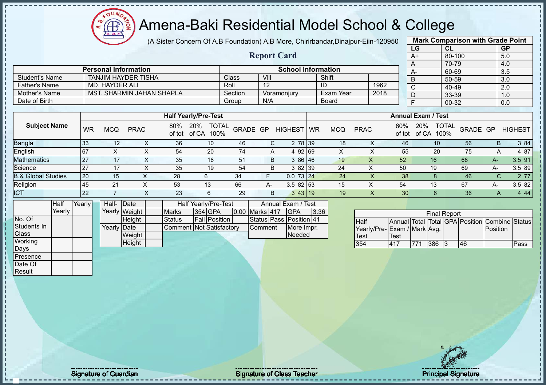(A Sister Concern Of A.B Foundation) A.B More, Chirirbandar,Dinajpur-Eiin-120950 **Mark Comparison with Grade Point**

|                               |           |                |                             |                           |                                      | $\mu$ , Obter Concern Original Canadian profession and commutation of Dinapar-Lin-Tzoboo |      |                                  |      |            |             |               |              |                           |          |              |                |
|-------------------------------|-----------|----------------|-----------------------------|---------------------------|--------------------------------------|------------------------------------------------------------------------------------------|------|----------------------------------|------|------------|-------------|---------------|--------------|---------------------------|----------|--------------|----------------|
|                               |           |                |                             |                           |                                      |                                                                                          |      |                                  |      |            |             |               | LG           | CL                        |          |              | <b>GP</b>      |
|                               |           |                |                             |                           |                                      |                                                                                          |      | <b>Report Card</b>               |      |            |             |               | $A+$         |                           | 80-100   |              | 5.0            |
|                               |           |                |                             |                           |                                      |                                                                                          |      |                                  |      |            |             |               |              | 70-79                     |          |              | 4.0            |
|                               |           |                | <b>Personal Information</b> |                           |                                      |                                                                                          |      | <b>School Information</b>        |      |            |             |               | А-           | 60-69                     |          |              | 3.5            |
| <b>Student's Name</b>         |           |                | <b>TANJIM HAYDER TISHA</b>  |                           |                                      | Class                                                                                    | VIII |                                  |      | Shift      |             |               | B            | 50-59                     |          |              | 3.0            |
| <b>Father's Name</b>          |           | MD. HAYDER ALI |                             |                           |                                      | Roll                                                                                     | 12   |                                  | ID   |            |             | 1962          | С            | 40-49                     |          |              | 2.0            |
| Mother's Name                 |           |                |                             | MST. SHARMIN JAHAN SHAPLA |                                      | Section                                                                                  |      | Voramonjury                      |      | Exam Year  |             | 2018          | D            | 33-39                     |          |              | 1.0            |
| Date of Birth                 |           |                |                             |                           |                                      | Group                                                                                    | N/A  |                                  |      | Board      |             |               |              | 00-32                     |          |              | 0.0            |
|                               |           |                |                             |                           |                                      |                                                                                          |      |                                  |      |            |             |               |              |                           |          |              |                |
|                               |           |                |                             |                           | <b>Half Yearly/Pre-Test</b>          |                                                                                          |      |                                  |      |            |             |               |              | <b>Annual Exam / Test</b> |          |              |                |
| <b>Subject Name</b>           | <b>WR</b> | <b>MCQ</b>     | <b>PRAC</b>                 | 80%<br>of tot             | 20%<br><b>TOTAL</b><br>of CA<br>100% | GRADE GP                                                                                 |      | HIGHEST WR                       |      | <b>MCQ</b> | <b>PRAC</b> | 80%<br>of tot | 20%<br>of CA | <b>TOTAL</b><br>100%      | GRADE GP |              | <b>HIGHEST</b> |
| Bangla                        | 33        | 12             | X                           | 36                        | 10                                   | 46                                                                                       | C    | 2 78 39                          |      | 18         | X           |               | 46           | 10                        | 56       | B.           | 3 84           |
| English                       | 67        | X              | X                           | 54                        | 20                                   | 74                                                                                       | A    | 4 92 69                          |      | X          | X           |               | 55           | 20                        | 75       | A            | 4 87           |
| Mathematics                   | 27        | 17             | X                           | 35                        | 16                                   | 51                                                                                       | B    | 3 86 46                          |      | 19         | X           | 52            |              | 16                        | 68       | $A-$         | 3.5 91         |
| Science                       | 27        | 17             | X                           | 35                        | 19                                   | 54                                                                                       | B    | $382$ 39                         |      | 24         | X           | 50            |              | 19                        | 69       | $A-$         | 3.5 89         |
| <b>B.&amp; Global Studies</b> | 20        | 15             | X                           | 28                        | 6                                    | 34                                                                                       | F.   | $0.073$ 24                       |      | 24         | X           |               | 38           | 8                         | 46       | $\mathsf{C}$ | 2 77           |
| Religion                      | 45        | 21             | $\times$                    | 53                        | 13                                   | 66                                                                                       | A-   | $3.582$ 53                       |      | 15         | X           | 54            |              | 13                        | 67       | A-           | 3.5 82         |
| <b>ICT</b>                    | 22        |                | X                           | 23                        | 6                                    | 29                                                                                       | B    | $3 \, 43 \, 19$                  |      | 19         | X           |               | 30           | 6                         | 36       | A            | 444            |
| Half<br>Yearly                | Yearly    | Half-          | Date<br>Yearly Weight       | <b>Marks</b>              | Half Yearly/Pre-Test<br>354 GPA      | 0.00 Marks 417                                                                           |      | Annual Exam / Test<br><b>GPA</b> | 3.36 |            |             |               |              |                           |          |              |                |
|                               |           |                |                             |                           |                                      |                                                                                          |      |                                  |      |            |             |               |              | <b>Final Report</b>       |          |              |                |

|             | Half   | Yearly | Half- Date  |               | Half Yearly/Pre-Test     |  |                      |                       | Annual Exam / Test      |      |
|-------------|--------|--------|-------------|---------------|--------------------------|--|----------------------|-----------------------|-------------------------|------|
|             | Yearlv |        |             | Yearly Weight | <b>Marks</b>             |  | <b>354 GPA</b>       | <b>0.00 Marks 417</b> | <b>IGPA</b>             | 3.36 |
| No. Of      |        |        |             | <b>Height</b> | Status                   |  | <b>Fail Position</b> |                       | Status Pass Position 41 |      |
| Students In |        |        | Yearly Date |               | Comment Not Satisfactory |  |                      | <b>Comment</b>        | More Impr.              |      |
| Class       |        |        |             | Weight        |                          |  |                      |                       | Needed                  |      |
| Working     |        |        |             | Height        |                          |  |                      |                       |                         |      |
| Days        |        |        |             |               |                          |  |                      |                       |                         |      |

| <b>Final Report</b>         |             |     |     |    |    |                                                |      |  |  |  |
|-----------------------------|-------------|-----|-----|----|----|------------------------------------------------|------|--|--|--|
| <b>Half</b>                 |             |     |     |    |    | Annual Total Total GPA Position Combine Status |      |  |  |  |
| Yearly/Pre-Exam / Mark Avg. |             |     |     |    |    | Position                                       |      |  |  |  |
| <b>Test</b>                 | <b>Test</b> |     |     |    |    |                                                |      |  |  |  |
| 354                         | 417         | 771 | 386 | 13 | 46 |                                                | Pass |  |  |  |

Presence Date Of **Result** 

- I

Æ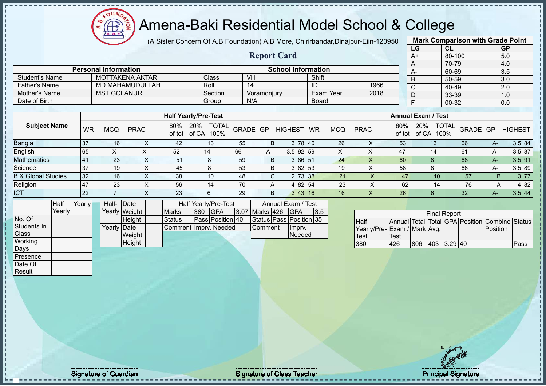$\Omega$ Æ

#### Amena-Baki Residential Model School & College

(A Sister Concern Of A.B Foundation) A.B More, Chirirbandar,Dinajpur-Eiin-120950

**Report Card**

|    | <b>Mark Comparison with Grade Point</b> |           |
|----|-----------------------------------------|-----------|
| LG | <b>CL</b>                               | <b>GP</b> |
| A+ | 80-100                                  | 5.0       |
| A  | 70-79                                   | 4.0       |
| А- | 60-69                                   | 3.5       |
| B  | 50-59                                   | 3.0       |
| C  | 40-49                                   | 2.0       |
|    | 33-39                                   | 1.0       |
|    | 00-32                                   | 0.0       |
|    |                                         |           |

|                      | <b>Personal Information</b> |         |             | <b>School Information</b> |      | $A-$ |
|----------------------|-----------------------------|---------|-------------|---------------------------|------|------|
| Student's Name       | MOTTAKENA AKTAR             | Class   | VIII        | Shift                     |      |      |
| <b>Father's Name</b> | MD MAHAMUDULLAH             | Roll    | 14          | -ID                       | 1966 |      |
| Mother's Name        | <b>MST GOLANUR</b>          | Section | Voramoniurv | Exam Year                 | 2018 |      |
| Date of Birth        |                             | Group   | N/A         | <b>Board</b>              |      |      |

|                               |                |     |             |     | <b>Half Yearly/Pre-Test</b>              |          |      |                 |    |            |                  |               | <b>Annual Exam / Test</b> |                          |      |                |
|-------------------------------|----------------|-----|-------------|-----|------------------------------------------|----------|------|-----------------|----|------------|------------------|---------------|---------------------------|--------------------------|------|----------------|
| <b>Subject Name</b>           | <b>WR</b>      | MCQ | <b>PRAC</b> | 80% | 20%<br><b>TOTAL</b><br>of tot of CA 100% | GRADE GP |      | <b>HIGHEST</b>  | WR | <b>MCQ</b> | <b>PRAC</b>      | 80%<br>of tot | 20%<br>100%<br>of CA      | <b>TOTAL</b><br>GRADE GP |      | <b>HIGHEST</b> |
| <b>Bangla</b>                 | 37             | 16  |             | 42  | 13                                       | 55       | B    | 3 78 40         |    | 26         | ∧                | 53            | 13                        | 66                       | A-   | 3.5 84         |
| English                       | 65             |     |             | 52  | 14                                       | 66       | $A-$ | $3.5$ 92 59     |    |            |                  | 47            | 14                        | 61                       | A-   | 3.5 87         |
| <b>Mathematics</b>            | 4 <sup>′</sup> | 23  | ∧           | 51  | 8                                        | 59       | B    | 3 86 51         |    | 24         | х                | 60            | 8                         | 68                       | $A-$ | 3.5 91         |
| Science                       | 37             | 19  | ∧           | 45  | 8                                        | 53       | B    | 3 82 53         |    | 19         | $\check{ }$<br>↗ | 58            | 8                         | 66                       | A-   | 3.5 89         |
| <b>B.&amp; Global Studies</b> | 32             | 16  |             | 38  | 10                                       | -48      | С    | 2 73 38         |    | 21         |                  | 47            | 10                        | 57                       |      | 3 7 7<br>B.    |
| Religion                      | 47             | 23  | ⋏           | 56  | 14                                       | 70       | A    | 4 82 54         |    | 23         |                  | 62            | 14                        | 76                       |      | 4 8 2<br>A     |
| <b>ICT</b>                    | 22             |     |             | 23  | 6                                        | 29       | B    | $3 \, 43 \, 16$ |    | 16         | х                | 26            | 6                         | 32                       | $A-$ | 3.544          |

|                | Half   | Yearly <b>I</b> | Half- Date  |               |                        |     | Half Yearly/Pre-Test |                | Annual Exam / Test      |      |
|----------------|--------|-----------------|-------------|---------------|------------------------|-----|----------------------|----------------|-------------------------|------|
|                | Yearlv |                 |             | Yearly Weight | <b>Marks</b>           | 380 | <b>IGPA</b>          | 3.07 Marks 426 | <b>IGPA</b>             | 13.5 |
| No. Of         |        |                 |             | <b>Height</b> | <b>Status</b>          |     | Pass Position 40     |                | Status Pass Position 35 |      |
| Students In    |        |                 | Yearly Date |               | Comment I mprv. Needed |     |                      | <b>Comment</b> | Impry.                  |      |
| <b>Class</b>   |        |                 |             | Weight        |                        |     |                      |                | Needed                  |      |
| <b>Working</b> |        |                 |             | Height        |                        |     |                      |                |                         |      |
| Days           |        |                 |             |               |                        |     |                      |                |                         |      |

|                              | <b>Final Report</b> |     |             |  |  |                                                |      |  |  |  |  |  |  |  |
|------------------------------|---------------------|-----|-------------|--|--|------------------------------------------------|------|--|--|--|--|--|--|--|
| <b>Half</b>                  |                     |     |             |  |  | Annual Total Total GPA Position Combine Status |      |  |  |  |  |  |  |  |
| Yearly/Pre- Exam / Mark Avg. |                     |     |             |  |  | <b>IPosition</b>                               |      |  |  |  |  |  |  |  |
| <b>Test</b>                  | Test                |     |             |  |  |                                                |      |  |  |  |  |  |  |  |
| 380                          | 426                 | 806 | 403 3.29 40 |  |  |                                                | Pass |  |  |  |  |  |  |  |

**Presence** Date Of Result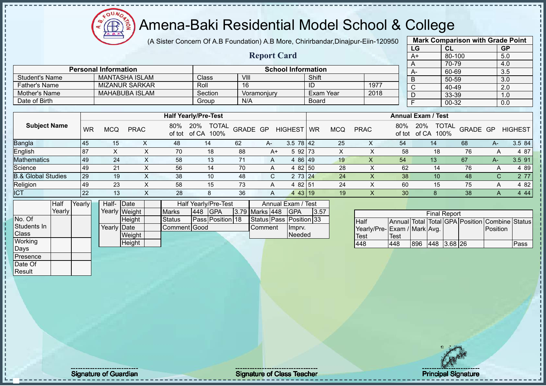(A Sister Concern Of A.B Foundation) A.B More, Chirirbandar,Dinajpur-Eiin-120950 **Mark Comparison with Grade Point**

|    |                             |                       |     |                                            |      |                    |                           |              | ,,,        |             |      |     | LG                        | <b>CL</b>      | <b>GP</b> |                |
|----|-----------------------------|-----------------------|-----|--------------------------------------------|------|--------------------|---------------------------|--------------|------------|-------------|------|-----|---------------------------|----------------|-----------|----------------|
|    |                             |                       |     |                                            |      | <b>Report Card</b> |                           |              |            |             |      |     | A+                        | 80-100         |           | 5.0            |
|    |                             |                       |     |                                            |      |                    |                           |              |            |             |      |     | A                         | 70-79          | 4.0       |                |
|    | <b>Personal Information</b> |                       |     |                                            |      |                    | <b>School Information</b> |              |            |             |      |     | A-                        | 60-69          |           | 3.5            |
|    |                             | <b>MANTASHA ISLAM</b> |     | <b>Class</b>                               | VIII |                    |                           | Shift        |            |             |      |     | B                         | 50-59          |           | 3.0            |
|    |                             | <b>MIZANUR SARKAR</b> |     | Roll                                       | 16   |                    |                           | ID           |            |             | 1977 |     | $\mathsf{C}$              | 40-49          | 2.0       |                |
|    |                             | <b>MAHABUBA ISLAM</b> |     | Section                                    |      | Voramonjury        |                           | Exam Year    |            |             | 2018 |     | D                         | 33-39          |           | 1.0            |
|    |                             |                       |     | Group                                      | N/A  |                    |                           | <b>Board</b> |            |             |      |     |                           | 00-32          | 0.0       |                |
|    |                             |                       |     |                                            |      |                    |                           |              |            |             |      |     |                           |                |           |                |
|    |                             |                       |     | <b>Half Yearly/Pre-Test</b>                |      |                    |                           |              |            |             |      |     | <b>Annual Exam / Test</b> |                |           |                |
| WR | <b>MCQ</b>                  | <b>PRAC</b>           | 80% | TOTAL GRADE GP<br>20%<br>of tot of CA 100% |      |                    | HIGHEST WR                |              | <b>MCQ</b> | <b>PRAC</b> |      | 80% | 20%<br>of tot of CA 100%  | TOTAL GRADE GP |           | <b>HIGHEST</b> |
| 45 | 15                          |                       | 48  | 14                                         | 62   | A-                 | $3.5 \ 78 \ 42$           |              | 25         |             | X    | 54  | 14                        | 68             | A-        | 3.5 84         |
| 87 | X                           | X.                    | 70  | 18                                         | 88   | $A+$               | 5 92 73                   |              | X          |             | x    | 58  | 18                        | 76             | A         | 4 87           |
| 49 | 24                          | x                     | 58  | 13                                         | 71   | А                  | 4 86 49                   |              | 19         |             |      | 54  | 13                        | 67             | А-        | $3.5$ 91       |

|                               |           |            |             |               | <b>Hall Yearly/Pre-lest</b>          |          |    |                    |           |            |             |               | Annual Exam / Test                   |          |      |                |
|-------------------------------|-----------|------------|-------------|---------------|--------------------------------------|----------|----|--------------------|-----------|------------|-------------|---------------|--------------------------------------|----------|------|----------------|
| <b>Subject Name</b>           | <b>WR</b> | <b>MCQ</b> | <b>PRAC</b> | 80%<br>of tot | <b>TOTAL</b><br>20%<br>100%<br>of CA | GRADE GP |    | <b>HIGHEST</b>     | <b>WR</b> | <b>MCQ</b> | <b>PRAC</b> | 80%<br>of tot | <b>TOTAL</b><br>20%<br>100%<br>of CA | GRADE GP |      | <b>HIGHEST</b> |
| Bangla                        | 45        | 15         |             | 48            | 14                                   | 62       | A- | $3.5 \ 78 \ 42$    |           | 25         | ∧           | 54            | 14                                   | 68       | $A-$ | 3.5 84         |
| English                       | -87       |            |             | 70            | 18                                   | 88       | A+ | $592$ 73           |           |            |             | 58            | 18                                   | 76       | A    | 4 87           |
| <b>Mathematics</b>            | <b>49</b> | 24         | x           | 58            | 13                                   |          | A  | 86 49<br>4         |           | 19         | Х           | 54            | 13                                   | 67       | A-.  | 3.5 91         |
| Science                       | <b>49</b> | 21         | $\sim$      | 56            | 14                                   | 70       | A  | 4 82 50            |           | 28         |             | 62            | 14                                   | 76       | A    | 4 8 9          |
| <b>B.&amp; Global Studies</b> | 29        | 19         | x           | 38            | 10                                   | 48       | C. | 2 73 24            |           | 24         |             | 38            | 10                                   | 48       | C.   | 2 7 7          |
| Religion                      | 49        | 23         |             | 58            | 15                                   | 73       | A  | 4 82 51            |           | 24         |             | 60            | 15                                   | 75       | А    | 4 8 2          |
| <b>ICT</b>                    | 22        | 13         | $\Lambda$   | 28            | 8                                    | 36       | A  | 4 43 19            |           | 19         |             | 30            |                                      | 38       | A    | 4 4 4          |
| Half                          | Yearly    | Half- Date |             |               | Half Yearly/Pre-Test                 |          |    | Annual Exam / Test |           |            |             |               |                                      |          |      |                |

|              | ιнаιτ    | <b>Prearivi</b> | Hall- IDate          |               |                     |     | Haif Yearly/Pre-Test |                | Annual Exam / Test      |      |
|--------------|----------|-----------------|----------------------|---------------|---------------------|-----|----------------------|----------------|-------------------------|------|
|              | Yearlv l |                 |                      | Yearly Weight | <b>Marks</b>        | 448 | <b>IGPA</b>          | 3.79 Marks 448 | <b>IGPA</b>             | 3.57 |
| No. Of       |          |                 |                      | <b>Height</b> | <b>Status</b>       |     | Pass Position 18     |                | Status Pass Position 33 |      |
| Students In  |          |                 | Yearlv <b>I</b> Date |               | <b>Comment Good</b> |     |                      | <b>Comment</b> | Ilmpry.                 |      |
| <b>Class</b> |          |                 |                      | Weight        |                     |     |                      |                | Needed                  |      |
| Working      |          |                 |                      | <b>Height</b> |                     |     |                      |                |                         |      |
| Days         |          |                 |                      |               |                     |     |                      |                |                         |      |
| Presence     |          |                 |                      |               |                     |     |                      |                |                         |      |

| <b>Final Report</b>         |             |      |             |  |  |                                                |      |  |  |  |  |  |  |
|-----------------------------|-------------|------|-------------|--|--|------------------------------------------------|------|--|--|--|--|--|--|
| <b>Half</b>                 |             |      |             |  |  | Annual Total Total GPA Position Combine Status |      |  |  |  |  |  |  |
| Yearly/Pre-Exam / Mark Avg. |             |      |             |  |  | Position                                       |      |  |  |  |  |  |  |
| <b>Test</b>                 | <b>Test</b> |      |             |  |  |                                                |      |  |  |  |  |  |  |
| 448                         | 448         | 1896 | 448 3.68 26 |  |  |                                                | Pass |  |  |  |  |  |  |

Date Of **Result** 

 $\blacksquare$  $\blacksquare$  $\mathbf{I}$ п Student's Name MANTASHA<br>
Father's Name MIZANUR S

oυ

Mother's Name MAHABUBA

Father's Name

Date of Birth

Signature of Guardian Signature Signature of Class Teacher National Signature Principal Signature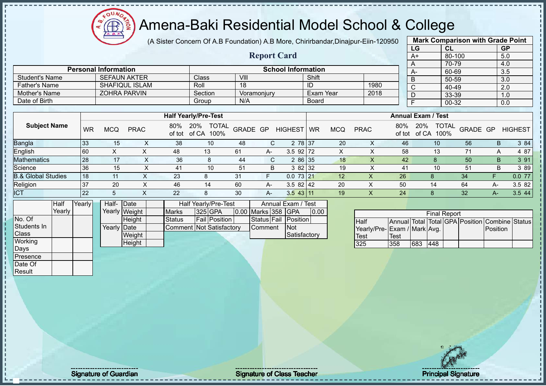**AB** 

#### Amena-Baki Residential Model School & College

(A Sister Concern Of A.B Foundation) A.B More, Chirirbandar,Dinajpur-Eiin-120950

**Report Card**

|      | <b>Mark Comparison with Grade Point</b> |           |
|------|-----------------------------------------|-----------|
| LG   | <b>CL</b>                               | <b>GP</b> |
| $A+$ | 80-100                                  | 5.0       |
| А    | 70-79                                   | 4.0       |
| А-   | 60-69                                   | 3.5       |
| B    | 50-59                                   | 3.0       |
| C    | 40-49                                   | 2.0       |
| D    | 33-39                                   | 1.0       |
| F    | $00 - 32$                               | 0.0       |
|      |                                         |           |

| <b>Student's Name</b> | <b>SEFAUN AKTER</b>                    |         | Class                       | VIII           |            | Shift     |            |             |     |                           | 50-59                          | 3.0            |
|-----------------------|----------------------------------------|---------|-----------------------------|----------------|------------|-----------|------------|-------------|-----|---------------------------|--------------------------------|----------------|
| Father's Name         | <b>SHAFIQUL ISLAM</b>                  |         | Roll                        | 18             |            | ID        |            | 1980        |     | $\sim$<br>◡               | 40-49                          | 2.0            |
| Mother's Name         | <b>ZOHRA PARVIN</b>                    |         | Section                     | Voramoniurv    |            | Exam Year |            | 2018        |     | D                         | 33-39                          | 1.0            |
| Date of Birth         |                                        |         | Group                       | N/A            |            | Board     |            |             |     |                           | 00-32                          | 0.0            |
|                       |                                        |         |                             |                |            |           |            |             |     |                           |                                |                |
|                       |                                        |         | <b>Half Yearly/Pre-Test</b> |                |            |           |            |             |     | <b>Annual Exam / Test</b> |                                |                |
| <b>Subject Name</b>   | <b>PRAC</b><br><b>WR</b><br><b>MCQ</b> | 80% 20% | of tot of CA 100%           | TOTAL GRADE GP | HIGHEST WR |           | <b>MCQ</b> | <b>PRAC</b> | 80% | 20%<br>of tot of CA 100%  | J <sub>10</sub> TOTAL GRADE GP | <b>HIGHEST</b> |

|                               |      |    |    |    |                |      |              |    |   |     | $0.001$ $0.001$ $0.000$ |    |       |       |
|-------------------------------|------|----|----|----|----------------|------|--------------|----|---|-----|-------------------------|----|-------|-------|
| <b>Bangla</b>                 | 133  | 15 | 38 | 10 | 48             |      | 2 78 37      | 20 | ↗ | 46  | 10                      | 56 |       | 384   |
| English                       | 160  |    | 48 |    | 61             | $A-$ | $3.5$ 92 72  |    |   | 58  |                         |    |       | 4 87  |
| <b>Mathematics</b>            | 128  |    | 36 |    | 44             | r    | 2 86 35      | 18 |   | 42  |                         | 50 |       | 391.  |
| Science                       | l 36 | 15 | 41 | 10 | 5 <sup>′</sup> |      | 3 82 32      | 19 |   | 41  | 10                      | 51 |       | 3 89  |
| <b>B.&amp; Global Studies</b> | l 18 |    | 23 |    | 31             |      | $0.073$   21 |    |   | 26  |                         | 34 |       | 0.077 |
| Religion                      | 137  | 20 | 46 | 14 | 60             | A-   | $3.582$   42 | 20 |   | -50 | 14                      | 64 | $H^-$ | 3.582 |
| <b>ICT</b>                    | 22   |    | 22 |    | 30             | $A-$ | $3.5$ 43 11  | 19 |   | 24  |                         | 32 |       | 3.544 |

|              | Half   | Yearly | Half- Date  |               |                                 |  | Half Yearly/Pre-Test |  |                    |         | Annual Exam / Test |      |
|--------------|--------|--------|-------------|---------------|---------------------------------|--|----------------------|--|--------------------|---------|--------------------|------|
|              | Yearly |        |             | Yearly Weight | <b>Marks</b>                    |  | <b>325 GPA</b>       |  | 0.00 Marks 358 GPA |         |                    | 0.00 |
| No. Of       |        |        |             | <b>Height</b> | <b>Status</b>                   |  | <b>Fail Position</b> |  | Status Fail        |         | Position           |      |
| Students In  |        |        | Yearly Date |               | <b>Comment Not Satisfactory</b> |  |                      |  |                    | Comment | <b>INot</b>        |      |
| <b>Class</b> |        |        |             | Weight        |                                 |  |                      |  |                    |         | Satisfactory       |      |
| Working      |        |        |             | Height        |                                 |  |                      |  |                    |         |                    |      |
| Days         |        |        |             |               |                                 |  |                      |  |                    |         |                    |      |

**Personal Information School Information** 

|                              |      |     | <b>Final Report</b> |  |                                                |  |
|------------------------------|------|-----|---------------------|--|------------------------------------------------|--|
| <b>I</b> Half                |      |     |                     |  | Annual Total Total GPA Position Combine Status |  |
| Yearly/Pre- Exam / Mark Avg. |      |     |                     |  | Position                                       |  |
| Test                         | Test |     |                     |  |                                                |  |
| 325                          | 358  | 683 | 448                 |  |                                                |  |

Presence Date Of Result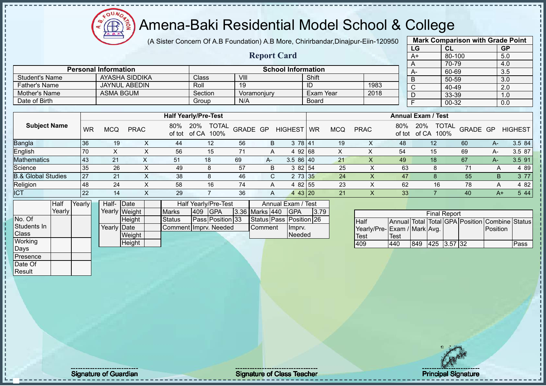Æ

#### Amena-Baki Residential Model School & College

(A Sister Concern Of A.B Foundation) A.B More, Chirirbandar,Dinajpur-Eiin-120950

**Report Card**

|              | <b>Mark Comparison with Grade Point</b> |           |
|--------------|-----------------------------------------|-----------|
| LG           | CL                                      | <b>GP</b> |
| $A+$         | 80-100                                  | 5.0       |
| A            | 70-79                                   | 4.0       |
| A-           | 60-69                                   | 3.5       |
| B            | 50-59                                   | 3.0       |
| $\mathsf{C}$ | 40-49                                   | 2.0       |
| D            | 33-39                                   | 1.0       |
| F            | 00-32                                   | 0.0       |
|              |                                         |           |

| Date of Birth                 |           |            |             |     | Group                                    | N/A      |      |                   | Board     |            |             |     |                           | 00-32 |                |      | 0.0            |
|-------------------------------|-----------|------------|-------------|-----|------------------------------------------|----------|------|-------------------|-----------|------------|-------------|-----|---------------------------|-------|----------------|------|----------------|
|                               |           |            |             |     |                                          |          |      |                   |           |            |             |     |                           |       |                |      |                |
|                               |           |            |             |     | <b>Half Yearly/Pre-Test</b>              |          |      |                   |           |            |             |     | <b>Annual Exam / Test</b> |       |                |      |                |
| <b>Subject Name</b>           | <b>WR</b> | <b>MCQ</b> | <b>PRAC</b> | 80% | <b>TOTAL</b><br>20%<br>of tot of CA 100% | GRADE GP |      | <b>HIGHEST</b>    | <b>WR</b> | <b>MCQ</b> | <b>PRAC</b> | 80% | 20%<br>of tot of CA       | 100%  | TOTAL GRADE GP |      | <b>HIGHEST</b> |
| <b>Bangla</b>                 | 36        | 19         | ^           | 44  | 12                                       | 56       | B    | 3 78 41           |           | 19         | х           | 48  | 12                        |       | 60             | A-   | 3.5 84         |
| English                       | 70        |            |             | 56  | 15                                       | 71       | A    | 4 92 68           |           |            | ́           | 54  | 15                        |       | 69             | A-   | 3.5 87         |
| <b>Mathematics</b>            | 43        | 21         |             | 51  | 18                                       | 69       | $A-$ | $3.586$ 40        |           | 21         | х           | 49  | 18                        |       | 67             | $A-$ | 3.5 91         |
| Science                       | 35        | 26         | ⌒           | 49  | Õ                                        | 57       | B    | 382 54            |           | 25         |             | 63  |                           | 8     |                | A    | 4 8 9          |
| <b>B.&amp; Global Studies</b> | 27        | 21         | ^           | 38  | 8                                        | 46       |      | $2\,73\,35$<br>C. |           | 24         |             | 47  |                           |       | 55             | B    | 3 77           |
| Religion                      | 48        | 24         | $\sim$      | 58  | 16                                       | 74       | A    | 4 82 55           |           | 23         |             | 62  |                           | 16    | 78             | A    | 4 8 2          |
| <b>ICT</b>                    | 22        | 14         |             | 29  |                                          | 36       | A    | 443 20            |           | 21         |             | 33  |                           |       | 40             |      | 5 4 4<br>A+    |

|                  | Half            | Yearly | Half- Date   |               |                       |     | Half Yearly/Pre-Test    |                       | Annual Exam / Test      |       |
|------------------|-----------------|--------|--------------|---------------|-----------------------|-----|-------------------------|-----------------------|-------------------------|-------|
|                  | Yearlv <b>I</b> |        |              | Yearly Weight | <b>Marks</b>          | 409 | <b>IGPA</b>             | <b>3.36 Marks 440</b> | IGPA                    | 13.79 |
| No. Of           |                 |        |              | <b>Height</b> | <b>Status</b>         |     | <b>Pass Position 33</b> |                       | Status Pass Position 26 |       |
| Students In      |                 |        | Yearly  Date |               | Comment Imprv. Needed |     |                         | Comment               | Imprv.                  |       |
| <b>Class</b>     |                 |        |              | Weight        |                       |     |                         |                       | Needed                  |       |
| <b>Working</b>   |                 |        |              | Height        |                       |     |                         |                       |                         |       |
| Days             |                 |        |              |               |                       |     |                         |                       |                         |       |
| <b>IPresence</b> |                 |        |              |               |                       |     |                         |                       |                         |       |

**Personal Information School Information** 

Father's Name JAYNUL ABEDIN Roll 19 ID 1983

Student's Name AYASHA SIDDIKA Class VIII Shift<br>
Father's Name JAYNUL ABEDIN Roll 19

Mother's Name ASMA BGUM Section Voramonjury Exam Year

|                              |      |     | <b>Final Report</b> |  |                                                |      |
|------------------------------|------|-----|---------------------|--|------------------------------------------------|------|
| <b>Half</b>                  |      |     |                     |  | Annual Total Total GPA Position Combine Status |      |
| Yearly/Pre- Exam / Mark Avg. |      |     |                     |  | Position                                       |      |
| <b>Test</b>                  | Test |     |                     |  |                                                |      |
| 409                          | 440  | 849 | $ 425 $ 3.57 32     |  |                                                | Pass |

Date Of **Result** 

Signature of Guardian Signature Signature of Class Teacher National Signature Principal Signature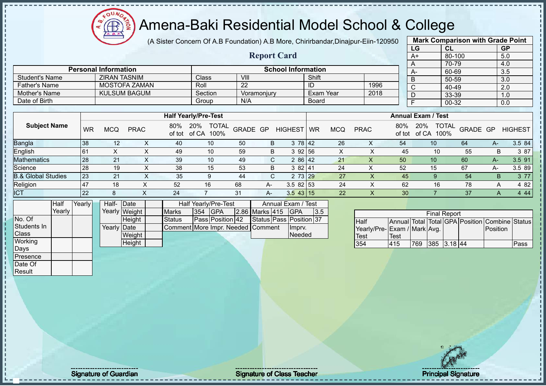(A Sister Concern Of A.B Foundation) A.B More, Chirirbandar,Dinajpur-Eiin-120950

**Report Card**

|      | <b>Mark Comparison with Grade Point</b> |           |
|------|-----------------------------------------|-----------|
| LG   | CL                                      | <b>GP</b> |
| $A+$ | 80-100                                  | 5.0       |
| A    | 70-79                                   | 4.0       |
| А-   | 60-69                                   | 3.5       |
| B    | 50-59                                   | 3.0       |
| C    | 40-49                                   | 2.0       |
|      | 33-39                                   | 1.0       |
| F    | 00-32                                   | 0.0       |
|      |                                         |           |

|                      |                             |         |                           |              |      | . . | ----  |
|----------------------|-----------------------------|---------|---------------------------|--------------|------|-----|-------|
|                      |                             |         |                           |              |      |     | 70-79 |
|                      | <b>Personal Information</b> |         | <b>School Information</b> |              |      | A-  | 60-69 |
| Student's Name       | <b>ZIRAN TASNIM</b>         | Class⊺  | VII.                      | Shift        |      |     | 50-59 |
| <b>Father's Name</b> | MOSTOFA ZAMAN               | Roll    | -22                       | ID           | 1996 |     | 40-49 |
| Mother's Name        | <b>KULSUM BAGUM</b>         | Section | Voramoniurv               | Exam Year    | 2018 |     | 33-39 |
| Date of Birth        |                             | Group   | N/A                       | <b>Board</b> |      |     | 00-32 |

|                               |                |     |             |     | <b>Half Yearly/Pre-Test</b>              |          |    |                |             |            |             |               | <b>Annual Exam / Test</b>            |          |      |                |
|-------------------------------|----------------|-----|-------------|-----|------------------------------------------|----------|----|----------------|-------------|------------|-------------|---------------|--------------------------------------|----------|------|----------------|
| <b>Subject Name</b>           | <b>WR</b>      | MCQ | <b>PRAC</b> | 80% | <b>TOTAL</b><br>20%<br>of tot of CA 100% | GRADE GP |    | <b>HIGHEST</b> | <b>I</b> WR | <b>MCQ</b> | <b>PRAC</b> | 80%<br>of tot | <b>TOTAL</b><br>20%<br>100%<br>of CA | GRADE GP |      | <b>HIGHEST</b> |
| <b>Bangla</b>                 | 38             | 12  |             | 40  | 10                                       | 50       | B  | 3 78 42        |             | 26         | ∧           | 54            | 10                                   | 64       | A-   | 3.5 84         |
| English                       | 6 <sup>′</sup> |     |             | 49  | 10                                       | 59       | B  | 392156         |             |            |             | 45            | 10                                   | 55       | В    | 3 87           |
| <b>Mathematics</b>            | 28             | 21  | ∧           | 39  | 10                                       | 49       | C. | 2 86 42        |             | 21         | ∧           | 50            | 10                                   | 60       | $A-$ | 3.5 91         |
| Science                       | 28             | 19  | ∧           | 38  | 15                                       | 53       | B  | 382141         |             | 24         | ↗           | 52            | 15                                   | 67       | A-   | 3.5 89         |
| <b>B.&amp; Global Studies</b> | 23             | 21  |             | 35  | 9                                        | 44       | С  | 2 73 29        |             | 27         |             | 45            | q                                    | 54       | B    | 3 7 7          |
| Religion                      | .47            | 18  |             | 52  | 16                                       | 68       | A- | $3.582$ 53     |             | 24         |             | 62            | 16                                   | 78       | A    | 4 8 2          |
| <b>ICT</b>                    | 22             |     |             | 24  |                                          | 31       | A- | $3.5$ 43 15    |             | 22         | $\lambda$   | 30            |                                      | 37       | A    | 4 4 4          |

|              | Half   | Yearly | Half-Date   |               |                                   |     | Half Yearly/Pre-Test |                | Annual Exam / Test      |     |
|--------------|--------|--------|-------------|---------------|-----------------------------------|-----|----------------------|----------------|-------------------------|-----|
|              | Yearlv |        |             | Yearly Weight | <b>Marks</b>                      | 354 | <b>IGPA</b>          | 2.86 Marks 415 | <b>IGPA</b>             | 3.5 |
| No. Of       |        |        |             | <b>Height</b> | <b>Status</b>                     |     | Pass Position 42     |                | Status Pass Position 37 |     |
| Students In  |        |        | Yearly Date |               | Comment More Impr. Needed Comment |     |                      |                | Imprv.                  |     |
| <b>Class</b> |        |        |             | Weight        |                                   |     |                      |                | Needed                  |     |
| Working      |        |        |             | Height        |                                   |     |                      |                |                         |     |
| Days         |        |        |             |               |                                   |     |                      |                |                         |     |
| Presence     |        |        |             |               |                                   |     |                      |                |                         |     |

|                              |      |     | <b>Final Report</b> |  |                                                |      |
|------------------------------|------|-----|---------------------|--|------------------------------------------------|------|
| Half                         |      |     |                     |  | Annual Total Total GPA Position Combine Status |      |
| Yearly/Pre- Exam / Mark Avg. |      |     |                     |  | <b>IPosition</b>                               |      |
| Test                         | Test |     |                     |  |                                                |      |
| 354                          | 415  | 769 | $ 385 $ 3.18 44     |  |                                                | Pass |

Date Of **Result**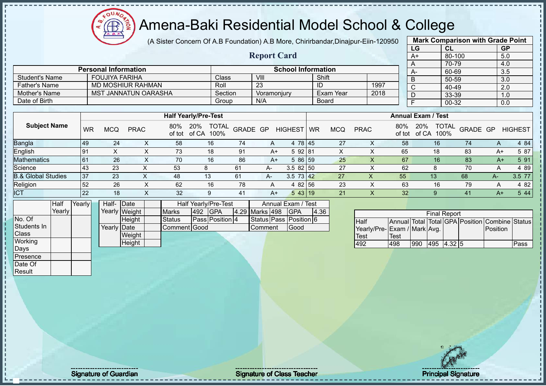$QUN$ Amena-Baki Residential Model School & College  $\bigoplus_{\mathbf{A},\mathbf{B},\mathbf{B}}$ ğ

(A Sister Concern Of A.B Foundation) A.B More, Chirirbandar,Dinajpur-Eiin-120950

|                                  |             |                 |                 |                             |                           |                             |                                    |                 |          |                    |                           |    |                  |             |                    |                             | LG                      |    | CL                  |          |              | GP                                             |
|----------------------------------|-------------|-----------------|-----------------|-----------------------------|---------------------------|-----------------------------|------------------------------------|-----------------|----------|--------------------|---------------------------|----|------------------|-------------|--------------------|-----------------------------|-------------------------|----|---------------------|----------|--------------|------------------------------------------------|
|                                  |             |                 |                 |                             |                           |                             |                                    |                 |          | <b>Report Card</b> |                           |    |                  |             |                    |                             | $A+$                    |    | 80-100              |          |              | 5.0                                            |
|                                  |             |                 |                 |                             |                           |                             |                                    |                 |          |                    |                           |    |                  |             |                    |                             | $\overline{A}$          |    | 70-79               |          |              | 4.0                                            |
|                                  |             |                 |                 | <b>Personal Information</b> |                           |                             |                                    |                 |          |                    | <b>School Information</b> |    |                  |             |                    |                             | $A-$                    |    | 60-69               |          |              | 3.5                                            |
| <b>Student's Name</b>            |             |                 |                 | <b>FOUJIYA FARIHA</b>       |                           |                             |                                    | Class           |          | VIII               |                           |    | Shift            |             |                    |                             | $\overline{B}$          |    | $50 - 59$           |          |              | 3.0                                            |
| <b>Father's Name</b>             |             |                 |                 | <b>MD MOSHIUR RAHMAN</b>    |                           |                             |                                    | Roll            |          | $\overline{23}$    |                           |    | $\overline{1}$   |             | 1997               |                             | $\overline{\mathsf{C}}$ |    | 40-49               |          |              | 2.0                                            |
| <b>Mother's Name</b>             |             |                 |                 | <b>MST JANNATUN OARASHA</b> |                           |                             |                                    | Section         |          | Voramonjury        |                           |    | <b>Exam Year</b> |             | 2018               |                             | $\overline{D}$          |    | 33-39               |          |              | 1.0                                            |
| Date of Birth                    |             |                 |                 |                             |                           |                             |                                    | Group           |          | N/A                |                           |    | <b>Board</b>     |             |                    |                             | $\overline{\mathsf{F}}$ |    | $00 - 32$           |          |              | 0.0                                            |
|                                  |             |                 |                 |                             |                           | <b>Half Yearly/Pre-Test</b> |                                    |                 |          |                    |                           |    |                  |             |                    | <b>Annual Exam / Test</b>   |                         |    |                     |          |              |                                                |
| <b>Subject Name</b>              |             | <b>WR</b>       | <b>MCQ</b>      | <b>PRAC</b>                 |                           |                             | 80% 20% TOTAL<br>of tot of CA 100% |                 | GRADE GP |                    | <b>HIGHEST</b>            | WR | <b>MCQ</b>       | <b>PRAC</b> |                    | 80%                         | of tot of CA 100%       |    | 20% TOTAL           | GRADE GP |              | <b>HIGHEST</b>                                 |
| Bangla<br>English<br>Mathematics |             | 49              | 24              |                             | X                         | 58                          |                                    | 16              | 74       | A                  | 4 78 45                   |    | 27               |             | X                  | 58                          |                         | 16 |                     | $74$     | $\mathsf{A}$ | 4 8 4                                          |
|                                  |             | 91              | $\overline{X}$  |                             | $\overline{X}$            | $\overline{73}$             |                                    | 18              | 91       | $A+$               | 5 92 81                   |    | $\mathsf{X}$     |             | $\overline{X}$     | 65                          |                         | 18 |                     | 83       | $A+$         | 5 87                                           |
|                                  |             | 61              | $\overline{26}$ |                             | $\overline{X}$            | $\overline{70}$             |                                    | 16              | 86       | $A+$               | 5 86 59                   |    | 25               |             | $\pmb{\times}$     | 67                          |                         | 16 |                     | 83       | $A+$         | 5 91                                           |
| Science                          |             | 43              | $\overline{23}$ |                             | $\boldsymbol{\mathsf{X}}$ | 53                          | 8                                  |                 | 61       | A-                 | $3.582$ 50                |    | 27               |             | $\pmb{\times}$     | 62                          |                         | 8  |                     | 70       | A            | 4 8 9                                          |
| <b>B.&amp; Global Studies</b>    |             | 37              | $\overline{23}$ |                             | $\mathsf{X}$              | 48                          | 13                                 |                 | 61       | A-                 | $3.5 \ 73 \ 42$           |    | $\overline{27}$  |             | $\pmb{\mathsf{X}}$ | 55                          |                         | 13 |                     | 68       | $A-$         | 3.5 77                                         |
| Religion                         |             | 52              | $\overline{26}$ |                             | $\mathsf{X}$              | 62                          |                                    | 16              | 78       | $\mathsf A$        | 4 82 56                   |    | 23               |             | $\overline{X}$     | 63                          |                         | 16 |                     | 79       | A            | 4 8 2                                          |
| <b>ICT</b>                       |             | $\overline{22}$ | 18              |                             | $\overline{X}$            | 32                          |                                    | 9               | 41       | $A+$               | 5 43 19                   |    | 21               |             | $\pmb{\times}$     | 32                          |                         | 9  |                     | 41       | $A+$         | 5 4 4                                          |
|                                  | <b>Half</b> | Yearly          | Half-           | Date                        |                           |                             | Half Yearly/Pre-Test               |                 |          |                    | Annual Exam / Test        |    |                  |             |                    |                             |                         |    |                     |          |              |                                                |
|                                  | Yearly      |                 |                 | Yearly Weight               |                           | <b>Marks</b>                | 492 GPA                            |                 |          | 4.29 Marks 498     | <b>GPA</b>                |    | 4.36             |             |                    |                             |                         |    | <b>Final Report</b> |          |              |                                                |
| No. Of                           |             |                 |                 | Height                      |                           | <b>Status</b>               |                                    | Pass Position 4 |          |                    | Status Pass Position 6    |    |                  | <b>Half</b> |                    |                             |                         |    |                     |          |              | Annual Total Total GPA Position Combine Status |
| Students In                      |             |                 | Yearly Date     |                             |                           | Comment Good                |                                    |                 |          | Comment            | Good                      |    |                  |             |                    | Yearly/Pre-Exam / Mark Avg. |                         |    |                     |          | Position     |                                                |
| Class                            |             |                 |                 | Weight                      |                           |                             |                                    |                 |          |                    |                           |    |                  | <b>Test</b> |                    | Test                        |                         |    |                     |          |              |                                                |
| Working                          |             |                 |                 | Height                      |                           |                             |                                    |                 |          |                    |                           |    |                  | 492         |                    | 498                         |                         |    | 990 495 4.32 5      |          |              | Pass                                           |
| Days                             |             |                 |                 |                             |                           |                             |                                    |                 |          |                    |                           |    |                  |             |                    |                             |                         |    |                     |          |              |                                                |
| Presence                         |             |                 |                 |                             |                           |                             |                                    |                 |          |                    |                           |    |                  |             |                    |                             |                         |    |                     |          |              |                                                |
| Date Of                          |             |                 |                 |                             |                           |                             |                                    |                 |          |                    |                           |    |                  |             |                    |                             |                         |    |                     |          |              |                                                |
| Result                           |             |                 |                 |                             |                           |                             |                                    |                 |          |                    |                           |    |                  |             |                    |                             |                         |    |                     |          |              |                                                |
|                                  |             |                 |                 |                             |                           |                             |                                    |                 |          |                    |                           |    |                  |             |                    |                             |                         |    |                     |          |              |                                                |
|                                  |             |                 |                 |                             |                           |                             |                                    |                 |          |                    |                           |    |                  |             |                    |                             |                         |    |                     |          |              |                                                |
|                                  |             |                 |                 |                             |                           |                             |                                    |                 |          |                    |                           |    |                  |             |                    |                             |                         |    |                     |          |              |                                                |
|                                  |             |                 |                 |                             |                           |                             |                                    |                 |          |                    |                           |    |                  |             |                    |                             |                         |    |                     |          |              |                                                |
|                                  |             |                 |                 |                             |                           |                             |                                    |                 |          |                    |                           |    |                  |             |                    |                             |                         |    |                     |          |              |                                                |
|                                  |             |                 |                 |                             |                           |                             |                                    |                 |          |                    |                           |    |                  |             |                    |                             |                         |    |                     |          |              |                                                |
|                                  |             |                 |                 |                             |                           |                             |                                    |                 |          |                    |                           |    |                  |             |                    |                             |                         |    |                     |          |              |                                                |
|                                  |             |                 |                 |                             |                           |                             |                                    |                 |          |                    |                           |    |                  |             |                    |                             |                         |    |                     |          |              |                                                |
|                                  |             |                 |                 |                             |                           |                             |                                    |                 |          |                    |                           |    |                  |             |                    |                             |                         |    | $\sim$ $\sim$       |          |              |                                                |

Signature of Guardian Signature of Class Teacher Principal Signature of Class Teacher Principal Signature of Class Teacher Principal Signature of Class Teacher Principal Signature of Class Teacher Principal Signature of Cl

**Mark Comparison with Grade Point**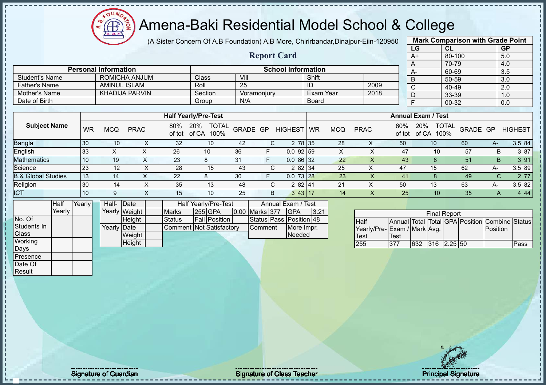oυ

#### Amena-Baki Residential Model School & College

(A Sister Concern Of A.B Foundation) A.B More, Chirirbandar,Dinajpur-Eiin-120950

**Report Card**

|                | <b>Mark Comparison with Grade Point</b> |           |
|----------------|-----------------------------------------|-----------|
| LG             | <b>CL</b>                               | <b>GP</b> |
| $A+$           | 80-100                                  | 5.0       |
| A              | 70-79                                   | 4.0       |
| А-             | 60-69                                   | 3.5       |
| B              | 50-59                                   | 3.0       |
| $\overline{C}$ | 40-49                                   | 2.0       |
| D              | 33-39                                   | 1.0       |
| E              | 00-32                                   | 0.0       |
|                |                                         |           |

|                | <b>Personal Information</b> |                             |             | <b>School Information</b> |      | $\Gamma$<br>$A-$          |  | , v-, v<br>60-69 |  |
|----------------|-----------------------------|-----------------------------|-------------|---------------------------|------|---------------------------|--|------------------|--|
| Student's Name | ROMICHA ANJUM               | Class                       | VIII        | Shift                     |      |                           |  | 50-59            |  |
| Father's Name  | AMINUL ISLAM                | Roll                        | 25          | ΙU                        | 2009 | ັ                         |  | 40-49            |  |
| Mother's Name  | <b>KHADIJA PARVIN</b>       | Section                     | Voramoniurv | Exam Year                 | 2018 | υ                         |  | 33-39            |  |
| Date of Birth  |                             | Group                       | N/A         | <b>Board</b>              |      |                           |  | 00-32            |  |
|                |                             |                             |             |                           |      |                           |  |                  |  |
|                |                             | <b>Half Yearly/Pre-Test</b> |             |                           |      | <b>Annual Exam / Test</b> |  |                  |  |
| ------         |                             |                             |             |                           |      |                           |  |                  |  |

| <b>Subject Name</b>           | WR | <b>MCQ</b> | <b>PRAC</b> | 80%<br>of tot | 20%<br><b>TOTAL</b><br>of CA<br>100% | GRADE GP | <b>HIGHEST</b>     | <b>WR</b> | MCQ | <b>PRAC</b> | 80%<br>of tot | <b>TOTAL</b><br>20%<br>of CA<br>100% | GRADE GP |      | <b>HIGHEST</b> |
|-------------------------------|----|------------|-------------|---------------|--------------------------------------|----------|--------------------|-----------|-----|-------------|---------------|--------------------------------------|----------|------|----------------|
| <b>Bangla</b>                 | 30 | 10         |             | 32            | 10                                   | -42      | 2 78 35            |           | 28  | $\lambda$   | 50            | 10                                   | 60       | $A-$ | 3.5 84         |
| English                       | 33 | ⌒          |             | 26            | 10                                   | 36       | $0.0$ 92 59        |           |     |             | 47            | 10                                   | 57       | D.   | 3 87           |
| <b>Mathematics</b>            | 10 | 19         |             | 23            |                                      | 31       | 0.086132           |           | 22  |             | 43            |                                      | 51       | B.   | 3 91           |
| Science                       | 23 | 12         |             | 28            | 15                                   | 43       | 2 82 34            |           | 25  |             | 47            | 15                                   | 62       | А-   | 3.5 89         |
| <b>B.&amp; Global Studies</b> | 13 | 14         |             | 22            |                                      | 30       | $0.073$ 28         |           | 23  |             | 41            |                                      | 49       |      | 2 77           |
| Religion                      | 30 | 14         |             | 35            | 13                                   | 48       | 2 82 $\frac{1}{4}$ |           | 21  |             | 50            | 13                                   | 63       | А-   | 3.582          |
| <b>ICT</b>                    | 10 | 9          |             | 15            | 10                                   | 25       | 3 43 117           |           | 14  |             | 25            | 10                                   | 35       |      | 444            |

|              | Half   | Yearly | Half- Date  |               |                          | Half Yearly/Pre-Test |                       | Annual Exam / Test      |      |
|--------------|--------|--------|-------------|---------------|--------------------------|----------------------|-----------------------|-------------------------|------|
|              | Yearly |        |             | Yearly Weight | <b>Marks</b>             | 255 GPA              | <b>0.00 Marks 377</b> | <b>IGPA</b>             | 3.21 |
| No. Of       |        |        |             | <b>Height</b> | <b>Status</b>            | <b>Fail Position</b> |                       | Status Pass Position 48 |      |
| Students In  |        |        | Yearly Date |               | Comment Not Satisfactory |                      | <b>Comment</b>        | More Impr.              |      |
| <b>Class</b> |        |        |             | Weight        |                          |                      |                       | Needed                  |      |
| Working      |        |        |             | Height        |                          |                      |                       |                         |      |
| Days         |        |        |             |               |                          |                      |                       |                         |      |

|                             |      |     | <b>Final Report</b> |  |                                                |      |
|-----------------------------|------|-----|---------------------|--|------------------------------------------------|------|
| Half                        |      |     |                     |  | Annual Total Total GPA Position Combine Status |      |
| Yearly/Pre-Exam / Mark Avg. |      |     |                     |  | Position                                       |      |
| Test                        | Test |     |                     |  |                                                |      |
| 255                         | 377  | 632 | $316$ 2.25 50       |  |                                                | Pass |

Presence Date Of **Result**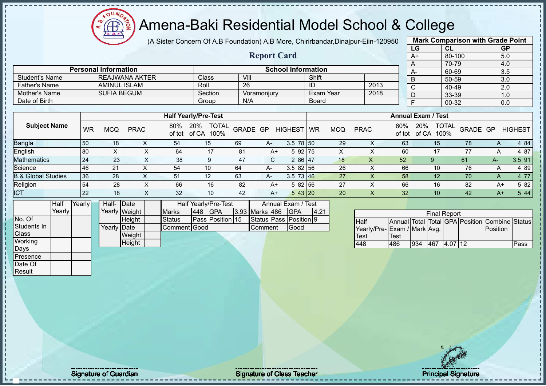Æ

#### Amena-Baki Residential Model School & College

(A Sister Concern Of A.B Foundation) A.B More, Chirirbandar,Dinajpur-Eiin-120950 **Mark Comparison with Grade Point**

|                       |           |                             |                       |               | (A Sister Concern Of A.D Foundation) A.D More, Chimbandar,Dinalpul-Elin-T20950 |          |                    |                           |       |                 |              |      |               |                           | <b>Mark Companson With Orage I Ollit</b> |          |                |
|-----------------------|-----------|-----------------------------|-----------------------|---------------|--------------------------------------------------------------------------------|----------|--------------------|---------------------------|-------|-----------------|--------------|------|---------------|---------------------------|------------------------------------------|----------|----------------|
|                       |           |                             |                       |               |                                                                                |          |                    |                           |       |                 |              |      | <b>LG</b>     |                           | -CL                                      |          | <b>GP</b>      |
|                       |           |                             |                       |               |                                                                                |          | <b>Report Card</b> |                           |       |                 |              |      | A+            |                           | 80-100                                   |          | 5.0            |
|                       |           |                             |                       |               |                                                                                |          |                    |                           |       |                 |              |      |               |                           | 70-79                                    |          | 4.0            |
|                       |           | <b>Personal Information</b> |                       |               |                                                                                |          |                    | <b>School Information</b> |       |                 |              |      | $A-$          |                           | 60-69                                    |          | 3.5            |
| <b>Student's Name</b> |           |                             | <b>REAJWANA AKTER</b> |               | <b>Class</b>                                                                   | VIII     |                    |                           | Shift |                 |              |      | В             |                           | 50-59                                    |          | 3.0            |
| <b>Father's Name</b>  |           | AMINUL ISLAM                |                       |               | Roll                                                                           | 26       |                    |                           | ID    |                 |              | 2013 |               |                           | 40-49                                    |          | 2.0            |
| Mother's Name         |           | <b>SUFIA BEGUM</b>          |                       |               | Section                                                                        |          | Voramonjury        |                           |       | Exam Year       |              | 2018 |               |                           | 33-39                                    |          | 1.0            |
| Date of Birth         |           |                             |                       |               | Group                                                                          | N/A      |                    |                           | Board |                 |              |      |               |                           | 00-32                                    |          | 0.0            |
|                       |           |                             |                       |               |                                                                                |          |                    |                           |       |                 |              |      |               |                           |                                          |          |                |
|                       |           |                             |                       |               | <b>Half Yearly/Pre-Test</b>                                                    |          |                    |                           |       |                 |              |      |               | <b>Annual Exam / Test</b> |                                          |          |                |
| <b>Subject Name</b>   | <b>WR</b> | <b>MCQ</b>                  | <b>PRAC</b>           | 80%<br>of tot | <b>20%</b><br><b>TOTAL</b><br>of CA<br>100%                                    | GRADE GP |                    | HIGHEST WR                |       | <b>MCQ</b>      | <b>PRAC</b>  |      | 80%<br>of tot | <b>20%</b><br>of CA       | <b>TOTAL</b><br>100%                     | GRADE GP | <b>HIGHEST</b> |
| <b>Bangla</b>         | 50        | 18                          | X                     | 54            | 15                                                                             | 69       | A-                 | $3.5 \ 78 \ 50$           |       | 29              |              |      | 63            | 15                        |                                          | 78       | 4 84           |
| English               | 80        | X.                          | х                     | 64            | 17                                                                             | 81       | A+                 | 5 92 75                   |       | X               |              |      | 60            | 17                        |                                          | 77       | 4 87           |
| <i>Anthomatica</i>    | $\Omega$  | $\Omega$                    | $\checkmark$          | ററ            | $\sim$                                                                         | 17       | $\sim$             | 0.00147                   |       | $\overline{40}$ | $\checkmark$ |      | EQ.           | $\sim$                    |                                          | CA       | $2E$ $04$      |

|                               |           |            |             |     | <b>Half Yearly/Pre-Test</b>                 |          |      |                 |    |            |             |               | <b>Annual Exam / Test</b>            |          |                |                |
|-------------------------------|-----------|------------|-------------|-----|---------------------------------------------|----------|------|-----------------|----|------------|-------------|---------------|--------------------------------------|----------|----------------|----------------|
| <b>Subject Name</b>           | <b>WR</b> | <b>MCQ</b> | <b>PRAC</b> | 80% | <b>TOTAL</b><br>20%<br>of tot of CA<br>100% | GRADE GP |      | <b>HIGHEST</b>  | WR | <b>MCQ</b> | <b>PRAC</b> | 80%<br>of tot | <b>TOTAL</b><br>20%<br>of CA<br>100% | GRADE GP |                | <b>HIGHEST</b> |
| Bangla                        | 50        | 18         |             | 54  | 15                                          | 69       | A-   | $3.5$ 78 50     |    | 29         | Χ           | 63            | 15                                   | 78       | $\overline{A}$ | 4 8 4          |
| English                       | 80        |            |             | 64  | 17                                          | 81       | A+   | 5 92 75         |    |            |             | 60            |                                      | 77       | A              | 4 87           |
| <b>Mathematics</b>            | 24        | 23         |             | 38  | 9                                           | 47       | C.   | 2 86 47         |    | 18         | X           | 52            | 9                                    | 61       | А-             | 3.5 91         |
| Science                       | 46        | 21         |             | 54  | 10                                          | 64       | A-   | $3.582$ 56      |    | 26         | ∧           | 66            | 10                                   | 76       | $\overline{A}$ | 4 8 9          |
| <b>B.&amp; Global Studies</b> | 36        | 28         |             | 51  | 12                                          | 63       | A-   | $3.5 \t73 \t46$ |    | 27         | Χ           | 58            | 12                                   | 70       | $\mathsf{A}$   | 4 7 7          |
| Religion                      | 54        | 28         |             | 66  | 16                                          | 82       | A+   | 582 56          |    | 27         | ∧           | 66            | 16                                   | 82       | A+             | 5 82           |
| <b>ICT</b>                    | 22        | 18         |             | 32  | 10                                          | 42       | $A+$ | 543 20          |    | 20         | х           | 32            | 10                                   | 42       | $A+$           | 5 4 4          |

|                  | Half     | Yearly | Half- Date  |               |                     |     | Half Yearly/Pre-Test |                | Annual Exam / Test     |      |
|------------------|----------|--------|-------------|---------------|---------------------|-----|----------------------|----------------|------------------------|------|
|                  | Yearlv l |        |             | Yearly Weight | <b>Marks</b>        | 448 | <b>IGPA</b>          | 3.93 Marks 486 | <b>IGPA</b>            | 4.21 |
| No. Of           |          |        |             | Height        | Status              |     | Pass Position 15     |                | Status Pass Position 9 |      |
| Students In      |          |        | Yearly Date |               | <b>Comment Good</b> |     |                      | Comment        | Good                   |      |
| Class            |          |        |             | Weight        |                     |     |                      |                |                        |      |
| Working          |          |        |             | Height        |                     |     |                      |                |                        |      |
| <b>I</b> Davs    |          |        |             |               |                     |     |                      |                |                        |      |
| <b>IPresence</b> |          |        |             |               |                     |     |                      |                |                        |      |

|                              |      |     | <b>Final Report</b> |         |                                                |      |
|------------------------------|------|-----|---------------------|---------|------------------------------------------------|------|
| <b>Half</b>                  |      |     |                     |         | Annual Total Total GPA Position Combine Status |      |
| Yearly/Pre- Exam / Mark Avg. |      |     |                     |         | Position                                       |      |
| <b>Test</b>                  | Test |     |                     |         |                                                |      |
| 448                          | 486  | 934 | 467                 | 4.07 12 |                                                | Pass |

Date Of **Result** 

J.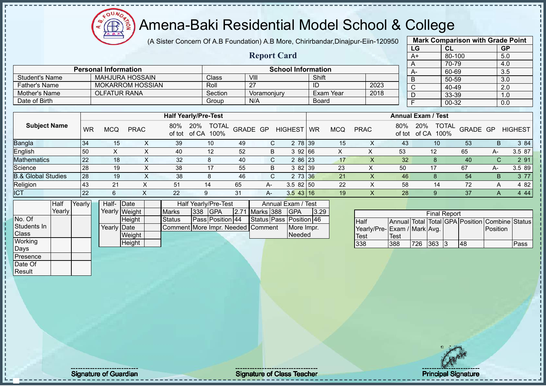$OUN<sub>2</sub>$  $\bigoplus$ ğ  $\overline{A}$ .  $\overline{B}$ .

#### Amena-Baki Residential Model School & College

(A Sister Concern Of A.B Foundation) A.B More, Chirirbandar,Dinajpur-Eiin-120950 **Mark Comparison with Grade Point**

|                               |           |                             |               |             |               |                                   |      |                    |                           |              |                  |                             |                           | LG             |                     | CL           |          |          | GP                                             |
|-------------------------------|-----------|-----------------------------|---------------|-------------|---------------|-----------------------------------|------|--------------------|---------------------------|--------------|------------------|-----------------------------|---------------------------|----------------|---------------------|--------------|----------|----------|------------------------------------------------|
|                               |           |                             |               |             |               |                                   |      | <b>Report Card</b> |                           |              |                  |                             |                           | $A+$           |                     | 80-100       |          |          | 5.0                                            |
|                               |           |                             |               |             |               |                                   |      |                    |                           |              |                  |                             |                           | A              |                     | 70-79        |          |          | 4.0                                            |
|                               |           | <b>Personal Information</b> |               |             |               |                                   |      |                    | <b>School Information</b> |              |                  |                             |                           | $A -$          |                     | 60-69        |          |          | 3.5                                            |
| <b>Student's Name</b>         |           | <b>MAHJURA HOSSAIN</b>      |               |             |               | Class                             |      | VIII               |                           | Shift        |                  |                             |                           | B              |                     | $50 - 59$    |          |          | 3.0                                            |
| <b>Father's Name</b>          |           | <b>MOKARROM HOSSIAN</b>     |               |             |               | Roll                              |      | $\overline{27}$    |                           | ID           |                  | 2023                        |                           | $\mathsf{C}$   |                     | 40-49        |          |          | 2.0                                            |
| <b>Mother's Name</b>          |           | <b>OLFATUR RANA</b>         |               |             |               | Section                           |      | Voramonjury        |                           |              | <b>Exam Year</b> | 2018                        |                           | D              |                     | 33-39        |          |          | 1.0                                            |
| Date of Birth                 |           |                             |               |             |               | Group                             |      | N/A                |                           | <b>Board</b> |                  |                             |                           | $\overline{F}$ |                     | $00 - 32$    |          |          | 0.0                                            |
|                               |           |                             |               |             |               |                                   |      |                    |                           |              |                  |                             |                           |                |                     |              |          |          |                                                |
|                               |           |                             |               |             |               | <b>Half Yearly/Pre-Test</b>       |      |                    |                           |              |                  |                             | <b>Annual Exam / Test</b> |                |                     |              |          |          |                                                |
| <b>Subject Name</b>           | <b>WR</b> | <b>MCQ</b>                  | <b>PRAC</b>   |             | 80%<br>of tot | 20% TOTAL<br>of CA 100%           |      | GRADE GP           | <b>HIGHEST</b>            | WR           | <b>MCQ</b>       | <b>PRAC</b>                 | 80%<br>of tot             | 20%            | of CA 100%          | <b>TOTAL</b> | GRADE GP |          | <b>HIGHEST</b>                                 |
| Bangla                        | 34        | 15                          |               | X           | 39            | 10                                | 49   | $\mathsf{C}$       |                           | 2 78 39      | 15               | X                           | 43                        |                | 10                  |              | 53       | B.       | 3 84                                           |
| English                       | 50        | $\sf X$                     |               | X           | 40            | 12                                | 52   | B                  |                           | 3 92 66      | X                | $\mathsf X$                 | 53                        |                | 12                  |              | 65       | A-       | 3.5 87                                         |
| <b>Mathematics</b>            | 22        | 18                          |               | $\mathsf X$ | 32            | 8                                 | 40   | С                  |                           | 2 86 23      | 17               | $\boldsymbol{\mathsf{X}}$   | 32                        |                | 8                   |              | 40       | C        | 2 91                                           |
| Science                       | 28        | 19                          |               | X           | 38            | 17                                | 55   | B                  |                           | 3 82 39      | 23               | X                           | 50                        |                | 17                  |              | 67       | $A -$    | 3.5 89                                         |
| <b>B.&amp; Global Studies</b> | 28        | 19                          |               | X           | 38            | 8                                 | 46   | C.                 |                           | 2 73 36      | 21               | X                           | 46                        |                | 8                   |              | 54       | B        | 3 77                                           |
| Religion                      | 43        | 21                          |               | X           | 51            | 14                                | 65   | A-                 | $3.582$ 50                |              | 22               | $\times$                    | 58                        |                | 14                  |              | 72       | A        | 4 8 2                                          |
| <b>ICT</b>                    | 22        | 6                           | X             |             | 22            | 9                                 | 31   | A-                 | 3.54316                   |              | 19               | $\times$                    | 28                        |                | 9                   |              | 37       | A        | 4 4 4                                          |
| Half                          | Yearly    | Half-Date                   |               |             |               | Half Yearly/Pre-Test              |      |                    | Annual Exam / Test        |              |                  |                             |                           |                |                     |              |          |          |                                                |
| Yearly                        |           |                             | Yearly Weight |             | <b>Marks</b>  | <b>GPA</b><br>338                 | 2.71 | Marks 388          | <b>GPA</b>                | 3.29         |                  |                             |                           |                | <b>Final Report</b> |              |          |          |                                                |
| No. Of                        |           |                             | Height        |             | <b>Status</b> | Pass Position 44                  |      |                    | Status Pass Position 46   |              |                  | Half                        |                           |                |                     |              |          |          | Annual Total Total GPA Position Combine Status |
| Students In                   |           | Yearly Date                 |               |             |               | Comment More Impr. Needed Comment |      |                    |                           | More Impr.   |                  | Yearly/Pre-Exam / Mark Avg. |                           |                |                     |              |          | Position |                                                |
| Class                         |           |                             | Weight        |             |               |                                   |      |                    | Needed                    |              |                  | <b>Test</b>                 | <b>Test</b>               |                |                     |              |          |          |                                                |
| Working                       |           |                             | Height        |             |               |                                   |      |                    |                           |              |                  | 338                         | 388                       | 726            | $363 \mid 3$        |              | 48       |          | Pass                                           |
| Days                          |           |                             |               |             |               |                                   |      |                    |                           |              |                  |                             |                           |                |                     |              |          |          |                                                |
| Presence                      |           |                             |               |             |               |                                   |      |                    |                           |              |                  |                             |                           |                |                     |              |          |          |                                                |
| Date Of                       |           |                             |               |             |               |                                   |      |                    |                           |              |                  |                             |                           |                |                     |              |          |          |                                                |
| Result                        |           |                             |               |             |               |                                   |      |                    |                           |              |                  |                             |                           |                |                     |              |          |          |                                                |
|                               |           |                             |               |             |               |                                   |      |                    |                           |              |                  |                             |                           |                |                     |              |          |          |                                                |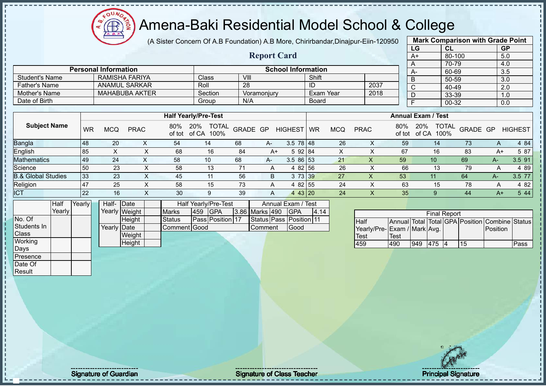(A Sister Concern Of A.B Foundation) A.B More, Chirirbandar,Dinajpur-Eiin-120950

**Report Card**

| Ŋ |     | <b>Mark Comparison with Grade Point</b> |                  |
|---|-----|-----------------------------------------|------------------|
|   | LG  | <b>CL</b>                               | <b>GP</b>        |
|   | A+  | 80-100                                  | 5.0              |
|   | A   | 70-79                                   | 4.0              |
|   | А-  | 60-69                                   | 3.5              |
|   | в   | $50 - 59$                               | $\overline{3.0}$ |
|   | C   | 40-49                                   | 2.0              |
|   |     | 33-39                                   | 1.0              |
|   |     | $00 - 32$                               | 0.0              |
|   |     |                                         |                  |
|   | . . | $\overline{\phantom{a}}$                |                  |

|                      |                             |         |                           |           |      |      | 70-79 |
|----------------------|-----------------------------|---------|---------------------------|-----------|------|------|-------|
|                      | <b>Personal Information</b> |         | <b>School Information</b> |           |      | $A-$ | 60-69 |
| Student's Name       | RAMISHA FARIYA              | Class   | VIII                      | Shift     |      |      | 50-59 |
| <b>Father's Name</b> | <b>ANAMUL SARKAR</b>        | Roll    | 28                        | ID        | 2037 |      | 40-49 |
| Mother's Name        | <b>MAHABUBA AKTER</b>       | Section | Voramoniurv               | Exam Year | 2018 |      | 33-39 |
| Date of Birth        |                             | Group   | N/A                       | Board     |      |      | 00-32 |
|                      |                             |         |                           |           |      |      |       |

|                               |     |     |             |     | <b>Half Yearly/Pre-Test</b>                 |          |      |                         |           |     |             |               | <b>Annual Exam / Test</b>            |          |              |                |
|-------------------------------|-----|-----|-------------|-----|---------------------------------------------|----------|------|-------------------------|-----------|-----|-------------|---------------|--------------------------------------|----------|--------------|----------------|
| <b>Subject Name</b>           | WR  | MCQ | <b>PRAC</b> | 80% | 20%<br><b>TOTAL</b><br>of tot of CA<br>100% | GRADE GP |      | <b>HIGHEST</b>          | <b>WR</b> | MCQ | <b>PRAC</b> | 80%<br>of tot | <b>TOTAL</b><br>20%<br>of CA<br>100% | GRADE GP |              | <b>HIGHEST</b> |
| Bangla                        | 48  | 20  |             | 54  | 14                                          | 68       | $A-$ | $3.5 \ 78 \ 48$         |           | 26  |             | 59            | 14                                   | 73       | $\mathsf{A}$ | 4 84           |
| English                       | 85  |     |             | 68  | 16                                          | 84       | $A+$ | 5 92 84                 |           | X   |             | 67            | 16                                   | 83       | A+           | 5 87           |
| <b>Mathematics</b>            | 49  | 24  |             | 58  | 10                                          | 68       | A-   | $3.586$ 53              |           | 21  | ∧           | 59            | 10 <sup>°</sup>                      | 69       | A-           | 3.5 91         |
| Science                       | 50  | 23  |             | 58  | 13                                          |          |      | 4 82 56                 |           | 26  |             | 66            | 13                                   | 79       |              | 4 89           |
| <b>B.&amp; Global Studies</b> | 33  | 23  | X           | 45  | 11                                          | 56       | B    | 3 73 39                 |           | 27  | ∧           | 53            | 11                                   | 64       | А-           | 3.5 77         |
| Religion                      | 147 | 25  |             | 58  | 15                                          | 73       |      | 4 82 55                 |           | 24  |             | 63            | 15                                   | 78       | Α            | 4 8 2          |
| <b>ICT</b>                    | 22  | 16  | ∧           | 30  | 9                                           | 39       | A    | 43 20<br>$\overline{4}$ |           | 24  |             | 35            | Q                                    | 44       | $A+$         | 5 4 4          |

|              | Half     | Yearly | Half-       | Date          |              |     | <b>Half Yearly/Pre-Test</b> |                | Annual Exam / Test      |      |
|--------------|----------|--------|-------------|---------------|--------------|-----|-----------------------------|----------------|-------------------------|------|
|              | Yearlv l |        |             | Yearly Weight | <b>Marks</b> | 459 | <b>IGPA</b>                 | 3.86 Marks 490 | <b>IGPA</b>             | 4.14 |
| No. Of       |          |        |             | Height        | Status       |     | Pass Position 17            |                | Status Pass Position 11 |      |
| Students In  |          |        | Yearly Date |               | Comment Good |     |                             | Comment        | Good                    |      |
| <b>Class</b> |          |        |             | Weight        |              |     |                             |                |                         |      |
| Working      |          |        |             | Height        |              |     |                             |                |                         |      |
| Davs         |          |        |             |               |              |     |                             |                |                         |      |
| Presence     |          |        |             |               |              |     |                             |                |                         |      |
| Date Of      |          |        |             |               |              |     |                             |                |                         |      |

|                             |      |     | <b>Final Report</b> |    |                                                |      |
|-----------------------------|------|-----|---------------------|----|------------------------------------------------|------|
| Half                        |      |     |                     |    | Annual Total Total GPA Position Combine Status |      |
| Yearly/Pre-Exam / Mark Avg. |      |     |                     |    | Position                                       |      |
| Test                        | Test |     |                     |    |                                                |      |
| 459                         | 490  | 949 | <b>475 4</b>        | 15 |                                                | Pass |

Result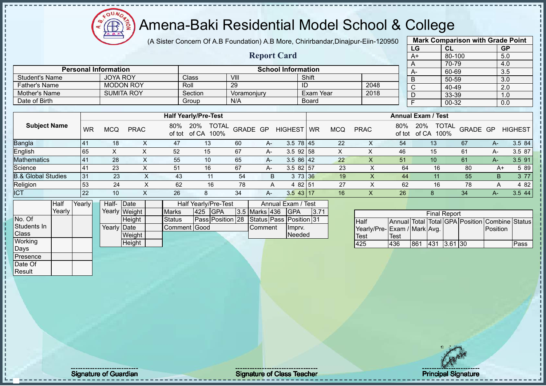

(A Sister Concern Of A.B Foundation) A.B More, Chirirbandar,Dinajpur-Eiin-120950

**Report Card**

|                                 | <b>Mark Comparison with Grade Point</b> |           |  |  |  |  |  |  |  |  |
|---------------------------------|-----------------------------------------|-----------|--|--|--|--|--|--|--|--|
| LG                              | <b>CL</b>                               | <b>GP</b> |  |  |  |  |  |  |  |  |
| $A+$                            | 5.0                                     |           |  |  |  |  |  |  |  |  |
| $80 - 100$<br>70-79<br>4.0<br>A |                                         |           |  |  |  |  |  |  |  |  |
| A-                              | 60-69                                   | 3.5       |  |  |  |  |  |  |  |  |
| B                               | 50-59                                   | 3.0       |  |  |  |  |  |  |  |  |
| $\overline{C}$                  | 40-49                                   | 2.0       |  |  |  |  |  |  |  |  |
| D                               | 33-39                                   | 1.0       |  |  |  |  |  |  |  |  |
| E<br>00-32<br>0.0               |                                         |           |  |  |  |  |  |  |  |  |
|                                 |                                         |           |  |  |  |  |  |  |  |  |

| <b>Student's Name</b>         |           | <b>JOYA ROY</b>   |                  |               | Class                         | VIII        |    |                 | Shift       |            |             |               | B                                    | 50-59    |      | 3.0            |
|-------------------------------|-----------|-------------------|------------------|---------------|-------------------------------|-------------|----|-----------------|-------------|------------|-------------|---------------|--------------------------------------|----------|------|----------------|
| <b>Father's Name</b>          |           |                   | <b>MODON ROY</b> |               | Roll                          | 29          |    |                 | ID          |            | 2048        |               |                                      | 40-49    |      | 2.0            |
| Mother's Name                 |           | <b>SUMITA ROY</b> |                  |               | Section                       | Voramonjury |    |                 | Exam Year   |            | 2018        |               |                                      | 33-39    |      | 1.0            |
| Date of Birth                 |           |                   |                  |               | Group                         | N/A         |    |                 | Board       |            |             |               |                                      | 00-32    |      | 0.0            |
|                               |           |                   |                  |               |                               |             |    |                 |             |            |             |               |                                      |          |      |                |
|                               |           |                   |                  |               | <b>Half Yearly/Pre-Test</b>   |             |    |                 |             |            |             |               | <b>Annual Exam / Test</b>            |          |      |                |
| <b>Subject Name</b>           | <b>WR</b> | <b>MCQ</b>        | <b>PRAC</b>      | 80%<br>of tot | 20%<br>TOTAL<br>of CA<br>100% | GRADE GP    |    | <b>HIGHEST</b>  | <b>I</b> WR | <b>MCQ</b> | <b>PRAC</b> | 80%<br>of tot | <b>TOTAL</b><br>20%<br>of CA<br>100% | GRADE GP |      | <b>HIGHEST</b> |
| <b>Bangla</b>                 | 41        | 18                |                  | 47            | 13                            | 60          | A- | $3.5 \ 78 \ 45$ |             | 22         | X           | 54            | 13                                   | 67       | A-   | 3.5 84         |
| English                       | 65        | X                 |                  | 52            | 15                            | 67          | A- | $3.5$ 92 58     |             | X.         |             | 46            | 15                                   | 61       | A-   | 3.5 87         |
| <b>Mathematics</b>            | 41        | 28                |                  | 55            | 10                            | 65          | A- | $3.586$   42    |             | 22         | X           | 51            | 10                                   | 61       | $A-$ | 3.5 91         |
| Science                       | 41        | 23                |                  | 51            | 16                            | 67          | A- | $3.582$ 57      |             | 23         | ᄉ           | 64            | 16                                   | 80       | A+   | 5 89           |
| <b>B.&amp; Global Studies</b> | 31        | 23                | ^                | 43            | 11                            | 54          | B. |                 | 3 73 36     | 19         | X.          | 44            |                                      | 55       | B    | 3 77           |

Religion 53 24 X 62 16 78 A 4 82 51 27 X 62 16 78 A 4 82

| <b>ICT</b>   |        | 22     |       | 10          |               | 26            |     |                                                 | 34 | А-                   | $3.5$ 43 17        |      | 16 |                             | 26   |     |                     | 34 |                                                | 3.544 |
|--------------|--------|--------|-------|-------------|---------------|---------------|-----|-------------------------------------------------|----|----------------------|--------------------|------|----|-----------------------------|------|-----|---------------------|----|------------------------------------------------|-------|
|              | Half   | Yearly | Half- |             | <b>IDate</b>  |               |     | Half Yearly/Pre-Test                            |    |                      | Annual Exam / Test |      |    |                             |      |     |                     |    |                                                |       |
|              | Yearly |        |       |             | Yearly Weight | <b>Marks</b>  | 425 | <b>IGPA</b>                                     |    | <b>3.5 Marks 436</b> | <b>IGPA</b>        | 3.71 |    |                             |      |     | <b>Final Report</b> |    |                                                |       |
| No. Of       |        |        |       |             | Height        | <b>Status</b> |     | <b>Pass Position 28 Status Pass Position 31</b> |    |                      |                    |      |    | Half                        |      |     |                     |    | Annual Total Total GPA Position Combine Status |       |
| Students In  |        |        |       | Yearly Date |               | Comment Good  |     |                                                 |    | Comment              | <b>Ilmprv.</b>     |      |    | Yearly/Pre-Exam / Mark Avg. |      |     |                     |    | Position                                       |       |
| <b>Class</b> |        |        |       |             | Weight        |               |     |                                                 |    |                      | Needed             |      |    | Test                        | Test |     |                     |    |                                                |       |
| Working      |        |        |       |             | Height        |               |     |                                                 |    |                      |                    |      |    | 425                         | 436  | 861 | 431 3.61 30         |    |                                                | Pass  |
| Days         |        |        |       |             |               |               |     |                                                 |    |                      |                    |      |    |                             |      |     |                     |    |                                                |       |

**Personal Information School Information** 

|                             |             |     | <b>Final Report</b> |  |                                                |      |
|-----------------------------|-------------|-----|---------------------|--|------------------------------------------------|------|
| <b>Half</b>                 |             |     |                     |  | Annual Total Total GPA Position Combine Status |      |
| Yearly/Pre-Exam / Mark Avg. |             |     |                     |  | <b>IPosition</b>                               |      |
| Test                        | <b>Test</b> |     |                     |  |                                                |      |
| 425                         | 436         | 861 | 431 3.61 30         |  |                                                | Pass |

Presence Date Of **Result** 

Signature of Guardian Signature Signature of Class Teacher National Signature Principal Signature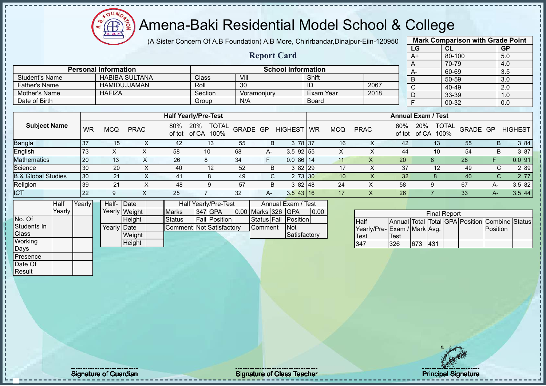Æ

# Amena-Baki Residential Model School & College

(A Sister Concern Of A.B Foundation) A.B More, Chirirbandar, Dinajpur-Eiin-12095

**Report Card**

| iΩ |                                  | <b>Mark Comparison with Grade Point</b> |                  |
|----|----------------------------------|-----------------------------------------|------------------|
|    | LG                               | <b>CL</b>                               | <b>GP</b>        |
|    | A+                               | 80-100                                  | 5.0              |
|    | A                                | 70-79                                   | 4.0              |
|    | А-                               | 60-69                                   | 3.5              |
|    | B                                | 50-59                                   | 3.0              |
|    | $\overline{\overline{\text{c}}}$ | 40-49                                   | $\overline{2.0}$ |
|    | D                                | 33-39                                   | 1.0              |
|    | F                                | $00 - 32$                               | 0.0              |
|    |                                  |                                         |                  |

|                       |                             |         |                           |                  |      |      | 70-79 |
|-----------------------|-----------------------------|---------|---------------------------|------------------|------|------|-------|
|                       | <b>Personal Information</b> |         | <b>School Information</b> |                  |      | $A-$ | 60-69 |
| <b>Student's Name</b> | <b>HABIBA SULTANA</b>       | Class   | VIII                      | Shift            |      | в    | 50-59 |
| <b>Father's Name</b>  | HAMIDUJJAMAN                | Roll    | 30                        | ΙU               | 2067 |      | 40-49 |
| Mother's Name         | <b>HAFIZA</b>               | Section | Voramoniury               | <b>Exam Year</b> | 2018 |      | 33-39 |
| Date of Birth         |                             | Group   | N/A                       | <b>Board</b>     |      |      | 00-32 |

|                               |           |     |             |     | <b>Half Yearly/Pre-Test</b>              |          |      |                |           |            |             |     | <b>Annual Exam / Test</b>                   |          |    |                |
|-------------------------------|-----------|-----|-------------|-----|------------------------------------------|----------|------|----------------|-----------|------------|-------------|-----|---------------------------------------------|----------|----|----------------|
| <b>Subject Name</b>           | <b>WR</b> | MCQ | <b>PRAC</b> | 80% | <b>TOTAL</b><br>20%<br>of tot of CA 100% | GRADE GP |      | <b>HIGHEST</b> | <b>WR</b> | <b>MCQ</b> | <b>PRAC</b> | 80% | <b>TOTAL</b><br>20%<br>100%<br>of tot of CA | GRADE GP |    | <b>HIGHEST</b> |
| Bangla                        | 37        |     |             | 42  | 13                                       | 55       | B    | 78 37          |           | 16         |             | 42  | 13                                          | 55       | B  | 3 84           |
| English                       | 73        |     |             | 58  | 10                                       | 68       | $A-$ | $3.5$ 92 55    |           | ∧          |             | 44  | 10                                          | 54       | B  | 3 87           |
| <b>Mathematics</b>            | 20        | 13  |             | 26  | 8                                        | 34       |      | $0.086$ 14     |           | 11         |             | 20  | 8                                           | 28       |    | 0.091          |
| Science                       | 30        | 20  | ∧           | 40  | 12                                       | 52       | B    | 3 82 29        |           | 17         |             | 37  | 12                                          | 49       | C. | 2 8 9          |
| <b>B.&amp; Global Studies</b> | 30        | 21  | ∧           | 41  | 8                                        | 49       | C.   | 2 73 30        |           | 10         |             | 32  |                                             | 40       | C. | 2 7 7          |
| Religion                      | 39        | 21  |             | 48  | 9                                        | 57       | B    | 382148         |           | 24         | X           | 58  | 9                                           | 67       | A- | 3.5 82         |
| <b>ICT</b>                    | 22        | 9   |             | 25  |                                          | 32       | $A-$ | $3.5$ 43 16    |           | 17         | ∧           | 26  |                                             | 33       | А- | 3.544          |

|              | Half   | Yearly | Half- Date  |               |                          | Half Yearly/Pre-Test |                    | Annual Exam / Test   |      |
|--------------|--------|--------|-------------|---------------|--------------------------|----------------------|--------------------|----------------------|------|
|              | Yearlv |        |             | Yearly Weight | <b>Marks</b>             | $ 347 $ GPA          | 0.00 Marks 326 GPA |                      | 0.00 |
| No. Of       |        |        |             | Height        | <b>Status</b>            | <b>Fail Position</b> |                    | Status Fail Position |      |
| Students In  |        |        | Yearly Date |               | Comment Not Satisfactory |                      | Comment            | <b>Not</b>           |      |
| <b>Class</b> |        |        |             | Weight        |                          |                      |                    | Satisfactory         |      |
| Working      |        |        |             | Height        |                          |                      |                    |                      |      |
| Days         |        |        |             |               |                          |                      |                    |                      |      |

|                             |      |     | <b>Final Report</b> |  |                                                |  |
|-----------------------------|------|-----|---------------------|--|------------------------------------------------|--|
| <b>Half</b>                 |      |     |                     |  | Annual Total Total GPA Position Combine Status |  |
| Yearly/Pre-Exam / Mark Avg. |      |     |                     |  | Position                                       |  |
| <b>Test</b>                 | Test |     |                     |  |                                                |  |
| 1347                        | 326  | 673 | 431                 |  |                                                |  |

Presence Date Of **Result**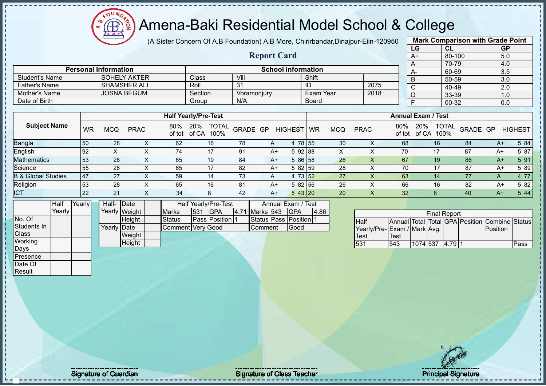oυ Æ

#### Amena-Baki Residential Model School & College

(A Sister Concern Of A.B Foundation) A.B More, Chirirbandar,Dinajpur-Eiin-120950

**Report Card**

|                           | <b>Mark Comparison with Grade Point</b> |           |  |  |  |  |  |  |  |  |
|---------------------------|-----------------------------------------|-----------|--|--|--|--|--|--|--|--|
| LG                        | <b>CL</b>                               | <b>GP</b> |  |  |  |  |  |  |  |  |
| $A+$<br>$80 - 100$<br>5.0 |                                         |           |  |  |  |  |  |  |  |  |
| A                         | 70-79<br>4.0                            |           |  |  |  |  |  |  |  |  |
| $A-$                      | 60-69                                   | 3.5       |  |  |  |  |  |  |  |  |
| B                         | $50 - 59$                               | 3.0       |  |  |  |  |  |  |  |  |
| $\overline{C}$            | 40-49                                   | 2.0       |  |  |  |  |  |  |  |  |
| D                         | 33-39                                   | 1.0       |  |  |  |  |  |  |  |  |
| F                         | 00-32<br>0.0                            |           |  |  |  |  |  |  |  |  |
|                           |                                         |           |  |  |  |  |  |  |  |  |

|                               |                  |            |             |               | <b>Half Yearly/Pre-Test</b>   |          |   |                 |           |     |             |               | <b>Annual Exam / Test</b>            |                 |   |                |
|-------------------------------|------------------|------------|-------------|---------------|-------------------------------|----------|---|-----------------|-----------|-----|-------------|---------------|--------------------------------------|-----------------|---|----------------|
| <b>Subject Name</b>           | <b>WR</b>        | <b>MCQ</b> | <b>PRAC</b> | 80%<br>of tot | 20%<br>TOTAL<br>of CA<br>100% | GRADE GP |   | <b>HIGHEST</b>  | <b>WR</b> | MCQ | <b>PRAC</b> | 80%<br>of tot | <b>TOTAL</b><br>20%<br>100%<br>of CA | <b>GRADE GP</b> |   | <b>HIGHEST</b> |
| <b>Bangla</b>                 | 50               | 28         |             | 62            | 16                            | 78       | A | 4 78 55         |           | 30  |             | 68            | 16                                   | 84              |   | 5 84<br>$A+$   |
| English                       | 92               |            |             | 74            | 17                            | 91       |   | 5 92 88<br>A+   |           | ∧   |             | 70            |                                      | 87              |   | 5 87<br>$A+$   |
| <b>Mathematics</b>            | 53               | 28         | $\sim$      | 65            | 19                            | 84       |   | 5 86 58<br>$A+$ |           | 26  |             | 67            | 19                                   | 86              |   | 5 91<br>$A+$   |
| Science                       | 55               | 26         |             | 65            | 17                            | 82       |   | 5 82 59<br>$A+$ |           | 28  |             | 70            | 17                                   | 87              |   | 5 89<br>A+     |
| <b>B.&amp; Global Studies</b> | $\overline{147}$ | 27         | $\sim$      | 59            | 14                            | 73       | A | 4 73 52         |           | 27  |             | 63            | 14                                   | 77              | A | 4 77           |
| Religion                      | 53               | 28         |             | 65            | 16                            | 81       |   | 5 82 56<br>A+   |           | 26  |             | 66            | 16                                   | 82              |   | 5 82<br>$A+$   |
| <b>ICT</b>                    | <b>22</b>        | 21         |             | 34            | 8                             | 42       |   | 543 20<br>A+    |           | 20  |             | 32            |                                      | 40              |   | 5 4 4<br>$A+$  |

|             | Half   | <b>Yearly</b> | Half- Date          |               |                   |     | Half Yearly/Pre-Test   |                | Annual Exam / Test     |       |
|-------------|--------|---------------|---------------------|---------------|-------------------|-----|------------------------|----------------|------------------------|-------|
|             | Yearly |               |                     | Yearly Weight | <b>Marks</b>      | 531 | <b>IGPA</b>            | 4.71 Marks 543 | <b>IGPA</b>            | 14.86 |
| No. Of      |        |               |                     | <b>Height</b> | <b>Status</b>     |     | <b>Pass Position 1</b> |                | Status Pass Position 1 |       |
| Students In |        |               | Yearly <b>D</b> ate |               | Comment Very Good |     |                        | lComment       | Good                   |       |
| Class       |        |               |                     | Weight        |                   |     |                        |                |                        |       |
| Working     |        |               |                     | Height        |                   |     |                        |                |                        |       |
| Days        |        |               |                     |               |                   |     |                        |                |                        |       |
| Presence    |        |               |                     |               |                   |     |                        |                |                        |       |

**Personal Information School Information** 

Father's Name SHAMSHER ALI Roll 31 ID 2075<br>
Mother's Name JOSNA BEGUM Section Voramoniury Exam Year 2018

Student's Name SOHELY AKTER<br>
SHAMSHER ALI Roll 31 ID

Mother's Name JOSNA BEGUM Section Voramonjury Exam Year Date of Birth Board Group N/A Board

|                              | <b>Final Report</b> |          |  |         |  |                                                |      |  |  |  |  |  |
|------------------------------|---------------------|----------|--|---------|--|------------------------------------------------|------|--|--|--|--|--|
| <b>Half</b>                  |                     |          |  |         |  | Annual Total Total GPA Position Combine Status |      |  |  |  |  |  |
| Yearly/Pre- Exam / Mark Avg. |                     |          |  |         |  | Position                                       |      |  |  |  |  |  |
| <b>Test</b>                  | Test                |          |  |         |  |                                                |      |  |  |  |  |  |
| 531                          | 543                 | 1074 537 |  | 14.7911 |  |                                                | Pass |  |  |  |  |  |

Date Of **Result** 

Signature of Guardian Signature Signature of Class Teacher Principal Signature Principal Signature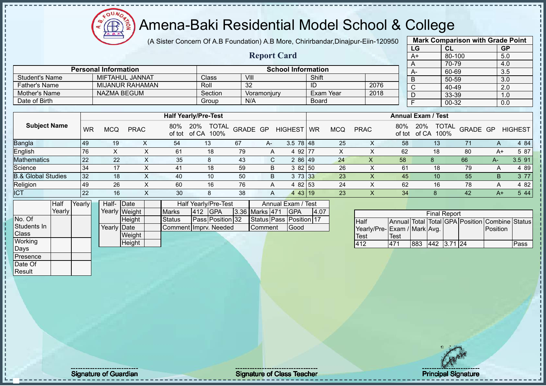Æ

#### Amena-Baki Residential Model School & College

(A Sister Concern Of A.B Foundation) A.B More, Chirirbandar,Dinajpur-Eiin-120950 **Mark Comparison with Grade Point**

|                       |                |                             |                        |             | (A Sister Concert) Of A.D Foundation) A.D More, Chimnuanual,Dinajpul-Ellii-T20930 |          |                    |                           |       |            |             |               |                           |                            | <u>MAIN OUINAISON WILL ORGU LONG</u> |           |                |
|-----------------------|----------------|-----------------------------|------------------------|-------------|-----------------------------------------------------------------------------------|----------|--------------------|---------------------------|-------|------------|-------------|---------------|---------------------------|----------------------------|--------------------------------------|-----------|----------------|
|                       |                |                             |                        |             |                                                                                   |          |                    |                           |       |            |             |               | LG                        | <b>CL</b>                  |                                      | <b>GP</b> |                |
|                       |                |                             |                        |             |                                                                                   |          | <b>Report Card</b> |                           |       |            |             |               | A+                        | 80-100                     |                                      | 5.0       |                |
|                       |                | <b>Personal Information</b> |                        |             |                                                                                   |          |                    | <b>School Information</b> |       |            |             |               |                           | 70-79                      |                                      | 4.0       |                |
|                       |                |                             |                        |             |                                                                                   |          |                    |                           |       |            |             |               | $A-$                      | 60-69                      |                                      | 3.5       |                |
| <b>Student's Name</b> |                |                             | MIFTAHUL JANNAT        |             | Class                                                                             | VIII     |                    |                           | Shift |            |             |               | B                         | 50-59                      |                                      | 3.0       |                |
| <b>Father's Name</b>  |                |                             | <b>MIJANUR RAHAMAN</b> |             | Roll                                                                              | 32       |                    |                           | ID    |            | 2076        |               | С                         | 40-49                      |                                      | 2.0       |                |
| Mother's Name         |                | <b>NAZMA BEGUM</b>          |                        |             | Section                                                                           |          | Voramonjury        |                           |       | Exam Year  | 2018        |               | D                         | 33-39                      |                                      | 1.0       |                |
| Date of Birth         |                |                             |                        |             | Group                                                                             | N/A      |                    |                           | Board |            |             |               |                           | 00-32                      |                                      | 0.0       |                |
|                       |                |                             |                        |             |                                                                                   |          |                    |                           |       |            |             |               |                           |                            |                                      |           |                |
|                       |                |                             |                        |             | <b>Half Yearly/Pre-Test</b>                                                       |          |                    |                           |       |            |             |               | <b>Annual Exam / Test</b> |                            |                                      |           |                |
| <b>Subject Name</b>   | <b>WR</b>      | <b>MCQ</b>                  | <b>PRAC</b>            | 80%         | <b>TOTAL</b><br><b>20%</b><br>of tot of CA<br>100%                                | GRADE GP |                    | HIGHEST WR                |       | <b>MCQ</b> | <b>PRAC</b> | 80%<br>of tot | 20%                       | <b>TOTAL</b><br>of CA 100% | <b>GRADE GP</b>                      |           | <b>HIGHEST</b> |
| <b>Bangla</b>         | 49             | 19                          | X.                     | 54          | 13 <sup>°</sup>                                                                   | 67       | A-                 | $3.5 \ 78 \ 48$           |       | 25         |             | 58            |                           | 13                         | 71                                   | A         | 4 84           |
| English               | 76             | X.                          |                        | 61          | 18                                                                                | 79       | A                  | 4 92 77                   |       | X          |             | 62            |                           | 18                         | 80                                   | A+        | 5 87           |
| <b>Mathematics</b>    | 22             | 22                          | X                      | 35          | 8                                                                                 | 43       | C                  | 286 49                    |       | 24         | X           | 58            |                           | 8                          | 66                                   | A-        | 3.591          |
| <u>Science</u>        | 3 <sub>A</sub> | 17                          |                        | $\Lambda$ 1 | 18                                                                                | 50       | R                  | 3.82 $ 50$                |       | 26         |             | 61            |                           | 18                         | 70                                   |           | $\lambda$ 80   |

|                               |    |            |             |               | <b>Half Yearly/Pre-Test</b>          |          |    |                  |           |            |             |               | <b>Annual Exam / Test</b>            |                 |      |                |
|-------------------------------|----|------------|-------------|---------------|--------------------------------------|----------|----|------------------|-----------|------------|-------------|---------------|--------------------------------------|-----------------|------|----------------|
| <b>Subject Name</b>           | WR | <b>MCQ</b> | <b>PRAC</b> | 80%<br>of tot | <b>TOTAL</b><br>20%<br>of CA<br>100% | GRADE GP |    | HIGHEST          | <b>WR</b> | <b>MCQ</b> | <b>PRAC</b> | 80%<br>of tot | <b>TOTAL</b><br>20%<br>100%<br>of CA | <b>GRADE GP</b> |      | <b>HIGHEST</b> |
| Bangla                        | 49 | 19         |             | 54            | 13                                   | 67       | A- | $3.5 \ 78 \ 148$ |           | 25         | ⋏           | 58            | 13                                   | 71              | A    | 4 84           |
| English                       | 76 |            |             | 61            | 18                                   | 79       | A  | 4 92 77          |           | X          |             | 62            | 18                                   | 80              | A+   | 5 87           |
| <b>Mathematics</b>            | 22 | 22         |             | 35            |                                      | 43       | C. | 286 49           |           | 24         |             | 58            | 8                                    | 66              | A-   | 3.5 91         |
| Science                       | 34 | 17         |             | 41            | 18                                   | 59       | B  | 3 82 50          |           | 26         |             | 61            | 18                                   | 79              | А    | 4 8 9          |
| <b>B.&amp; Global Studies</b> | 32 | 18         |             | 40            | 10                                   | 50       | B  | 3 73 33          |           | 23         |             | 45            | 10                                   | 55              | B.   | 3 7 7          |
| Religion                      | 49 | 26         | $\sim$      | 60            | 16                                   | 76       | A  | 4 82 53          |           | 24         |             | 62            | 16                                   | 78              | А    | 4 8 2          |
| <b>ICT</b>                    | 22 | 16         |             | 30            | 8                                    | 38       | A  | 4 43 19          |           | 23         | ↗           | 34            |                                      | 42              | $A+$ | 5 4 4          |

|                | Half     | Yearly | Half-       | <b>IDate</b>  |                        |     | Half Yearly/Pre-Test |                  | Annual Exam / Test      |       |
|----------------|----------|--------|-------------|---------------|------------------------|-----|----------------------|------------------|-------------------------|-------|
|                | Yearlv l |        |             | Yearly Weight | <b>Marks</b>           | 412 | <b>IGPA</b>          | 3.36 Marks 471   | IGPA                    | 14.07 |
| No. Of         |          |        |             | <b>Height</b> | Status                 |     | Pass Position 32     |                  | Status Pass Position 17 |       |
| Students In    |          |        | Yearly Date |               | Comment I mprv. Needed |     |                      | <b>I</b> Comment | Good                    |       |
| <b>Class</b>   |          |        |             | Weight        |                        |     |                      |                  |                         |       |
| <b>Working</b> |          |        |             | Height        |                        |     |                      |                  |                         |       |
| Days           |          |        |             |               |                        |     |                      |                  |                         |       |
| Presence       |          |        |             |               |                        |     |                      |                  |                         |       |

|                             | <b>Final Report</b> |     |             |  |  |                                                |      |  |  |  |  |  |
|-----------------------------|---------------------|-----|-------------|--|--|------------------------------------------------|------|--|--|--|--|--|
| <b>I</b> Half               |                     |     |             |  |  | Annual Total Total GPA Position Combine Status |      |  |  |  |  |  |
| Yearly/Pre-Exam / Mark Avg. |                     |     |             |  |  | <b>Position</b>                                |      |  |  |  |  |  |
| Test                        | Test                |     |             |  |  |                                                |      |  |  |  |  |  |
| 412                         | 471                 | 883 | 442 3.71 24 |  |  |                                                | Pass |  |  |  |  |  |

Date Of **Result** 

Signature of Guardian Signature of Class Teacher Principal Signature of Class Teacher Principal Signature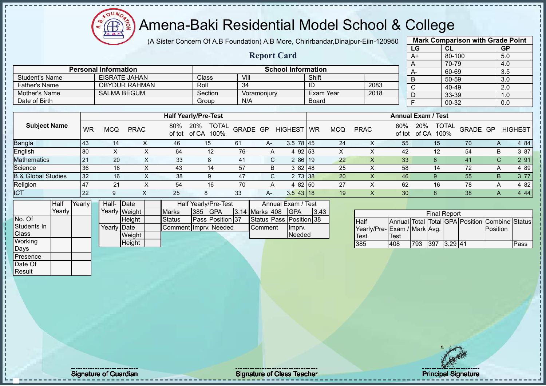(A Sister Concern Of A.B Foundation) A.B More, Chirirbandar,Dinajpur-Eiin-120950

|                       |                             |                             | <b>Report Card</b> |                           |      | LG<br>A+                  | <b>CL</b><br>80-100<br>70-79 | <b>GP</b><br>5.0<br>4.0 |
|-----------------------|-----------------------------|-----------------------------|--------------------|---------------------------|------|---------------------------|------------------------------|-------------------------|
|                       | <b>Personal Information</b> |                             |                    | <b>School Information</b> |      | <b>A-</b>                 | 60-69                        | 3.5                     |
| <b>Student's Name</b> | <b>EISRATE JAHAN</b>        | Class l                     | VIII               | Shift                     |      |                           | 50-59                        | 3.0                     |
| Father's Name         | <b>OBYDUR RAHMAN</b>        | Roll                        | -34                | ID                        | 2083 |                           | 40-49                        | 2.0                     |
| Mother's Name         | <b>SALMA BEGUM</b>          | Section                     | Voramonjury        | Exam Year                 | 2018 |                           | 33-39                        | 1.0                     |
| Date of Birth         |                             | Group                       | N/A                | <b>Board</b>              |      |                           | 00-32                        | 0.0                     |
|                       |                             |                             |                    |                           |      |                           |                              |                         |
|                       |                             | <b>Half Yearly/Pre-Test</b> |                    |                           |      | <b>Annual Exam / Test</b> |                              |                         |

| <b>Subject Name</b>           | <b>WR</b>       | <b>MCQ</b> | <b>PRAC</b> | 80%<br>of tot | <b>TOTAL</b><br>20%<br>of CA<br>100% | GRADE GP |      | HIGHEST         | <b>WR</b> | <b>MCQ</b> | <b>PRAC</b> | 80%<br>of tot | <b>TOTAL</b><br>20%<br>100%<br>of CA | GRADE GP |                | HIGHEST    |
|-------------------------------|-----------------|------------|-------------|---------------|--------------------------------------|----------|------|-----------------|-----------|------------|-------------|---------------|--------------------------------------|----------|----------------|------------|
| <b>Bangla</b>                 | 43              | 14         |             | 46            | 15                                   | 61       | A-   | $3.5 \ 78 \ 45$ |           | 24         | ∧           | 55            | 15                                   | 70       | A              | 4 8 4      |
| English                       | 80              |            |             | 64            | 12                                   | 76       | A    | 4 92 53         |           |            |             | 42            | 12                                   | 54       | B              | 3 87       |
| <b>Mathematics</b>            | 21              | 20         |             | 33            | 8                                    | -41      | C.   | 2 86 19         |           | 22         | ∧           | 33            | 8                                    | 41       |                | 2 91<br>C. |
| Science                       | -36             | 18         |             | 43            | 14                                   | 57       | B    | $382$   48      |           | 25         | ⌒           | 58            | 14                                   | 72       | $\overline{A}$ | 4 89       |
| <b>B.&amp; Global Studies</b> | 32              | 16         |             | 38            |                                      | 47       | C.   | 2 73 38         |           | 20         | $\Lambda$   | 46            | 9                                    | 55       | B              | 3 7 7      |
| Religion                      | $\overline{47}$ | 21         |             | 54            | 16                                   | 70       | A    | 4 82 50         |           | 27         | ⌒           | 62            | 16                                   | 78       | A              | 4 8 2      |
| <b>ICT</b>                    | 22              |            |             | 25            |                                      | 33       | $A-$ | $3.5$ 43 18     |           | 19         | $\Lambda$   | 30            | 8                                    | 38       | $\mathsf{A}$   | 444        |

|              | Half            | Yearly | Half- Date  |               |                       |                | Half Yearly/Pre-Test    |                | Annual Exam / Test      |      |
|--------------|-----------------|--------|-------------|---------------|-----------------------|----------------|-------------------------|----------------|-------------------------|------|
|              | Yearlv <b>I</b> |        |             | Yearly Weight | <b>Marks</b>          | <b>385 GPA</b> |                         | 3.14 Marks 408 | <b>IGPA</b>             | 3.43 |
| No. Of       |                 |        |             | <b>Height</b> | <b>Status</b>         |                | <b>Pass Position 37</b> |                | Status Pass Position 38 |      |
| Students In  |                 |        | Yearly Date |               | Comment Imprv. Needed |                |                         | <b>Comment</b> | Impry.                  |      |
| <b>Class</b> |                 |        |             | Weight        |                       |                |                         |                | Needed                  |      |
| Working      |                 |        |             | Height        |                       |                |                         |                |                         |      |
| Days         |                 |        |             |               |                       |                |                         |                |                         |      |

|                             | <b>Final Report</b><br>Annual Total Total GPA Position Combine Status |     |      |           |  |                  |      |  |  |  |  |  |  |
|-----------------------------|-----------------------------------------------------------------------|-----|------|-----------|--|------------------|------|--|--|--|--|--|--|
| <b>Half</b>                 |                                                                       |     |      |           |  |                  |      |  |  |  |  |  |  |
| Yearly/Pre-Exam / Mark Avg. |                                                                       |     |      |           |  | <b>IPosition</b> |      |  |  |  |  |  |  |
| <b>Test</b>                 | Test                                                                  |     |      |           |  |                  |      |  |  |  |  |  |  |
| 385                         | 408                                                                   | 793 | 1397 | $3.29$ 41 |  |                  | Pass |  |  |  |  |  |  |

**Mark Comparison with Grade Point**

 $\Omega$ 

Presence Date Of **Result**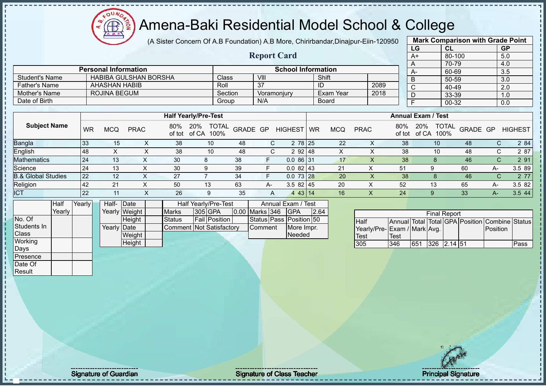**AB** 

# Amena-Baki Residential Model School & College

(A Sister Concern Of A.B Foundation) A.B More, Chirirbandar,Dinajpur-Eiin-120950

**Report Card**

|      | <b>Mark Comparison with Grade Point</b> |           |
|------|-----------------------------------------|-----------|
| LG   | <b>CL</b>                               | <b>GP</b> |
| $A+$ | 80-100                                  | 5.0       |
| A    | 70-79                                   | 4.0       |
| A-   | 60-69                                   | 3.5       |
| B    | 50-59                                   | 3.0       |
| C    | 40-49                                   | 2.0       |
| D    | 33-39                                   | 1.0       |
| F    | $00 - 32$                               | 0.0       |
|      |                                         |           |

|                      | <b>Personal Information</b>  |         | <b>School Information</b> |           |      |
|----------------------|------------------------------|---------|---------------------------|-----------|------|
| Student's Name       | <b>HABIBA GULSHAN BORSHA</b> | Class   | VIII                      | Shift     |      |
| <b>Father's Name</b> | AHASHAN HABIB                | Roll    | 37                        | ID        | 2089 |
| Mother's Name        | ROJINA BEGUM                 | Section | Voramoniury               | Exam Year | 2018 |
| Date of Birth        |                              | Group   | N/A                       | Board     |      |

|                               |    |     |             |     | <b>Half Yearly/Pre-Test</b>                 |          |      |                |    |            |             |               | <b>Annual Exam / Test</b> |                          |    |                |
|-------------------------------|----|-----|-------------|-----|---------------------------------------------|----------|------|----------------|----|------------|-------------|---------------|---------------------------|--------------------------|----|----------------|
| <b>Subject Name</b>           | WR | MCQ | <b>PRAC</b> | 80% | <b>TOTAL</b><br>20%<br>of tot of CA<br>100% | GRADE GP |      | <b>HIGHEST</b> | WR | <b>MCQ</b> | <b>PRAC</b> | 80%<br>of tot | 20%<br>100%<br>of CA      | <b>TOTAL</b><br>GRADE GP |    | <b>HIGHEST</b> |
| Bangla                        | 33 | 15  | $\sim$      | 38  | 10                                          | 48       |      | 2 78 25        |    | 22         | ∧           | 38            | 10                        | 48                       | С  | 2 84           |
| English                       | 48 |     | $\sim$      | 38  | 10                                          | 48       |      | 2 92 48        |    | X          |             | 38            | 10                        | 48                       | С  | 2 87           |
| <b>Mathematics</b>            | 24 | 13  |             | 30  | 8                                           | 38       |      | $0.086$ 31     |    | 17         | X           | 38            |                           | 46                       | C. | 2 91           |
| Science                       | 24 | 13  |             | 30  | 9                                           | 39       |      | 0.082143       |    | 21         | $\check{ }$ | 51            | 9                         | 60                       | А- | 3.5 89         |
| <b>B.&amp; Global Studies</b> | 22 | 12  |             | 27  |                                             | 34       |      | $0.073$ 28     |    | 20         | $\lambda$   | 38            |                           | 46                       | C. | 2 77           |
| Religion                      | 42 | 21  |             | 50  | 13                                          | 63       | $A-$ | $3.582$   45   |    | 20         | X           | 52            | 13                        | 65                       | A- | 3.5 82         |
| <b>ICT</b>                    | 22 |     |             | 26  | 9                                           | 35       | A    | 4 43 14        |    | 16         | Х           | 24            |                           | 33                       | А- | 3.544          |

|              | Half   | Yearly | Half- Date  |               | Half Yearly/Pre-Test            |  |                      |  |                | Annual Exam / Test      |      |
|--------------|--------|--------|-------------|---------------|---------------------------------|--|----------------------|--|----------------|-------------------------|------|
|              | Yearlv |        |             | Yearly Weight | <b>Marks</b>                    |  | 305 GPA              |  | 0.00 Marks 346 | <b>IGPA</b>             | 2.64 |
| No. Of       |        |        |             | <b>Height</b> | <b>Status</b>                   |  | <b>Fail Position</b> |  |                | Status Pass Position 50 |      |
| Students In  |        |        | Yearly Date |               | <b>Comment Not Satisfactory</b> |  |                      |  | Comment        | More Impr.              |      |
| <b>Class</b> |        |        |             | Weight        |                                 |  |                      |  |                | Needed                  |      |
| Working      |        |        |             | Height        |                                 |  |                      |  |                |                         |      |
| Days         |        |        |             |               |                                 |  |                      |  |                |                         |      |

| <b>Final Report</b>         |             |     |                    |  |  |                                                |      |  |  |  |  |  |  |
|-----------------------------|-------------|-----|--------------------|--|--|------------------------------------------------|------|--|--|--|--|--|--|
| <b>Half</b>                 |             |     |                    |  |  | Annual Total Total GPA Position Combine Status |      |  |  |  |  |  |  |
| Yearly/Pre-Exam / Mark Avg. |             |     |                    |  |  | Position                                       |      |  |  |  |  |  |  |
| Test                        | <b>Test</b> |     |                    |  |  |                                                |      |  |  |  |  |  |  |
| 305                         | 346         | 651 | $1326$ $12.14$ 151 |  |  |                                                | Pass |  |  |  |  |  |  |

Presence Date Of **Result**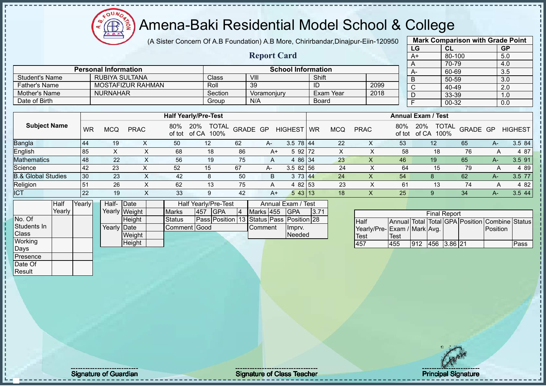**AB** ğ

#### Amena-Baki Residential Model School & College

(A Sister Concern Of A.B Foundation) A.B More, Chirirbandar,Dinajpur-Eiin-120950

|                               |        |           |                             |                           |                             |                                          |    |                    |                           |           |            |                              |               | LG                        | CL                  |          | <b>GP</b>                                      |                |
|-------------------------------|--------|-----------|-----------------------------|---------------------------|-----------------------------|------------------------------------------|----|--------------------|---------------------------|-----------|------------|------------------------------|---------------|---------------------------|---------------------|----------|------------------------------------------------|----------------|
|                               |        |           |                             |                           |                             |                                          |    | <b>Report Card</b> |                           |           |            |                              |               | $A+$                      | 80-100              |          | 5.0                                            |                |
|                               |        |           |                             |                           |                             |                                          |    |                    |                           |           |            |                              |               | A                         | 70-79               |          | 4.0                                            |                |
|                               |        |           | <b>Personal Information</b> |                           |                             |                                          |    |                    | <b>School Information</b> |           |            |                              |               | A-                        | 60-69               |          | 3.5                                            |                |
| <b>Student's Name</b>         |        |           | <b>RUBIYA SULTANA</b>       |                           |                             | Class                                    |    | VIII               |                           | Shift     |            |                              |               | B                         | 50-59               |          | 3.0                                            |                |
| <b>Father's Name</b>          |        |           |                             | MOSTAFIZUR RAHMAN         |                             | Roll                                     |    | 39                 |                           | ID        |            | 2099                         |               | $\overline{\text{c}}$     | 40-49               |          | 2.0                                            |                |
| <b>Mother's Name</b>          |        |           | <b>NURNAHAR</b>             |                           |                             | Section                                  |    | Voramonjury        |                           |           | Exam Year  | 2018                         |               | $\overline{D}$            | 33-39               |          | 1.0                                            |                |
| Date of Birth                 |        |           |                             |                           |                             | Group                                    |    | N/A                |                           | Board     |            |                              |               | F                         | 00-32               |          | 0.0                                            |                |
|                               |        |           |                             |                           |                             |                                          |    |                    |                           |           |            |                              |               |                           |                     |          |                                                |                |
|                               |        |           |                             |                           | <b>Half Yearly/Pre-Test</b> |                                          |    |                    |                           |           |            |                              |               | <b>Annual Exam / Test</b> |                     |          |                                                |                |
| <b>Subject Name</b>           |        | <b>WR</b> | <b>MCQ</b>                  | <b>PRAC</b>               | 80%<br>of tot of CA         | 20%<br><b>TOTAL</b><br>100%              |    | GRADE GP           | <b>HIGHEST</b>            | <b>WR</b> | <b>MCQ</b> | <b>PRAC</b>                  | 80%<br>of tot | 20%<br>of CA 100%         | <b>TOTAL</b>        | GRADE GP |                                                | <b>HIGHEST</b> |
| Bangla                        |        | 44        | 19                          | X                         | 50                          | 12                                       | 62 | A-                 | $3.5$ 78 44               |           | 22         | X                            | 53            | 12                        |                     | 65       | A-                                             | 3.5 84         |
| English                       |        | 85        | $\mathsf X$                 | X                         | 68                          | 18                                       | 86 | $A+$               | 5 92 72                   |           | X          | X                            | 58            |                           | 18                  | 76       | A                                              | 4 87           |
| <b>Mathematics</b>            |        | 48        | 22                          | $\times$                  | 56                          | 19                                       | 75 | A                  | 4 86 34                   |           | 23         | $\boldsymbol{\mathsf{X}}$    | 46            | 19                        |                     | 65       | $A -$                                          | 3.5 91         |
| Science                       |        | 42        | 23                          | X                         | 52                          | 15                                       | 67 | A-                 | 3.5 82 56                 |           | 24         | X                            | 64            |                           | 15                  | 79       | A                                              | 4 8 9          |
| <b>B.&amp; Global Studies</b> |        | 30        | 23                          | $\boldsymbol{\mathsf{X}}$ | 42                          | $\bf 8$                                  | 50 | $\sf B$            | 3 73 $44$                 |           | 24         | $\pmb{\mathsf{X}}$           | 54            | 8                         |                     | 62       | А-                                             | 3.5 77         |
| Religion                      |        | 51        | 26                          | X                         | 62                          | 13                                       | 75 | A                  | 4 82 53                   |           | 23         | X                            | 61            |                           | 13                  | 74       | A                                              | 4 8 2          |
| <b>ICT</b>                    |        | 22        | 19                          | $\mathsf{X}$              | 33                          | 9                                        | 42 | $A+$               | 5 43 13                   |           | 18         | $\mathsf{X}$                 | 25            | 9                         |                     | 34       | $A-$                                           | 3.5 44         |
|                               | Half   | Yearly    | Half- Date                  |                           |                             | Half Yearly/Pre-Test                     |    |                    | Annual Exam / Test        |           |            |                              |               |                           |                     |          |                                                |                |
|                               | Yearly |           |                             | Yearly Weight             | Marks                       | <b>GPA</b><br>457                        | 4  | Marks 455          | <b>GPA</b>                | 3.71      |            |                              |               |                           | <b>Final Report</b> |          |                                                |                |
| No. Of                        |        |           |                             | Height                    | <b>Status</b>               | Pass Position 13 Status Pass Position 28 |    |                    |                           |           |            | Half                         |               |                           |                     |          | Annual Total Total GPA Position Combine Status |                |
| Students In                   |        |           | Yearly Date                 |                           | Comment Good                |                                          |    | Comment            | Imprv.                    |           |            | Yearly/Pre- Exam / Mark Avg. |               |                           |                     |          | Position                                       |                |
| Class                         |        |           |                             | Weight                    |                             |                                          |    |                    | Needed                    |           |            | <b>Test</b>                  | <b>Test</b>   |                           |                     |          |                                                |                |
| Working                       |        |           |                             | Height                    |                             |                                          |    |                    |                           |           |            | 457                          | 455           | 912                       | 456 3.86 21         |          |                                                | Pass           |
| Days                          |        |           |                             |                           |                             |                                          |    |                    |                           |           |            |                              |               |                           |                     |          |                                                |                |
| Presence                      |        |           |                             |                           |                             |                                          |    |                    |                           |           |            |                              |               |                           |                     |          |                                                |                |
| Date Of                       |        |           |                             |                           |                             |                                          |    |                    |                           |           |            |                              |               |                           |                     |          |                                                |                |
| Result                        |        |           |                             |                           |                             |                                          |    |                    |                           |           |            |                              |               |                           |                     |          |                                                |                |
|                               |        |           |                             |                           |                             |                                          |    |                    |                           |           |            |                              |               |                           |                     |          |                                                |                |

**Mark Comparison with Grade Point**

Signature of Guardian and Signature of Class Teacher Principal Signature of Class Teacher Principal Signature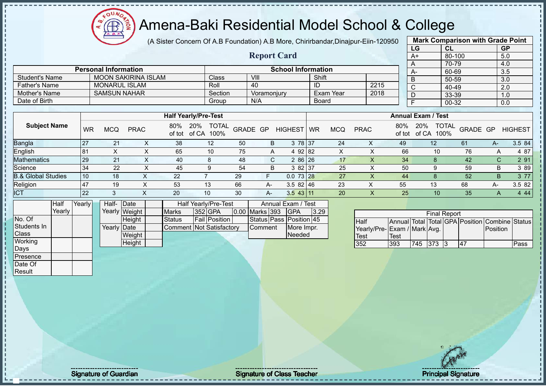(A Sister Concern Of A.B Foundation) A.B More, Chirirbandar,Dinajpur-Eiin-120950

|                               |        |           |                             |                            |               |                                   |    |                    |                           |           |            |                             |                           | LG                    | CL                         |                                                | <b>GP</b> |                |
|-------------------------------|--------|-----------|-----------------------------|----------------------------|---------------|-----------------------------------|----|--------------------|---------------------------|-----------|------------|-----------------------------|---------------------------|-----------------------|----------------------------|------------------------------------------------|-----------|----------------|
|                               |        |           |                             |                            |               |                                   |    | <b>Report Card</b> |                           |           |            |                             |                           | $A+$                  | 80-100                     |                                                | 5.0       |                |
|                               |        |           |                             |                            |               |                                   |    |                    |                           |           |            |                             |                           | A                     | 70-79                      |                                                | 4.0       |                |
|                               |        |           | <b>Personal Information</b> |                            |               |                                   |    |                    | <b>School Information</b> |           |            |                             |                           | $A -$                 | 60-69                      |                                                | 3.5       |                |
| <b>Student's Name</b>         |        |           |                             | <b>MOON SAKIRINA ISLAM</b> |               | Class                             |    | VIII               |                           | Shift     |            |                             |                           | B                     | 50-59                      |                                                | 3.0       |                |
| <b>Father's Name</b>          |        |           | <b>MONARUL ISLAM</b>        |                            |               | Roll                              |    | 40                 |                           | ID        |            | 2215                        |                           | $\overline{\text{c}}$ | 40-49                      |                                                | 2.0       |                |
| Mother's Name                 |        |           | <b>SAMSUN NAHAR</b>         |                            |               | Section                           |    | Voramonjury        |                           |           | Exam Year  | 2018                        |                           | $\overline{D}$        | 33-39                      |                                                | 1.0       |                |
| Date of Birth                 |        |           |                             |                            |               | Group                             |    | N/A                |                           | Board     |            |                             |                           | $\overline{F}$        | 00-32                      |                                                | 0.0       |                |
|                               |        |           |                             |                            |               |                                   |    |                    |                           |           |            |                             |                           |                       |                            |                                                |           |                |
|                               |        |           |                             |                            |               | <b>Half Yearly/Pre-Test</b>       |    |                    |                           |           |            |                             | <b>Annual Exam / Test</b> |                       |                            |                                                |           |                |
| <b>Subject Name</b>           |        | <b>WR</b> | <b>MCQ</b>                  | <b>PRAC</b>                | 80%<br>of tot | 20%<br><b>TOTAL</b><br>of CA 100% |    | GRADE GP           | <b>HIGHEST</b>            | <b>WR</b> | <b>MCQ</b> | <b>PRAC</b>                 | 80%<br>of tot             | 20%                   | <b>TOTAL</b><br>of CA 100% | GRADE GP                                       |           | <b>HIGHEST</b> |
| Bangla                        |        | 27        | 21                          | $\pmb{\times}$             | 38            | 12                                | 50 | B                  | 3 78 37                   |           | 24         | X                           | 49                        |                       | 12                         | 61                                             | $A -$     | 3.5 84         |
| English                       |        | 81        | $\pmb{\times}$              | X                          | 65            | 10                                | 75 | A                  | 4 92 82                   |           | X          | X                           | 66                        |                       | 10                         | 76                                             | A         | 4 87           |
| <b>Mathematics</b>            |        | 29        | 21                          | X                          | 40            | 8                                 | 48 | C                  | 2 86 26                   |           | 17         | $\sf X$                     | 34                        |                       | 8                          | 42                                             | C         | 2 91           |
| Science                       |        | 34        | 22                          | X                          | 45            | 9                                 | 54 | B                  | 3 82 37                   |           | 25         | X                           | 50                        |                       | 9                          | 59                                             | B         | 3 8 9          |
| <b>B.&amp; Global Studies</b> |        | 10        | 18                          | X                          | 22            | $\overline{7}$                    | 29 | F                  | $0.073$ 28                |           | 27         | $\pmb{\mathsf{X}}$          | 44                        |                       | 8                          | 52                                             | B         | 3 77           |
| Religion                      |        | 47        | 19                          | X                          | 53            | 13                                | 66 | A-                 | $3.582$ 46                |           | 23         | X                           | 55                        |                       | 13                         | 68                                             | A-        | 3.5 82         |
| <b>ICT</b>                    |        | 22        | $\mathfrak{S}$              | $\boldsymbol{\mathsf{X}}$  | 20            | 10                                | 30 | A-                 | $3.5$ 43 11               |           | 20         | X                           | 25                        |                       | 10                         | 35                                             | A         | 4 4 4          |
|                               | Half   | Yearly    | Half-                       | Date                       |               | Half Yearly/Pre-Test              |    |                    | Annual Exam / Test        |           |            |                             |                           |                       |                            |                                                |           |                |
|                               | Yearly |           |                             | Yearly Weight              | <b>Marks</b>  | 352 GPA                           |    | 0.00 Marks 393     | <b>GPA</b>                | 3.29      |            |                             |                           |                       | <b>Final Report</b>        |                                                |           |                |
| No. Of                        |        |           |                             | Height                     | <b>Status</b> | Fail Position                     |    |                    | Status Pass Position 45   |           |            | Half                        |                           |                       |                            | Annual Total Total GPA Position Combine Status |           |                |
| Students In                   |        |           | Yearly Date                 |                            |               | <b>Comment Not Satisfactory</b>   |    | Comment            | More Impr.                |           |            | Yearly/Pre-Exam / Mark Avg. |                           |                       |                            |                                                | Position  |                |
| Class                         |        |           |                             | Weight                     |               |                                   |    |                    | Needed                    |           |            | <b>Test</b>                 | <b>Test</b>               |                       |                            |                                                |           |                |
| Working                       |        |           |                             | Height                     |               |                                   |    |                    |                           |           |            | 352                         | 393                       | 745 373 3             |                            | 47                                             |           | Pass           |
| Days                          |        |           |                             |                            |               |                                   |    |                    |                           |           |            |                             |                           |                       |                            |                                                |           |                |
| Presence                      |        |           |                             |                            |               |                                   |    |                    |                           |           |            |                             |                           |                       |                            |                                                |           |                |
| Date Of                       |        |           |                             |                            |               |                                   |    |                    |                           |           |            |                             |                           |                       |                            |                                                |           |                |
| Result                        |        |           |                             |                            |               |                                   |    |                    |                           |           |            |                             |                           |                       |                            |                                                |           |                |
|                               |        |           |                             |                            |               |                                   |    |                    |                           |           |            |                             |                           |                       |                            |                                                |           |                |

**Mark Comparison with Grade Point**

Signature of Guardian Contract Contract Contract Contract Contract Contract Contract Contract Contract Contract Contract Contract Contract Contract Contract Contract Contract Contract Contract Contract Contract Contract Co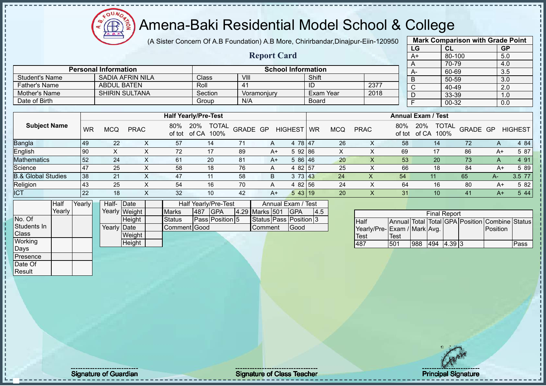ΩU Æ

#### Amena-Baki Residential Model School & College

(A Sister Concern Of A.B Foundation) A.B More, Chirirbandar,Dinajpur-Eiin-120950

**Report Card**

|                   | <b>Mark Comparison with Grade Point</b> |        |           |  |  |  |  |  |  |  |  |  |
|-------------------|-----------------------------------------|--------|-----------|--|--|--|--|--|--|--|--|--|
|                   | LG                                      | CL     | <b>GP</b> |  |  |  |  |  |  |  |  |  |
|                   | $A+$                                    | 80-100 | 5.0       |  |  |  |  |  |  |  |  |  |
|                   | 70-79<br>4.0<br>A<br>60-69              |        |           |  |  |  |  |  |  |  |  |  |
|                   | A-                                      | 3.5    |           |  |  |  |  |  |  |  |  |  |
|                   | B                                       | 3.0    |           |  |  |  |  |  |  |  |  |  |
|                   | C                                       | 40-49  | 2.0       |  |  |  |  |  |  |  |  |  |
|                   | 33-39<br>1.0<br>D                       |        |           |  |  |  |  |  |  |  |  |  |
| F<br>00-32<br>0.0 |                                         |        |           |  |  |  |  |  |  |  |  |  |
|                   |                                         |        |           |  |  |  |  |  |  |  |  |  |

|                      | <b>Personal Information</b> |         | <b>School Information</b> |           |      | $A-$ |  |
|----------------------|-----------------------------|---------|---------------------------|-----------|------|------|--|
| Student's Name       | SADIA AFRIN NILA            | Class   | VIII                      | Shift     |      |      |  |
| <b>Father's Name</b> | <b>ABDUL BATEN</b>          | Roll    | $\overline{4}$            |           | 2377 |      |  |
| Mother's Name        | <b>SHIRIN SULTANA</b>       | Section | Voramoniury               | Exam Year | 2018 |      |  |
| Date of Birth        |                             | Group   | N/A                       | Board     |      |      |  |

|                     |              |     |                   |               | <b>Half Yearly/Pre-Test</b>          |          |      |                |           |            |             |               | <b>Annual Exam / Test</b>            |          |      |                |
|---------------------|--------------|-----|-------------------|---------------|--------------------------------------|----------|------|----------------|-----------|------------|-------------|---------------|--------------------------------------|----------|------|----------------|
| <b>Subject Name</b> | <b>WR</b>    | MCQ | <b>PRAC</b>       | 80%<br>of tot | 20%<br><b>TOTAL</b><br>of CA<br>100% | GRADE GP |      | <b>HIGHEST</b> | <b>WR</b> | <b>MCQ</b> | <b>PRAC</b> | 80%<br>of tot | <b>TOTAL</b><br>20%<br>of CA<br>100% | GRADE GP |      | <b>HIGHEST</b> |
| Bangla              | 149          | 22  |                   | 57            | 14                                   |          | A    | 4 78 47        |           | 26         |             | 58            | 14                                   | 72       | A    | 4 84           |
| English             | 90           |     |                   | 72            | 17                                   | 89       | A+   | 592 86         |           | ⌒          |             | 69            | 17                                   | 86       | A+   | 5 87           |
| <b>Mathematics</b>  | 52           | 24  | ∧                 | 61            | 20                                   | 81       | $A+$ | 5 86 46        |           | 20         |             | 53            | 20                                   | 73       | A    | 4 91           |
| Science             |              | 25  |                   | 58            | 18                                   | 76       | A    | 4 82 57        |           | 25         |             | 66            | 18                                   | 84       | A+   | 5 89           |
| 3.& Global Studies  | 38           | 21  |                   | 47            | 11                                   | 58       | B    | $3 \t73 \t143$ |           | 24         | х           | 54            | 11                                   | 65       | A-   | 3.5 77         |
| Religion            | <b>43</b>    | 25  |                   | 54            | 16                                   | 70       | A    | 4 82 56        |           | 24         |             | 64            | 16                                   | 80       | A+   | 5 82           |
| <b>ICT</b>          | $ 22\rangle$ | 18  | $\checkmark$<br>↗ | 32            | 10                                   | 42       | A+   | 543 19         |           | <b>20</b>  |             | 31            | 10                                   | 41       | $A+$ | 5 4 4          |

|              | <b>Half</b> | Yearly | Half- Date  |               | Half Yearly/Pre-Test |     |                 |  |                | Annual Exam / Test     |     |
|--------------|-------------|--------|-------------|---------------|----------------------|-----|-----------------|--|----------------|------------------------|-----|
|              | Yearly      |        |             | Yearly Weight | <b>Marks</b>         | 487 | <b>IGPA</b>     |  | 4.29 Marks 501 | <b>IGPA</b>            | 4.5 |
| No. Of       |             |        |             | <b>Height</b> | Status               |     | Pass Position 5 |  |                | Status Pass Position 3 |     |
| Students In  |             |        | Yearly Date |               | Comment Good         |     |                 |  | Comment        | Good                   |     |
| <b>Class</b> |             |        |             | Weight        |                      |     |                 |  |                |                        |     |
| Working      |             |        |             | Height        |                      |     |                 |  |                |                        |     |
| Days         |             |        |             |               |                      |     |                 |  |                |                        |     |
| Presence     |             |        |             |               |                      |     |                 |  |                |                        |     |

| <b>Final Report</b>          |      |     |     |        |  |                                                |      |  |  |  |  |  |  |
|------------------------------|------|-----|-----|--------|--|------------------------------------------------|------|--|--|--|--|--|--|
| <b>Half</b>                  |      |     |     |        |  | Annual Total Total GPA Position Combine Status |      |  |  |  |  |  |  |
| Yearly/Pre- Exam / Mark Avg. |      |     |     |        |  | <b>IPosition</b>                               |      |  |  |  |  |  |  |
| <b>Test</b>                  | Test |     |     |        |  |                                                |      |  |  |  |  |  |  |
| 487                          | 501  | 988 | 494 | 4.39 3 |  |                                                | Pass |  |  |  |  |  |  |

Date Of Result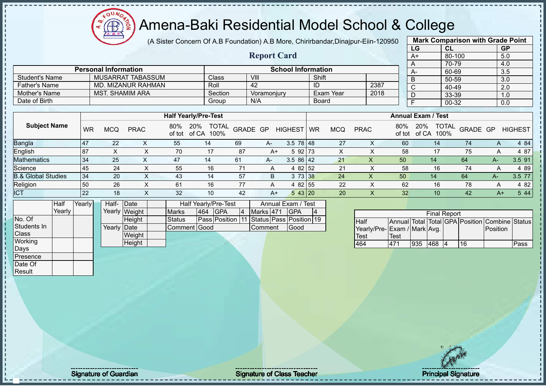(A Sister Concern Of A.B Foundation) A.B More, Chirirbandar, Dinajpur-

| Eiin-120950               |     | <b>Mark Comparison with Grade Point</b> |                            |           |  |  |  |  |  |  |
|---------------------------|-----|-----------------------------------------|----------------------------|-----------|--|--|--|--|--|--|
|                           |     | LG                                      | <b>CL</b>                  | <b>GP</b> |  |  |  |  |  |  |
|                           |     | A+                                      | 80-100                     | 5.0       |  |  |  |  |  |  |
|                           |     | A                                       | 70-79                      | 4.0       |  |  |  |  |  |  |
|                           |     | A-                                      | 60-69                      | 3.5       |  |  |  |  |  |  |
|                           |     | B                                       | 50-59                      | 3.0       |  |  |  |  |  |  |
| 2387                      |     | C                                       | 40-49                      | 2.0       |  |  |  |  |  |  |
| 2018                      |     | D                                       | 33-39                      | 1.0       |  |  |  |  |  |  |
|                           |     | E                                       | 00-32                      | 0.0       |  |  |  |  |  |  |
|                           |     |                                         |                            |           |  |  |  |  |  |  |
| <b>Annual Exam / Test</b> |     |                                         |                            |           |  |  |  |  |  |  |
| ≀∆∂                       | 80% |                                         | 20% TOTAL CRADE CR HIGHEST |           |  |  |  |  |  |  |

#### **Report Card Personal Information School Information**

|                       | FUI SUITAI TITTUI ITTAUUTT |         | <b>OCHOOL HIIOHIII</b> |           |      | $A-$ | -60       |
|-----------------------|----------------------------|---------|------------------------|-----------|------|------|-----------|
| <b>Student's Name</b> | MUSARRAT TABASSUM          | Class   | VIII                   | Shift     |      |      | 5(        |
| <b>Father's Name</b>  | MD. MIZANUR RAHMAN         | Roll    | 42                     | ID        | 2387 |      |           |
| Mother's Name         | MST. SHAMIM ARA            | Section | Voramoniurv            | Exam Year | 2018 |      | $\Omega'$ |
| Date of Birth         |                            | Group   | N/A                    | Board     |      |      | 00        |

|                               |           |     |             |               | <b>Half Yearly/Pre-Test</b>   |          |      |                 |    |            |             |               | <b>Annual Exam / Test</b>            |          |      |                |
|-------------------------------|-----------|-----|-------------|---------------|-------------------------------|----------|------|-----------------|----|------------|-------------|---------------|--------------------------------------|----------|------|----------------|
| <b>Subject Name</b>           | <b>WR</b> | MCQ | <b>PRAC</b> | 80%<br>of tot | 20%<br>TOTAL<br>of CA<br>100% | GRADE GP |      | <b>HIGHEST</b>  | WR | <b>MCQ</b> | <b>PRAC</b> | 80%<br>of tot | <b>TOTAL</b><br>20%<br>of CA<br>100% | GRADE GP |      | <b>HIGHEST</b> |
| <b>Bangla</b>                 | 47        | 22  |             | 55            | 14                            | 69       | $A-$ | $3.5 \ 78 \ 48$ |    | 27         |             | 60            | 14                                   | 74       |      | 4 84           |
| English                       | 87        |     |             | 70            | 17                            | 87       | $A+$ | 5 92 73         |    |            |             | 58            |                                      | 75       |      | 4 87           |
| <b>Mathematics</b>            | 34        | 25  |             | 47            | 14                            | 61       | A-   | 3.586142        |    | 21         | ∧           | 50            | 14                                   | 64       | A-   | $3.5$ 91       |
| Science                       | 45        | 24  |             | 55            | 16                            |          | A    | 4 82 52         |    | 21         |             | 58            | 16                                   | 74       |      | 4 8 9          |
| <b>B.&amp; Global Studies</b> | 34        | 20  |             | 43            | 14                            | 57       | B    | 3 73 38         |    | 24         |             | 50            | 14                                   | 64       | A-1  | $3.5$ 77       |
| Religion                      | 50        | 26  |             | 61            | 16                            | 77       | A    | 4 82 55         |    | 22         |             | 62            | 16                                   | 78       |      | 4 8 2          |
| <b>ICT</b>                    | 22        | 18  |             | 32            | 10                            | 42       | A+   | 543 20          |    | 20         |             | 32            | 10                                   | 42       | $A+$ | 5 44           |

|                  | Half   | Yearly┃ | Half-       | <b>IDate</b>  |              |     | Half Yearly/Pre-Test                     |           | Annual Exam / Test |  |
|------------------|--------|---------|-------------|---------------|--------------|-----|------------------------------------------|-----------|--------------------|--|
|                  | Yearly |         |             | Yearly Weight | <b>Marks</b> | 464 | <b>IGPA</b>                              | Marks 471 | <b>IGPA</b>        |  |
| No. Of           |        |         |             | Height        | Status       |     | Pass Position 11 Status Pass Position 19 |           |                    |  |
| Students In      |        |         | Yearly Date |               | Comment Good |     |                                          | Comment   | Good               |  |
| <b>Class</b>     |        |         |             | Weight        |              |     |                                          |           |                    |  |
| Working          |        |         |             | Height        |              |     |                                          |           |                    |  |
| <b>Days</b>      |        |         |             |               |              |     |                                          |           |                    |  |
| <b>IPresence</b> |        |         |             |               |              |     |                                          |           |                    |  |

|                             |      |     | <b>Final Report</b> |    |                                                |      |
|-----------------------------|------|-----|---------------------|----|------------------------------------------------|------|
| <b>I</b> Half               |      |     |                     |    | Annual Total Total GPA Position Combine Status |      |
| Yearly/Pre-Exam / Mark Avg. |      |     |                     |    | <b>IPosition</b>                               |      |
| Test                        | Test |     |                     |    |                                                |      |
| 464                         | 471  | 935 | 1468                | 16 |                                                | Pass |

Date Of **Result**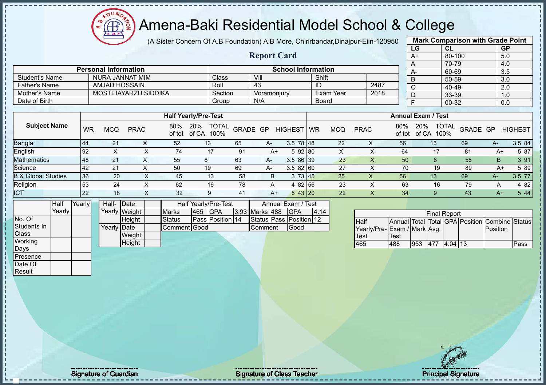**AB** 

# Amena-Baki Residential Model School & College

(A Sister Concern Of A.B Foundation) A.B More, Chirirbandar,Dinajpur-Eiin-120950

**Report Card**

|      | <b>Mark Comparison with Grade Point</b> |           |
|------|-----------------------------------------|-----------|
| LG   | CL                                      | <b>GP</b> |
| $A+$ | 80-100                                  | 5.0       |
| Α    | 70-79                                   | 4.0       |
| A-   | 60-69                                   | 3.5       |
| B    | 50-59                                   | 3.0       |
| C    | 40-49                                   | 2.0       |
| D    | 33-39                                   | 1.0       |
| F    | 00-32                                   | 0.0       |
|      |                                         |           |

|                       | <b>Personal Information</b> |         | <b>School Information</b> |           |      |  |
|-----------------------|-----------------------------|---------|---------------------------|-----------|------|--|
| <b>Student's Name</b> | NURA JANNAT MIM             | Class   | VIII                      | Shift     |      |  |
| Father's Name         | AMJAD HOSSAIN               | Roll    | -43                       | ID        | 2487 |  |
| Mother's Name         | MOST.LIAYARZU SIDDIKA       | Section | Voramoniury               | Exam Year | 2018 |  |
| Date of Birth         |                             | Group   | N/A                       | Board     |      |  |

|                               |           |            |             |               | <b>Half Yearly/Pre-Test</b>          |          |      |                  |           |            |             |               | <b>Annual Exam / Test</b>            |          |      |                |
|-------------------------------|-----------|------------|-------------|---------------|--------------------------------------|----------|------|------------------|-----------|------------|-------------|---------------|--------------------------------------|----------|------|----------------|
| <b>Subject Name</b>           | WR        | <b>MCQ</b> | <b>PRAC</b> | 80%<br>of tot | <b>TOTAL</b><br>20%<br>of CA<br>100% | GRADE GP |      | <b>HIGHEST</b>   | <b>WR</b> | <b>MCQ</b> | <b>PRAC</b> | 80%<br>of tot | <b>TOTAL</b><br>20%<br>of CA<br>100% | GRADE GP |      | <b>HIGHEST</b> |
| Bangla                        | 44        | 21         |             | 52            | 13                                   | 65       | A-   | $3.5 \ 78 \ 148$ |           | 22         |             | 56            | 13                                   | 69       | $A-$ | 3.5 84         |
| English                       | l 92      |            |             | 74            | 17                                   | 91       | A+   | 5 92 80          |           |            |             | 64            |                                      | 81       | $A+$ | 5 87           |
| <b>Mathematics</b>            | 48        | 21         | ⌒           | 55            |                                      | 63       | $A-$ | 3.5 86 39        |           | 23         |             | 50            |                                      | 58       | B    | 3 91           |
| Science                       | 42        | 21         |             | 50            | 19                                   | 69       | A-   | 3.582 60         |           | 27         |             | 70            | 19                                   | 89       | A+   | 5 89           |
| <b>B.&amp; Global Studies</b> | 36        | -20        |             | 45            | 13                                   | 58       | B    | 3                | 73   45   | 25         |             | 56            | 13                                   | 69       | $A-$ | 3.5 77         |
| Religion                      | 53        | 24         |             | 62            | 16                                   | 78       | А    | 4 82 56          |           | 23         |             | 63            | 16                                   | 79       | A    | 4 8 2          |
| ICT                           | <b>22</b> | 18         | ∧           | 32            | 9                                    | 41       | A+   | 543 20           |           | 22         |             | 34            |                                      | 43       | $A+$ | 5 4 4          |

|              | Half   | Yearly | Half- Date   |               |               |     | Half Yearly/Pre-Test |                | Annual Exam / Test      |      |
|--------------|--------|--------|--------------|---------------|---------------|-----|----------------------|----------------|-------------------------|------|
|              | Yearly |        |              | Yearly Weight | <b>Marks</b>  | 465 | <b>IGPA</b>          | 3.93 Marks 488 | <b>IGPA</b>             | 4.14 |
| No. Of       |        |        |              | Height        | <b>Status</b> |     | Pass Position 14     |                | Status Pass Position 12 |      |
| Students In  |        |        | Yearly  Date |               | Comment Good  |     |                      | <b>Comment</b> | Good                    |      |
| <b>Class</b> |        |        |              | Weight        |               |     |                      |                |                         |      |
| Working      |        |        |              | Height        |               |     |                      |                |                         |      |
| Days         |        |        |              |               |               |     |                      |                |                         |      |
| Presence     |        |        |              |               |               |     |                      |                |                         |      |

|                             |              |     | <b>Final Report</b> |  |                                                |      |
|-----------------------------|--------------|-----|---------------------|--|------------------------------------------------|------|
| <b>I</b> Half               |              |     |                     |  | Annual Total Total GPA Position Combine Status |      |
| Yearly/Pre-Exam / Mark Avg. |              |     |                     |  | <b>Position</b>                                |      |
| Test                        | <b>ITest</b> |     |                     |  |                                                |      |
| 465                         | 488          | 953 | $1477$ $14.04$ 113  |  |                                                | Pass |

Date Of Result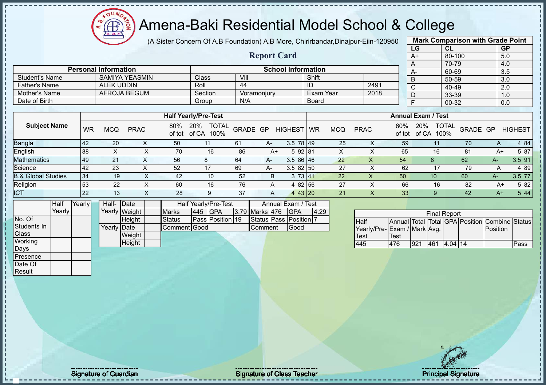

(A Sister Concern Of A.B Foundation) A.B More, Chirirbandar,Dinajpur-Eiin-120950

**Report Card**

|              | <b>Mark Comparison with Grade Point</b> |                  |
|--------------|-----------------------------------------|------------------|
| LG           | <b>CL</b>                               | <b>GP</b>        |
| A+           | 80-100                                  | 5.0              |
| A            | 70-79                                   | 4.0              |
| A-           | 60-69                                   | $\overline{3.5}$ |
| B            | 50-59                                   | 3.0              |
| $\mathsf{C}$ | 40-49                                   | 2.0              |
| D            | 33-39                                   | 1.0              |
| F            | 00-32                                   | 0.0              |
|              |                                         |                  |

|                               |           |            |             |     | <b>Half Yearly/Pre-Test</b>                 |          |       |                |           |     |             |               | <b>Annual Exam / Test</b> |                                         |      |                |
|-------------------------------|-----------|------------|-------------|-----|---------------------------------------------|----------|-------|----------------|-----------|-----|-------------|---------------|---------------------------|-----------------------------------------|------|----------------|
| <b>Subject Name</b>           | <b>WR</b> | <b>MCQ</b> | <b>PRAC</b> | 80% | <b>TOTAL</b><br>20%<br>of tot of CA<br>100% | GRADE GP |       | <b>HIGHEST</b> | <b>WR</b> | MCQ | <b>PRAC</b> | 80%<br>of tot | 20%<br>of CA              | <b>TOTAL</b><br><b>GRADE GP</b><br>100% |      | <b>HIGHEST</b> |
| <b>Bangla</b>                 | 42        | 20         |             | 50  |                                             | 61       | A-    | $3.5$ 78 49    |           | 25  |             | 59            |                           | 70                                      |      | 4 84           |
| English                       | 88        |            |             | 70  | 16                                          | 86       | A+    | 592 81         |           | ⌒   |             | 65            | 16                        | 81                                      | A+   | 5 87           |
| <b>Mathematics</b>            | 49        | 21         |             | 56  |                                             | 64       | $A -$ | $3.586$ 46     |           | 22  |             | 54            |                           | 62                                      | A-   | 3.5 91         |
| Science                       | 42        | 23         |             | 52  | 17                                          | 69       | A-    | $3.582$ 50     |           | -27 |             | 62            | 17                        | 79                                      |      | 4 89           |
| <b>B.&amp; Global Studies</b> | 34        | 19         | X           | 42  | 10                                          | 52       | B.    | 3 73 41        |           | 22  | х           | 50            | 10                        | 60                                      | A-   | 3.5 77         |
| Religion                      | 53        | 22         |             | 60  | 16                                          | 76       | A     | 4 82 56        |           | 27  |             | 66            | 16                        | 82                                      | $A+$ | 5 82           |
| <b>ICT</b>                    | 22        | 13         |             | 28  | 9                                           | 37       | A     | 4 43 20        |           | 21  |             | 33            |                           | 42                                      | $A+$ | 5 4 4          |

|                  | Half   | Yearly | Half- Date  |               |               |         | Half Yearly/Pre-Test |                | Annual Exam / Test     |      |
|------------------|--------|--------|-------------|---------------|---------------|---------|----------------------|----------------|------------------------|------|
|                  | Yearly |        |             | Yearly Weight | <b>Marks</b>  | 445 GPA |                      | 3.79 Marks 476 | <b>IGPA</b>            | 4.29 |
| No. Of           |        |        |             | Height        | <b>Status</b> |         | Pass Position 19     |                | Status Pass Position 7 |      |
| Students In      |        |        | Yearly Date |               | Comment Good  |         |                      | Comment        | Good                   |      |
| <b>Class</b>     |        |        |             | Weight        |               |         |                      |                |                        |      |
| Working          |        |        |             | Height        |               |         |                      |                |                        |      |
| Days             |        |        |             |               |               |         |                      |                |                        |      |
| <b>IPresence</b> |        |        |             |               |               |         |                      |                |                        |      |

**Personal Information School Information** 

Father's Name | ALEK UDDIN | Roll | 44 | ID | 2491 Mother's Name AFROJA BEGUM Section Voramonjury Exam Year 2018

Student's Name SAMIYA YEASMIN Class VIII Shift<br>Father's Name ALEK UDDIN Roll 44 ID

Date of Birth Board Group N/A Board

|                              |      |      | <b>Final Report</b> |           |                                                |      |
|------------------------------|------|------|---------------------|-----------|------------------------------------------------|------|
| <b>Half</b>                  |      |      |                     |           | Annual Total Total GPA Position Combine Status |      |
| Yearly/Pre- Exam / Mark Avg. |      |      |                     |           | <b>Position</b>                                |      |
| <b>Test</b>                  | Test |      |                     |           |                                                |      |
| 445                          | 476  | 1921 | 461                 | $4.04$ 14 |                                                | Pass |

Date Of **Result** 

Signature of Guardian Signature Signature of Class Teacher National Signature Principal Signature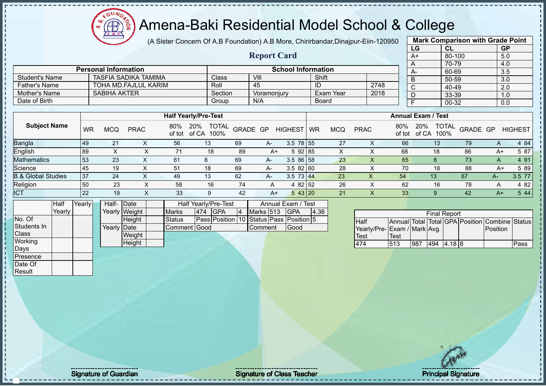**AB** 

# Amena-Baki Residential Model School & College

(A Sister Concern Of A.B Foundation) A.B More, Chirirbandar,Dinajpur-Eiin-120950

**Report Card**

|      | <b>Mark Comparison with Grade Point</b> |           |
|------|-----------------------------------------|-----------|
| LG   | CL                                      | <b>GP</b> |
| $A+$ | 80-100                                  | 5.0       |
| A    | 70-79                                   | 4.0       |
| А-   | 60-69                                   | 3.5       |
| B    | 50-59                                   | 3.0       |
| C    | 40-49                                   | 2.0       |
| D    | 33-39                                   | 1.0       |
| F    | 00-32                                   | 0.0       |
|      |                                         |           |

|                       | <b>Personal Information</b> |         | <b>School Information</b> |           |      |  |
|-----------------------|-----------------------------|---------|---------------------------|-----------|------|--|
| <b>Student's Name</b> | TASFIA SADIKA TAMIMA        | Classi  | VIII                      | Shift     |      |  |
| <b>Father's Name</b>  | TOHA MD FAJLUL KARIM        | Roll    | 45                        | ID        | 2748 |  |
| Mother's Name         | <b>SABIHA AKTER</b>         | Section | Voramoniurv               | Exam Year | 2018 |  |
| Date of Birth         |                             | Group   | N/A                       | Board     |      |  |

|                               |           |     |             |     | <b>Half Yearly/Pre-Test</b>              |          |      |                |           |            |             |               | <b>Annual Exam / Test</b>            |          |      |                |
|-------------------------------|-----------|-----|-------------|-----|------------------------------------------|----------|------|----------------|-----------|------------|-------------|---------------|--------------------------------------|----------|------|----------------|
| <b>Subject Name</b>           | <b>WR</b> | MCQ | <b>PRAC</b> | 80% | <b>TOTAL</b><br>20%<br>of tot of CA 100% | GRADE GP |      | <b>HIGHEST</b> | <b>WR</b> | <b>MCQ</b> | <b>PRAC</b> | 80%<br>of tot | <b>TOTAL</b><br>20%<br>of CA<br>100% | GRADE GP |      | <b>HIGHEST</b> |
| Bangla                        | 49        | 21  |             | 56  | 13 <sup>°</sup>                          | 69       | A-   | $3.5$ 78 55    |           | 27         |             | 66            | 13                                   | 79       | A    | 4 84           |
| English                       | 89        |     |             |     | 18                                       | 89       | $A+$ | 5 92 85        |           | X          |             | 68            | 18                                   | 86       | $A+$ | 5 87           |
| <b>Mathematics</b>            | 53        | 23  |             | 61  | 8                                        | 69       | A-   | $3.586$ 58     |           | 23         |             | 65            |                                      | 73       | А    | 4 9 1          |
| Science                       | 45        | 19  |             | 51  | 18                                       | 69       | $A-$ | 3.582160       |           | 28         |             | 70            | 18                                   | 88       | A+   | 5 89           |
| <b>B.&amp; Global Studies</b> | 37        | 24  |             | 49  | 13                                       | 62       | A-   | $3.5$ 73 44    |           | 23         | ↗           | 54            | 13                                   | 67       | А-   | 3.5 77         |
| Religion                      | 50        | 23  |             | 58  | 16                                       | 74       |      | 4 82 52        |           | 26         |             | 62            | 16                                   | 78       | А    | 4 8 2          |
| <b>ICT</b>                    | 22        | 19  | ∧           | 33  | 9                                        | 42       | A+   | 543 20         |           | 21         |             | 33            | 9                                    | 42       | $A+$ | 5 4 4          |

|                | Half   | Yearly | Half- Date  |               |               |     | Half Yearly/Pre-Test                    |    |                | Annual Exam / Test |       |
|----------------|--------|--------|-------------|---------------|---------------|-----|-----------------------------------------|----|----------------|--------------------|-------|
|                | Yearlv |        |             | Yearly Weight | <b>Marks</b>  | 474 | <b>IGPA</b>                             | 14 | Marks 513      | <b>IGPA</b>        | 14.36 |
| No. Of         |        |        |             | <b>Height</b> | <b>Status</b> |     | Pass Position 10 Status Pass Position 5 |    |                |                    |       |
| Students In    |        |        | Yearly Date |               | Comment Good  |     |                                         |    | <b>Comment</b> | <b>IGood</b>       |       |
| <b>Class</b>   |        |        |             | Weight        |               |     |                                         |    |                |                    |       |
| <b>Working</b> |        |        |             | Height        |               |     |                                         |    |                |                    |       |
| Days           |        |        |             |               |               |     |                                         |    |                |                    |       |

|                             |      |     | <b>Final Report</b> |        |                                                |      |
|-----------------------------|------|-----|---------------------|--------|------------------------------------------------|------|
| <b>Half</b>                 |      |     |                     |        | Annual Total Total GPA Position Combine Status |      |
| Yearly/Pre-Exam / Mark Avg. |      |     |                     |        | <b>IPosition</b>                               |      |
| Test                        | Test |     |                     |        |                                                |      |
| 174                         | 513  | 987 | 494                 | 4.18 8 |                                                | Pass |

Presence Date Of **Result**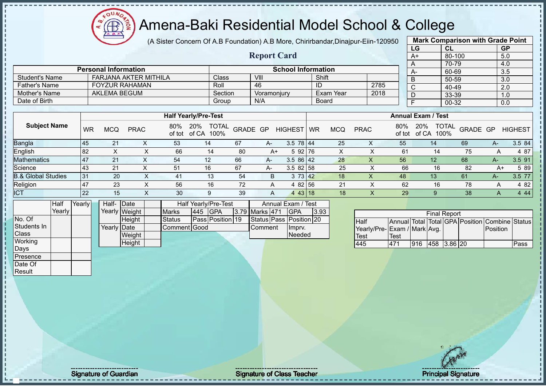$\Omega$ Æ

#### Amena-Baki Residential Model School & College

(A Sister Concern Of A.B Foundation) A.B More, Chirirbandar,Dinajpur-Eiin-120950

**Report Card**

|              | <b>Mark Comparison with Grade Point</b> |           |
|--------------|-----------------------------------------|-----------|
| LG           | CL                                      | <b>GP</b> |
| $A+$         | 80-100                                  | 5.0       |
| A            | 70-79                                   | 4.0       |
| A-           | 60-69                                   | 3.5       |
| B            | 50-59                                   | 3.0       |
| $\mathsf{C}$ | 40-49                                   | 2.0       |
| D            | 33-39                                   | 1.0       |
| E            | 00-32                                   | 0.0       |
|              |                                         |           |

|                | <b>Personal Information</b> |         |             | <b>School Information</b> |      | $A-$ |
|----------------|-----------------------------|---------|-------------|---------------------------|------|------|
| Student's Name | FARJANA AKTER MITHILA       | Class   | VIII        | Shift                     |      |      |
| ⊺Father's Name | <b>FOYZUR RAHAMAN</b>       | Roll    | 46          | ID                        | 2785 |      |
| Mother's Name  | AKLEMA BEGUM                | Section | Voramoniury | Exam Year                 | 2018 |      |
| Date of Birth  |                             | Group   | N/A         | Board                     |      |      |

|                               |           |            |             |               | <b>Half Yearly/Pre-Test</b>          |          |      |                 |           |            |             |               | <b>Annual Exam / Test</b>            |          |      |                |
|-------------------------------|-----------|------------|-------------|---------------|--------------------------------------|----------|------|-----------------|-----------|------------|-------------|---------------|--------------------------------------|----------|------|----------------|
| <b>Subject Name</b>           | WR        | <b>MCQ</b> | <b>PRAC</b> | 80%<br>of tot | <b>TOTAL</b><br>20%<br>of CA<br>100% | GRADE GP |      | <b>HIGHEST</b>  | <b>WR</b> | <b>MCQ</b> | <b>PRAC</b> | 80%<br>of tot | <b>TOTAL</b><br>20%<br>100%<br>of CA | GRADE GP |      | <b>HIGHEST</b> |
| <b>Bangla</b>                 | 45        | 21         |             | 53            | 14                                   | 67       | $A-$ | $3.5 \ 78 \ 44$ |           | 25         | ∧           | 55            | 14                                   | 69       | $A-$ | 3.5 84         |
| English                       | 82        |            |             | 66            | 14                                   | 80       | $A+$ | 5 92 76         |           | ∧          |             | 61            | 14                                   | 75       |      | 4 87           |
| <b>Mathematics</b>            | 147       | 21         |             | 54            | 12                                   | 66       | A-   | $3.586$   42    |           | 28         | Χ           | 56            | 12                                   | 68       | $A-$ | 3.5 91         |
| Science                       | 43        | 21         |             | 51            | 16                                   | 67       | A-   | 3.582158        |           | 25         |             | 66            | 16                                   | 82       | A+   | 5 89           |
| <b>B.&amp; Global Studies</b> | 31        | 20         |             | 41            | 13                                   | 54       | B    | 3 73 42         |           | 18         | ↗           | 48            | 13                                   | 61       | A-7  | 3.5 77         |
| Religion                      | 147       | 23         |             | 56            | 16                                   | 72       | A    | 4 82 56         |           | 21         |             | 62            | 16                                   | 78       | A    | 4 8 2          |
| <b>ICT</b>                    | <b>22</b> | 15         |             | 30            | 9                                    | 39       | A    | 4 4 3 18        |           | 18         | $\Lambda$   | 29            |                                      | 38       | A    | 4 4 4          |

|                 | <b>Half</b> | Yearly | Half- Date  |               |               |         | Half Yearly/Pre-Test |                | Annual Exam / Test      |      |
|-----------------|-------------|--------|-------------|---------------|---------------|---------|----------------------|----------------|-------------------------|------|
|                 | Yearly      |        |             | Yearly Weight | <b>Marks</b>  | 445 GPA |                      | 3.79 Marks 471 | <b>IGPA</b>             | 3.93 |
| No. Of          |             |        |             | <b>Height</b> | <b>Status</b> |         | Pass Position 19     |                | Status Pass Position 20 |      |
| Students In     |             |        | Yearly Date |               | Comment Good  |         |                      | <b>Comment</b> | Impry.                  |      |
| <b>Class</b>    |             |        |             | Weight        |               |         |                      |                | <b>Needed</b>           |      |
| Working         |             |        |             | Height        |               |         |                      |                |                         |      |
| Days            |             |        |             |               |               |         |                      |                |                         |      |
| <b>Presence</b> |             |        |             |               |               |         |                      |                |                         |      |

|                             |              |     | <b>Final Report</b> |  |                                                |      |
|-----------------------------|--------------|-----|---------------------|--|------------------------------------------------|------|
| <b>Half</b>                 |              |     |                     |  | Annual Total Total GPA Position Combine Status |      |
| Yearly/Pre-Exam / Mark Avg. |              |     |                     |  | <b>Position</b>                                |      |
| <b>Test</b>                 | <b>ITest</b> |     |                     |  |                                                |      |
| 445                         | 471          | 916 | 458 3.86 20         |  |                                                | Pass |

Date Of **Result**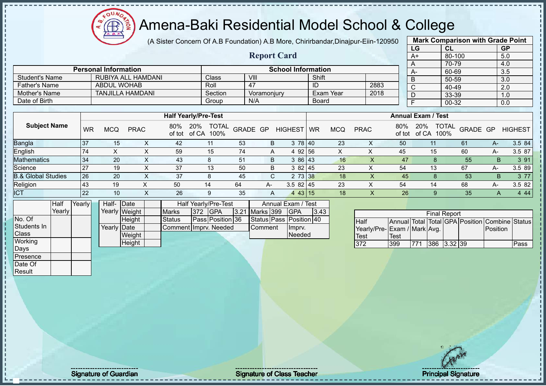OUN Æ

#### Amena-Baki Residential Model School & College

(A Sister Concern Of A.B Foundation) A.B More, Chirirbandar,Dinajpur-Eiin-120950 **Mark Comparison with Grade Point**

| <b>GP</b><br><b>CL</b><br>80-100<br>5.0 |                       |
|-----------------------------------------|-----------------------|
|                                         |                       |
| 3.5                                     |                       |
| 3.0<br>50-59                            |                       |
| 40-49<br>2.0                            |                       |
| 33-39<br>1.0                            |                       |
| 00-32<br>0.0                            |                       |
|                                         |                       |
|                                         |                       |
|                                         |                       |
| <b>TOTAL</b><br>GRADE GP                | <b>HIGHEST</b>        |
| 61<br>А-                                | 3.5 84                |
| 60<br>A-                                | 3.5 87                |
| 55<br>B.                                | 391                   |
|                                         | 70-79<br>4.0<br>60-69 |

| <b>Mathematics</b>            |        | 34        | 20          |               |           | 43                    |     | 8                    | 51 | B              |                         | 3 86 43                 |      | 16 |                             | 47   |     |    |                     | 55 | B                                              | 3 91   |
|-------------------------------|--------|-----------|-------------|---------------|-----------|-----------------------|-----|----------------------|----|----------------|-------------------------|-------------------------|------|----|-----------------------------|------|-----|----|---------------------|----|------------------------------------------------|--------|
| Science                       |        | 27        | 19          |               |           | 37                    |     | 13                   | 50 | B              |                         | 382 45                  |      | 23 |                             | 54   |     | 13 |                     | 67 | A-                                             | 3.5 89 |
| <b>B.&amp; Global Studies</b> |        | 26        | 20          |               |           | 37                    |     | 8                    | 45 |                | ⌒<br>$\mathbf{\bullet}$ | 2 73 38                 |      | 18 |                             | 45   |     |    |                     | 53 | B                                              | 3 77   |
| Religion                      |        | <b>43</b> | 19          |               | $\lambda$ | 50                    |     | 14                   | 64 | A-             |                         | 3.582145                |      | 23 |                             | 54   |     | 14 |                     | 68 | A-                                             | 3.5 82 |
| <b>ICT</b>                    |        | 122       | 10          |               |           | 26                    |     | 9                    | 35 | A              |                         | 4 43 15                 |      | 18 | ^                           | 26   |     |    |                     | 35 | A                                              | 4 4 4  |
|                               | Half   | Yearly    | Half- Date  |               |           |                       |     | Half Yearly/Pre-Test |    |                |                         | Annual Exam / Test      |      |    |                             |      |     |    |                     |    |                                                |        |
|                               | Yearly |           |             | Yearly Weight |           | <b>Marks</b>          | 372 | <b>IGPA</b>          |    | 3.21 Marks 399 |                         | <b>IGPA</b>             | 3.43 |    |                             |      |     |    | <b>Final Report</b> |    |                                                |        |
| No. Of                        |        |           |             | Height        |           | <b>Status</b>         |     | Pass Position 36     |    |                |                         | Status Pass Position 40 |      |    | Half                        |      |     |    |                     |    | Annual Total Total GPA Position Combine Status |        |
| Students In                   |        |           | Yearly Date |               |           | Comment Imprv. Needed |     |                      |    | <b>Comment</b> |                         | Impry.                  |      |    | Yearly/Pre-Exam / Mark Avg. |      |     |    |                     |    | Position                                       |        |
| <b>Class</b>                  |        |           |             | Weight        |           |                       |     |                      |    |                |                         | Needed                  |      |    | <b>Test</b>                 | Test |     |    |                     |    |                                                |        |
| Working                       |        |           |             | Height        |           |                       |     |                      |    |                |                         |                         |      |    | 372                         | 399  | 771 |    | $386$ 3.32 39       |    |                                                | Pass   |
| <b>Days</b>                   |        |           |             |               |           |                       |     |                      |    |                |                         |                         |      |    |                             |      |     |    |                     |    |                                                |        |

Presence Date Of Result

Signature of Guardian Signature of Class Teacher Number of Class Teacher Principal Signature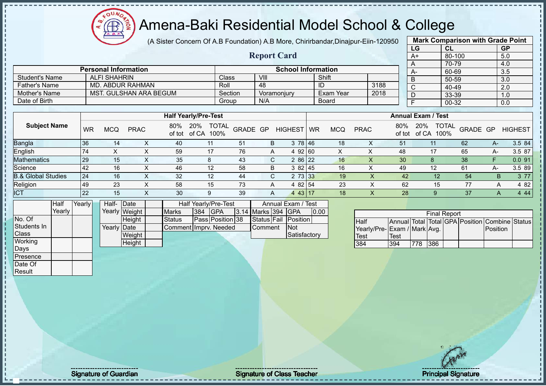(A Sister Concern Of A.B Foundation) A.B More, Chirirbandar,Dinajpur-Eiin-120950

**Report Card**

| <b>Mark Comparison with Grade Point</b> |           |           |  |  |  |  |  |  |  |  |  |
|-----------------------------------------|-----------|-----------|--|--|--|--|--|--|--|--|--|
| LG                                      | <b>CL</b> | <b>GP</b> |  |  |  |  |  |  |  |  |  |
| $A+$                                    | 80-100    | 5.0       |  |  |  |  |  |  |  |  |  |
| A                                       | 70-79     | 4.0       |  |  |  |  |  |  |  |  |  |
| A-                                      | 60-69     | 3.5       |  |  |  |  |  |  |  |  |  |
| B                                       | 50-59     | 3.0       |  |  |  |  |  |  |  |  |  |
| C                                       | 40-49     | 2.0       |  |  |  |  |  |  |  |  |  |
| D                                       | 33-39     | 1.0       |  |  |  |  |  |  |  |  |  |
| F                                       | 00-32     | 0.0       |  |  |  |  |  |  |  |  |  |
|                                         |           |           |  |  |  |  |  |  |  |  |  |

|                       | <b>Personal Information</b> |         | <b>School Information</b> |              |      |  |
|-----------------------|-----------------------------|---------|---------------------------|--------------|------|--|
| <b>Student's Name</b> | ALFI SHAHRIN                | Class   | VIII                      | Shift        |      |  |
| <b>Father's Name</b>  | MD. ABDUR RAHMAN            | Roll    | 48                        | ID           | 3188 |  |
| Mother's Name         | MST. GULSHAN ARA BEGUM      | Section | Voramoniurv               | Exam Year    | 2018 |  |
| Date of Birth         |                             | Group   | N/A                       | <b>Board</b> |      |  |

|                               |           |     |             |     | <b>Half Yearly/Pre-Test</b>              |          |    |                           |    |            |             |                 | <b>Annual Exam / Test</b> |                          |      |                |
|-------------------------------|-----------|-----|-------------|-----|------------------------------------------|----------|----|---------------------------|----|------------|-------------|-----------------|---------------------------|--------------------------|------|----------------|
| <b>Subject Name</b>           | <b>WR</b> | MCQ | <b>PRAC</b> | 80% | <b>TOTAL</b><br>20%<br>of tot of CA 100% | GRADE GP |    | <b>HIGHEST</b>            | WR | <b>MCQ</b> | <b>PRAC</b> | 80%<br>of tot   | 20%<br>of CA<br>100%      | <b>TOTAL</b><br>GRADE GP |      | <b>HIGHEST</b> |
| <b>Bangla</b>                 | 36        | 14  |             | 40  |                                          | 51       | В  | 78 46<br>3                |    | 18         |             | 51              |                           | 62                       | A-.  | 3.5 84         |
| English                       | 74        |     |             | 59  | 17                                       | 76       |    | 92160                     |    | $\sim$     |             | 48              | 17                        | 65                       | А-   | 3.5 87         |
| <b>Mathematics</b>            | 29        | 15  |             | 35  | 8                                        | -43      | C. | 286 22                    |    | 16         |             | 30 <sub>l</sub> | 8                         | 38                       | E    | 0.091          |
| Science                       | 42        | 16  |             | 46  | 12                                       | 58       | B  | 3 82 45                   |    | 16         |             | 49              | 12                        | 61                       | $A-$ | 3.5 89         |
| <b>B.&amp; Global Studies</b> | 24        | 16  | ⌒           | 32  | 12                                       | 44       | С  | 73 33                     |    | 19         |             | 42              | 12                        | 54                       | B    | 3 7 7          |
| Religion                      | 49        | 23  |             | 58  | 15                                       | 73       | A  | 4 82 54                   |    | 23         | X           | 62              | 15                        | 77                       | A    | 4 8 2          |
| <b>ICT</b>                    | 22        | 15  | ∧           | 30  | 9                                        | 39       | Α  | 43   17<br>$\overline{4}$ |    | 18         | X           | 28              |                           | 37                       | A    | 4 4 4          |

|              | Half   | Yearly | Half-Date   |               |                       |         | Half Yearly/Pre-Test |                           | Annual Exam / Test   |      |  |
|--------------|--------|--------|-------------|---------------|-----------------------|---------|----------------------|---------------------------|----------------------|------|--|
|              | Yearly |        |             | Yearly Weight | <b>Marks</b>          | 384 GPA |                      | <b>3.14 Marks 394 GPA</b> |                      | 0.00 |  |
| No. Of       |        |        |             | Height        | <b>Status</b>         |         | Pass Position 38     |                           | Status Fail Position |      |  |
| Students In  |        |        | Yearly Date |               | Comment Imprv. Needed |         |                      | <b>Comment</b>            | <b>INot</b>          |      |  |
| <b>Class</b> |        |        |             | Weight        |                       |         |                      |                           | Satisfactory         |      |  |
| Working      |        |        |             | Height        |                       |         |                      |                           |                      |      |  |
| Days         |        |        |             |               |                       |         |                      |                           |                      |      |  |

|                             |             |      | <b>Final Report</b> |  |                                                |  |
|-----------------------------|-------------|------|---------------------|--|------------------------------------------------|--|
| <b>Half</b>                 |             |      |                     |  | Annual Total Total GPA Position Combine Status |  |
| Yearly/Pre-Exam / Mark Avg. |             |      |                     |  | <b>IPosition</b>                               |  |
| <b>Test</b>                 | <b>Test</b> |      |                     |  |                                                |  |
| 384                         | 394         | 1778 | 386                 |  |                                                |  |

Presence Date Of Result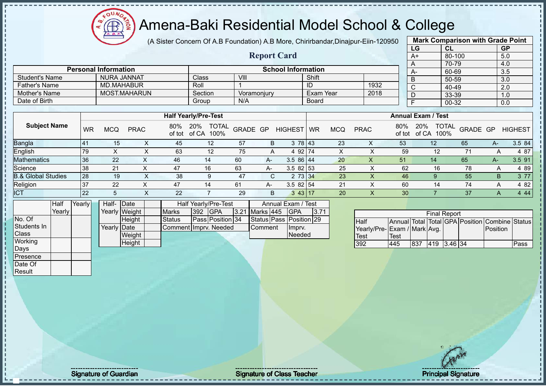oυ Æ

#### Amena-Baki Residential Model School & College

(A Sister Concern Of A.B Foundation) A.B More, Chirirbandar,Dinajpur-Eiin-120950

**Report Card**

|                 | <b>Mark Comparison with Grade Point</b> |           |
|-----------------|-----------------------------------------|-----------|
| LG              | <b>CL</b>                               | <b>GP</b> |
| $\overline{A+}$ | 80-100                                  | 5.0       |
| A               | 70-79                                   | 4.0       |
| A-              | 60-69                                   | 3.5       |
| B               | 50-59                                   | 3.0       |
| $\mathsf{C}$    | 40-49                                   | 2.0       |
| D               | 33-39                                   | 1.0       |
| F               | 00-32                                   | 0.0       |
|                 |                                         |           |

| Date of Birth                 |           |            |             |               | Group                                | N/A      |      |                 | Board     |            |             |               |                           | 00-32                |                 |    | 0.0            |
|-------------------------------|-----------|------------|-------------|---------------|--------------------------------------|----------|------|-----------------|-----------|------------|-------------|---------------|---------------------------|----------------------|-----------------|----|----------------|
|                               |           |            |             |               |                                      |          |      |                 |           |            |             |               |                           |                      |                 |    |                |
|                               |           |            |             |               | <b>Half Yearly/Pre-Test</b>          |          |      |                 |           |            |             |               | <b>Annual Exam / Test</b> |                      |                 |    |                |
| <b>Subject Name</b>           | <b>WR</b> | <b>MCQ</b> | <b>PRAC</b> | 80%<br>of tot | 20%<br><b>TOTAL</b><br>of CA<br>100% | GRADE GP |      | <b>HIGHEST</b>  | <b>WR</b> | <b>MCQ</b> | <b>PRAC</b> | 80%<br>of tot | 20%<br>of CA              | <b>TOTAL</b><br>100% | <b>GRADE GP</b> |    | <b>HIGHEST</b> |
| Bangla                        | -41       | 15         | ⋏           | 45            | 12                                   | 57       | B    | 3 78 43         |           | 23         | х           | 53            | 12                        |                      | 65              | А- | 3.5 84         |
| English                       | 79        |            |             | 63            | 12                                   | 75       | A    | 4 92 74         |           | x          |             | 59            |                           | 12                   | 71              |    | 4 87           |
| <b>Mathematics</b>            | 36        | 22         | ⌒           | 46            | 14                                   | 60       | A-   | $3.586$   44    |           | 20         | X           | 51            | 14                        |                      | 65              | А- | 3.5 91         |
| Science                       | 38        | 21         |             | 47            | 16                                   | 63       | A-   | $3.582$ 53      |           | 25         |             | 62            |                           | 16                   | 78              |    | 4 8 9          |
| <b>B.&amp; Global Studies</b> | 28        | 19         | $\lambda$   | 38            | 9                                    | 47       |      | 2 73 34<br>C.   |           | 23         |             | 46            |                           |                      | 55              | B. | 3 77           |
| Religion                      | 37        | 22         |             | 47            | 14                                   | 61       | $A-$ | $3.582$ 54      |           | 21         |             | 60            |                           | 14                   | 74              | А  | 4 82           |
| <b>ICT</b>                    | 22        | 5          |             | 22            |                                      | 29       | B    | $3 \, 43 \, 17$ |           | 20         | х           | 30            |                           |                      | 37              | A  | 4 4 4          |

|              | <b>Half</b> | Yearly | Half- Date  |               |                       |     | Half Yearly/Pre-Test |                  | Annual Exam / Test      |      |
|--------------|-------------|--------|-------------|---------------|-----------------------|-----|----------------------|------------------|-------------------------|------|
|              | Yearlv l    |        |             | Yearly Weight | <b>Marks</b>          | 392 | <b>IGPA</b>          | 3.21 Marks 445   | <b>IGPA</b>             | 3.71 |
| No. Of       |             |        |             | <b>Height</b> | Status                |     | Pass Position 34     |                  | Status Pass Position 29 |      |
| Students In  |             |        | Yearly Date |               | Comment Imprv. Needed |     |                      | <b>I</b> Comment | Ilmpry.                 |      |
| <b>Class</b> |             |        |             | Weight        |                       |     |                      |                  | <b>Needed</b>           |      |
| Working      |             |        |             | Height        |                       |     |                      |                  |                         |      |
| Days         |             |        |             |               |                       |     |                      |                  |                         |      |

**Personal Information School Information** 

Father's Name MD.MAHABUR Roll 1 1 ID 1932 Mother's Name MOST.MAHARUN Section Voramonjury Exam Year 2018<br>
Date of Birth Group N/A Board

Student's Name NURA JANNAT Class VIII Shift<br>
Father's Name MD.MAHABUR Roll 1 ID

|                             |      |     | <b>Final Report</b> |  |                                                |      |
|-----------------------------|------|-----|---------------------|--|------------------------------------------------|------|
| <b>Half</b>                 |      |     |                     |  | Annual Total Total GPA Position Combine Status |      |
| Yearly/Pre-Exam / Mark Avg. |      |     |                     |  | <b>IPosition</b>                               |      |
| <b>Test</b>                 | Test |     |                     |  |                                                |      |
| 392                         | 445  | 837 | 419 3.46 34         |  |                                                | Pass |

Presence Date Of **Result** 

Signature of Guardian Signature of Class Teacher Number of Class Teacher Principal Signature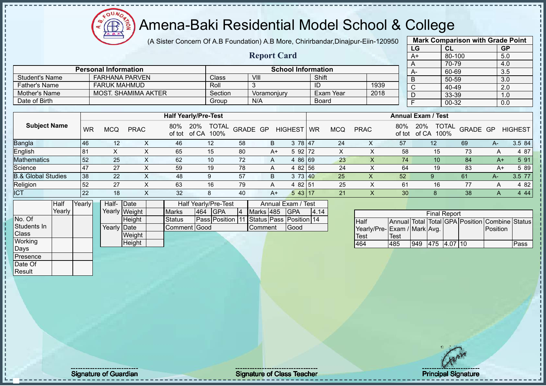FOUND

# $\left(\sqrt[2^n]{\bigoplus_{k=1}^{n}^2}\right)$ Amena-Baki Residential Model School & College

|                               |        |           |                             |               | (A Sister Concern Of A.B Foundation) A.B More, Chirirbandar, Dinajpur-Eiin-120950 |                             |              |          |             |                           |              |                  |                             |               |                                                |                     |          | <b>Mark Comparison with Grade Point</b> |                |
|-------------------------------|--------|-----------|-----------------------------|---------------|-----------------------------------------------------------------------------------|-----------------------------|--------------|----------|-------------|---------------------------|--------------|------------------|-----------------------------|---------------|------------------------------------------------|---------------------|----------|-----------------------------------------|----------------|
|                               |        |           |                             |               |                                                                                   |                             |              |          |             |                           |              |                  |                             |               | LG                                             | <b>CL</b>           |          | <b>GP</b>                               |                |
|                               |        |           |                             |               |                                                                                   |                             |              |          |             | <b>Report Card</b>        |              |                  |                             |               | $A+$                                           | 80-100              |          | 5.0                                     |                |
|                               |        |           |                             |               |                                                                                   |                             |              |          |             |                           |              |                  |                             |               | A                                              | 70-79               |          | 4.0                                     |                |
|                               |        |           | <b>Personal Information</b> |               |                                                                                   |                             |              |          |             | <b>School Information</b> |              |                  |                             |               | $A-$                                           | 60-69               |          | 3.5                                     |                |
| <b>Student's Name</b>         |        |           | <b>FARHANA PARVEN</b>       |               |                                                                                   | Class                       |              | VIII     |             |                           | Shift        |                  |                             |               | B                                              | 50-59               |          | 3.0                                     |                |
| <b>Father's Name</b>          |        |           | <b>FARUK MAHMUD</b>         |               |                                                                                   | Roll                        |              | 3        |             |                           | ID           |                  | 1939                        |               | C                                              | 40-49               |          | $\overline{2.0}$                        |                |
| <b>Mother's Name</b>          |        |           | <b>MOST. SHAMIMA AKTER</b>  |               |                                                                                   |                             | Section      |          | Voramonjury |                           |              | <b>Exam Year</b> | 2018                        |               | D                                              | 33-39               |          | 1.0                                     |                |
| Date of Birth                 |        |           |                             |               |                                                                                   |                             | Group        | N/A      |             |                           | <b>Board</b> |                  |                             |               | $\overline{F}$                                 | 00-32               |          | 0.0                                     |                |
|                               |        |           |                             |               |                                                                                   |                             |              |          |             |                           |              |                  |                             |               |                                                |                     |          |                                         |                |
|                               |        |           |                             |               |                                                                                   | <b>Half Yearly/Pre-Test</b> |              |          |             |                           |              |                  |                             |               | <b>Annual Exam / Test</b>                      |                     |          |                                         |                |
| <b>Subject Name</b>           |        | <b>WR</b> | <b>MCQ</b>                  | <b>PRAC</b>   | 80%<br>of tot                                                                     | 20%<br>of CA<br>100%        | <b>TOTAL</b> | GRADE GP |             | <b>HIGHEST</b>            | WR           | <b>MCQ</b>       | <b>PRAC</b>                 | 80%<br>of tot | 20%<br>of CA 100%                              | <b>TOTAL</b>        | GRADE GP |                                         | <b>HIGHEST</b> |
| <b>Bangla</b>                 |        | 46        | 12                          |               | X<br>46                                                                           | 12                          |              | 58       | B           | 3 78 47                   |              | 24               | X                           | 57            | 12                                             |                     | 69       | $A-$                                    | 3.5 84         |
| English                       |        | 81        | X                           |               | X<br>65                                                                           | 15                          |              | 80       | $A+$        | 5 92 72                   |              | X                | X                           | 58            |                                                | 15                  | 73       | Α                                       | 4 87           |
| <b>Mathematics</b>            |        | 52        | 25                          |               | X<br>62                                                                           | 10                          |              | 72       | A           | 4 86 69                   |              | 23               | $\times$                    | 74            |                                                | 10                  | 84       | $A+$                                    | 5 91           |
| Science                       |        | 47        | 27                          |               | X<br>59                                                                           | 19                          |              | 78       | A           | 4 82 56                   |              | 24               | X                           | 64            |                                                | 19                  | 83       | $A+$                                    | 5 89           |
| <b>B.&amp; Global Studies</b> |        | 38        | 22                          |               | X<br>48                                                                           | 9                           |              | 57       | B           | 3 73 40                   |              | 25               | X                           | 52            | 9                                              |                     | 61       | A-                                      | 3.5 77         |
| Religion                      |        | 52        | 27                          |               | X<br>63                                                                           | 16                          |              | 79       | A           | 4 82 51                   |              | 25               | X                           | 61            |                                                | 16                  | 77       | A                                       | 4 8 2          |
| <b>ICT</b>                    |        | 22        | 18                          |               | X<br>32                                                                           | 8                           |              | 40       | $A+$        | 543 17                    |              | 21               | $\sf X$                     | 30            | 8                                              |                     | 38       | A                                       | 4 4 4          |
|                               | Half   | Yearly    | Half- Date                  |               |                                                                                   | Half Yearly/Pre-Test        |              |          |             | Annual Exam / Test        |              |                  |                             |               |                                                |                     |          |                                         |                |
|                               | Yearly |           |                             | Yearly Weight | Marks                                                                             | <b>GPA</b><br>464           |              |          | Marks 485   | <b>GPA</b>                | 4.14         |                  |                             |               |                                                |                     |          |                                         |                |
| No. Of                        |        |           |                             | Height        | <b>Status</b>                                                                     | Pass Position 11            |              |          |             | Status Pass Position 14   |              |                  | <b>Half</b>                 |               | Annual Total Total GPA Position Combine Status | <b>Final Report</b> |          |                                         |                |
| Students In                   |        |           | Yearly Date                 |               |                                                                                   | Comment Good                |              | Comment  |             | Good                      |              |                  | Yearly/Pre-Exam / Mark Avg. |               |                                                |                     |          | Position                                |                |
| Class                         |        |           |                             | Weight        |                                                                                   |                             |              |          |             |                           |              |                  | Test                        | Test          |                                                |                     |          |                                         |                |
| Working                       |        |           |                             | Height        |                                                                                   |                             |              |          |             |                           |              |                  | 464                         | 485           | 949 475 4.07 10                                |                     |          |                                         | Pass           |
| Days                          |        |           |                             |               |                                                                                   |                             |              |          |             |                           |              |                  |                             |               |                                                |                     |          |                                         |                |
| Presence                      |        |           |                             |               |                                                                                   |                             |              |          |             |                           |              |                  |                             |               |                                                |                     |          |                                         |                |
| Date Of                       |        |           |                             |               |                                                                                   |                             |              |          |             |                           |              |                  |                             |               |                                                |                     |          |                                         |                |
| Result                        |        |           |                             |               |                                                                                   |                             |              |          |             |                           |              |                  |                             |               |                                                |                     |          |                                         |                |

- II

Signature of Guardian and Signature of Class Teacher Principal Signature of Guardian and Signature of Class Teacher Principal Signature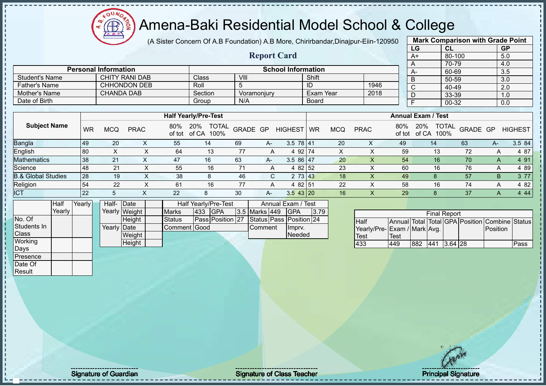

(A Sister Concern Of A.B Foundation) A.B More, Chirirbandar,Dinajpur-Eiin-120950

**Report Card**

| <b>Mark Comparison with Grade Point</b><br>LG |           |  |  |  |  |  |  |  |  |  |
|-----------------------------------------------|-----------|--|--|--|--|--|--|--|--|--|
| CL                                            | <b>GP</b> |  |  |  |  |  |  |  |  |  |
| 80-100                                        | 5.0       |  |  |  |  |  |  |  |  |  |
| 70-79                                         | 4.0       |  |  |  |  |  |  |  |  |  |
| 60-69                                         | 3.5       |  |  |  |  |  |  |  |  |  |
| 50-59                                         | 3.0       |  |  |  |  |  |  |  |  |  |
| 40-49                                         | 2.0       |  |  |  |  |  |  |  |  |  |
| 33-39                                         | 1.0       |  |  |  |  |  |  |  |  |  |
| 00-32                                         | 0.0       |  |  |  |  |  |  |  |  |  |
|                                               |           |  |  |  |  |  |  |  |  |  |

|                       | <b>Personal Information</b> |         | <b>School Information</b> |              |      | А- |
|-----------------------|-----------------------------|---------|---------------------------|--------------|------|----|
| <b>Student's Name</b> | <b>CHITY RANI DAB</b>       | Class   | VIII                      | Shift        |      |    |
| <b>Father's Name</b>  | <b>CHHONDON DEB</b>         | Roll    |                           | ID           | 1946 |    |
| Mother's Name         | <b>CHANDA DAB</b>           | Section | Voramoniury               | Exam Year    | 2018 |    |
| Date of Birth         |                             | Group   | N/A                       | <b>Board</b> |      |    |

|                               |    |            |             |               | <b>Half Yearly/Pre-Test</b>          |          |      |                |    |     |             |               | <b>Annual Exam / Test</b>            |          |    |                |
|-------------------------------|----|------------|-------------|---------------|--------------------------------------|----------|------|----------------|----|-----|-------------|---------------|--------------------------------------|----------|----|----------------|
| <b>Subject Name</b>           | WR | <b>MCQ</b> | <b>PRAC</b> | 80%<br>of tot | <b>TOTAL</b><br>20%<br>of CA<br>100% | GRADE GP |      | <b>HIGHEST</b> | WR | MCQ | <b>PRAC</b> | 80%<br>of tot | <b>TOTAL</b><br>20%<br>100%<br>of CA | GRADE GP |    | <b>HIGHEST</b> |
| <b>Bangla</b>                 | 49 | 20         |             | 55            | 14                                   | 69       | $A-$ | $3.5$ 78 41    |    | 20  | ∧           | 49            | 14                                   | 63       | A- | 3.5 84         |
| English                       | 80 |            |             | 64            | 13                                   |          | A    | 92 74<br>4     |    | X   |             | 59            | 13                                   | 72       | A  | 4 87           |
| <b>Mathematics</b>            | 38 | 21         |             | 47            | 16                                   | 63       | A-   | $3.586$   47   |    | 20  |             | 54            | 16                                   | 70       | A  | 4 91           |
| Science                       | 48 | 21         | ∧           | 55            | 16                                   | 71       | A    | 4 82 52        |    | 23  |             | 60            | 16                                   | 76       | A  | 4 8 9          |
| <b>B.&amp; Global Studies</b> | 28 | 19         | ᄉ           | 38            | 8                                    | 46       | C.   | 2 73 43        |    | 18  | ∧           | 49            |                                      | 57       | B  | 3 77           |
| Religion                      | 54 | 22         | ⋏           | 61            | 16                                   | 77       | А    | 82 51<br>4     |    | 22  |             | 58            | 16                                   | 74       | A  | 4 8 2          |
| <b>ICT</b>                    | 22 |            |             | 22            |                                      | 30       | A-   | $3.5$ 43 20    |    | 16  |             | 29            |                                      | 37       |    | 4 4 4          |

|              | <b>Half</b> | Yearlv l | Half- Date  |               |               |     | Half Yearly/Pre-Test                     |                      | Annual Exam / Test |      |
|--------------|-------------|----------|-------------|---------------|---------------|-----|------------------------------------------|----------------------|--------------------|------|
|              | Yearly      |          |             | Yearly Weight | <b>Marks</b>  | 433 | <b>IGPA</b>                              | <b>3.5 Marks 449</b> | <b>IGPA</b>        | 3.79 |
| No. Of       |             |          |             | Height        | <b>Status</b> |     | Pass Position 27 Status Pass Position 24 |                      |                    |      |
| Students In  |             |          | Yearly Date |               | Comment Good  |     |                                          | <b>Comment</b>       | Imprv.             |      |
| <b>Class</b> |             |          |             | Weight        |               |     |                                          |                      | Needed             |      |
| Working      |             |          |             | Height        |               |     |                                          |                      |                    |      |
| Days         |             |          |             |               |               |     |                                          |                      |                    |      |

|                             |      |     | <b>Final Report</b> |  |                                                |      |
|-----------------------------|------|-----|---------------------|--|------------------------------------------------|------|
| <b>Half</b>                 |      |     |                     |  | Annual Total Total GPA Position Combine Status |      |
| Yearly/Pre-Exam / Mark Avg. |      |     |                     |  | <b>IPosition</b>                               |      |
| <b>Test</b>                 | Test |     |                     |  |                                                |      |
| 433                         | 449  | 882 | 441 3.64 28         |  |                                                | Pass |

Presence Date Of **Result**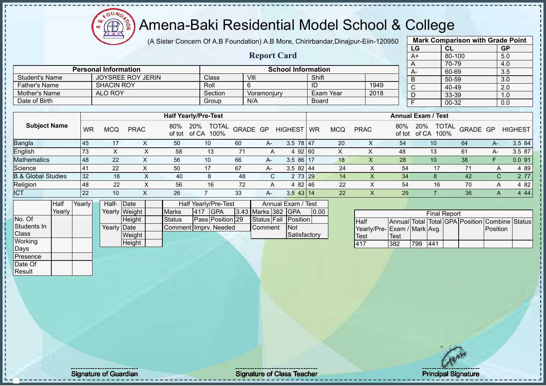$\mathbf{I}$ 

л  $\mathbf{I}$ 

#### Amena-Baki Residential Model School & College

(A Sister Concern Of A.B Foundation) A.B More, Chirirbandar,Dinajpur-Eiin-120950

|                               |           |                             |                          |               |                                          |          |                    |                           |              |            |                             |                           | LG             |                            | CL     |                    |              | <b>GP</b>      |
|-------------------------------|-----------|-----------------------------|--------------------------|---------------|------------------------------------------|----------|--------------------|---------------------------|--------------|------------|-----------------------------|---------------------------|----------------|----------------------------|--------|--------------------|--------------|----------------|
|                               |           |                             |                          |               |                                          |          | <b>Report Card</b> |                           |              |            |                             |                           | $A+$           |                            | 80-100 |                    |              | 5.0            |
|                               |           |                             |                          |               |                                          |          |                    |                           |              |            |                             |                           | A              |                            | 70-79  |                    |              | 4.0            |
|                               |           | <b>Personal Information</b> |                          |               |                                          |          |                    | <b>School Information</b> |              |            |                             |                           | A-             |                            | 60-69  |                    |              | 3.5            |
| <b>Student's Name</b>         |           |                             | <b>JOYSREE ROY JERIN</b> |               | Class                                    | VIII     |                    |                           | Shift        |            |                             |                           | B              |                            | 50-59  |                    |              | 3.0            |
| <b>Father's Name</b>          |           | <b>SHACIN ROY</b>           |                          |               | Roll                                     | 6        |                    |                           | ID           |            | 1949                        |                           | $\overline{C}$ |                            | 40-49  |                    |              | 2.0            |
| Mother's Name                 |           | <b>ALO ROY</b>              |                          |               | Section                                  |          | Voramonjury        |                           | Exam Year    |            | 2018                        |                           | D              |                            | 33-39  |                    |              | 1.0            |
| Date of Birth                 |           |                             |                          |               | Group                                    |          | N/A                |                           | <b>Board</b> |            |                             |                           | E              |                            | 00-32  |                    |              | 0.0            |
|                               |           |                             |                          |               |                                          |          |                    |                           |              |            |                             |                           |                |                            |        |                    |              |                |
|                               |           |                             |                          |               | <b>Half Yearly/Pre-Test</b>              |          |                    |                           |              |            |                             | <b>Annual Exam / Test</b> |                |                            |        |                    |              |                |
| <b>Subject Name</b>           | <b>WR</b> | <b>MCQ</b>                  | <b>PRAC</b>              | 80%           | 20%<br><b>TOTAL</b><br>of tot of CA 100% | GRADE GP |                    | <b>HIGHEST</b>            | <b>WR</b>    | <b>MCQ</b> | <b>PRAC</b>                 | 80%<br>of tot             | 20%            | <b>TOTAL</b><br>of CA 100% |        | GRADE GP           |              | <b>HIGHEST</b> |
| Bangla                        | 45        | 17                          | $\times$                 | 50            | 10                                       | 60       | A-                 | $3.5 \ 78 \ 47$           |              | 20         | X                           | 54                        |                | 10                         |        | 64                 | $A-$         | 3.5 84         |
| English                       | 73        | X                           | X                        | 58            | 13                                       | 71       | A                  | 4 92 60                   |              | X          | X                           | 48                        |                | 13                         |        | 61                 | $A-$         | 3.5 87         |
| <b>Mathematics</b>            | 48        | 22                          | X                        | 56            | 10                                       | 66       | $A -$              | $3.586$ 17                |              | 18         | X                           | 28                        |                | 10                         |        | 38                 | F.           | 0.091          |
| Science                       | 41        | 22                          | $\pmb{\times}$           | 50            | 17                                       | 67       | A-                 | 3.5 82 44                 |              | 24         | $\sf X$                     | 54                        |                | 17                         |        | 71                 | A            | 4 8 9          |
| <b>B.&amp; Global Studies</b> | 32        | 18                          | $\times$                 | 40            | 8                                        | 48       | C                  | 2 73 29                   |              | 14         | $\times$                    | 34                        |                | 8                          |        | 42                 | $\mathsf{C}$ | $277$          |
| Religion                      | 48        | 22                          | X                        | 56            | 16                                       | 72       | A                  | 4 82 46                   |              | 22         | X                           | 54                        |                | 16                         |        | 70                 | A            | 4 82           |
| <b>ICT</b>                    | 22        | 10                          | $\mathsf{X}$             | 26            | $\overline{7}$                           | 33       | A-                 | $3.5$ 43 14               |              | 22         | $\boldsymbol{\mathsf{X}}$   | 29                        |                | $\overline{7}$             |        | 36                 | $\mathsf{A}$ | 444            |
| <b>Half</b>                   | Yearly    | Half-                       | Date                     |               | Half Yearly/Pre-Test                     |          |                    | Annual Exam / Test        |              |            |                             |                           |                |                            |        |                    |              |                |
| Yearly                        |           |                             | Yearly Weight            | <b>Marks</b>  | GPA<br>417                               |          | 3.43 Marks 382     | <b>GPA</b>                | 0.00         |            |                             |                           |                | <b>Final Report</b>        |        |                    |              |                |
| No. Of                        |           |                             | Height                   | <b>Status</b> | Pass Position 29                         |          | Status Fail        | <b>Position</b>           |              |            | <b>Half</b>                 | <b>Annual Total</b>       |                |                            |        | Total GPA Position | Combine      | Status         |
| Students In                   |           | Yearly Date                 |                          |               | Comment Imprv. Needed                    |          | Comment            | <b>Not</b>                |              |            | Yearly/Pre-Exam / Mark Avg. |                           |                |                            |        |                    | Position     |                |
| Class                         |           |                             | Weight                   |               |                                          |          |                    | Satisfactory              |              |            | <b>Test</b>                 | <b>Test</b>               |                |                            |        |                    |              |                |
| Working                       |           |                             | Height                   |               |                                          |          |                    |                           |              |            | 417                         | 382                       | 799            | 441                        |        |                    |              |                |
| <b>Days</b>                   |           |                             |                          |               |                                          |          |                    |                           |              |            |                             |                           |                |                            |        |                    |              |                |
| Presence                      |           |                             |                          |               |                                          |          |                    |                           |              |            |                             |                           |                |                            |        |                    |              |                |
| Date Of                       |           |                             |                          |               |                                          |          |                    |                           |              |            |                             |                           |                |                            |        |                    |              |                |
| Result                        |           |                             |                          |               |                                          |          |                    |                           |              |            |                             |                           |                |                            |        |                    |              |                |
|                               |           |                             |                          |               |                                          |          |                    |                           |              |            |                             |                           |                |                            |        |                    |              |                |

**Mark Comparison with Grade Point**

Signature of Guardian Contract Contract Contract Contract Contract Contract Contract Contract Contract Contract Contract Contract Contract Contract Contract Contract Contract Contract Contract Contract Contract Contract Co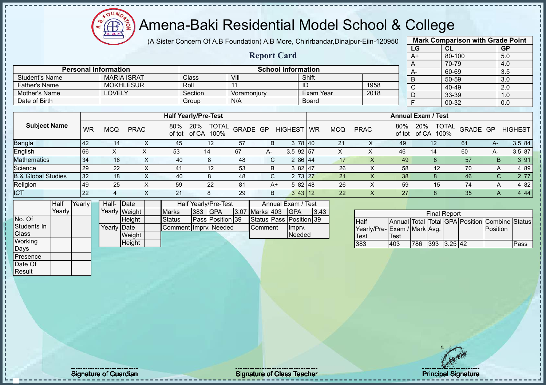

(A Sister Concern Of A.B Foundation) A.B More, Chirirbandar,Dinajpur-Eiin-120950 **Report Card**

|                | <b>Mark Comparison with Grade Point</b> |           |
|----------------|-----------------------------------------|-----------|
| LG             | CL                                      | <b>GP</b> |
| $A+$           | 80-100                                  | 5.0       |
| A              | 70-79                                   | 4.0       |
| A-             | 60-69                                   | 3.5       |
| B              | 50-59                                   | 3.0       |
| $\overline{C}$ | 40-49                                   | 2.0       |
| D              | 33-39                                   | 1.0       |
| E              | $00 - 32$                               | 0.0       |
|                |                                         |           |

|                       |                             |         | KUPULU CALU               |           |      | $H^+$ | <b>00-100</b> | ິບ.ບ |
|-----------------------|-----------------------------|---------|---------------------------|-----------|------|-------|---------------|------|
|                       |                             |         |                           |           |      |       | 70-79         | 4.0  |
|                       | <b>Personal Information</b> |         | <b>School Information</b> |           |      | $A-$  | 60-69         | 3.5  |
| <b>Student's Name</b> | <b>MARIA ISRAT</b>          | Class   | VII.                      | Shift     |      |       | 50-59         | 3.0  |
| Father's Name         | <b>MOKHLESUR</b>            | Roll    |                           | שו        | 1958 |       | 40-49         | 2.0  |
| Mother's Name         | LOVELY                      | Section | Voramoniury               | Exam Year | 2018 |       | 33-39         | 1.0  |
| Date of Birth         |                             | Group   | N/A                       | Board     |      |       | $00 - 32$     | 0.0  |

|                               |           |            |             |     | <b>Half Yearly/Pre-Test</b>          |          |      |                 |           |            |              |               | <b>Annual Exam / Test</b> |                                  |    |                |
|-------------------------------|-----------|------------|-------------|-----|--------------------------------------|----------|------|-----------------|-----------|------------|--------------|---------------|---------------------------|----------------------------------|----|----------------|
| <b>Subject Name</b>           | <b>WR</b> | <b>MCQ</b> | <b>PRAC</b> | 80% | TOTAL<br>20%<br>of tot of CA<br>100% | GRADE GP |      | <b>HIGHEST</b>  | <b>WR</b> | <b>MCQ</b> | <b>PRAC</b>  | 80%<br>of tot | 20%<br>of CA              | <b>TOTAL</b><br>GRADE GP<br>100% |    | <b>HIGHEST</b> |
| Bangla                        | <b>42</b> | 14         |             | 45  | 12                                   | 57       | B    | 3 78 40         |           | 21         | ∧            | 49            | 12                        | 61                               | A- | 3.5 84         |
| English                       | 66        | ⌒          |             | 53  | 14                                   | 67       | $A-$ | $3.5$ 92 57     |           |            |              | 46            | 14                        | 60                               | A- | 3.5 87         |
| <b>Mathematics</b>            | 34        | 16         |             | 40  | 8                                    | 48       | C.   | 2 86 44         |           | 17         |              | 49            |                           | 57                               | B. | 3 91           |
| Science                       | 29        | 22         |             | 41  | 12                                   | 53       | B    | 3 82 47         |           | 26         | $\checkmark$ | 58            | 12                        | 70                               | A  | 4 8 9          |
| <b>B.&amp; Global Studies</b> | 32        | 18         |             | 40  |                                      | 48       | C.   | 2 73 27         |           | 21         |              | 38            |                           | 46                               | C  | 2 7 7          |
| Religion                      | 49        | 25         |             | 59  | 22                                   | 81       | $A+$ | $582$   48      |           | 26         |              | 59            | 15                        | 74                               | A  | 4 8 2          |
| <b>ICT</b>                    | 22        |            |             | 21  |                                      | 29       | B    | $3 \, 43 \, 12$ |           | 22         |              | 27            |                           | 35                               | A  | 4 4 4          |

|              | Half   | Yearly | Half- Date  |               |                       |     | <b>Half Yearly/Pre-Test</b> |                | Annual Exam / Test      |      |
|--------------|--------|--------|-------------|---------------|-----------------------|-----|-----------------------------|----------------|-------------------------|------|
|              | Yearly |        |             | Yearly Weight | <b>Marks</b>          | 383 | <b>IGPA</b>                 | 3.07 Marks 403 | IGPA                    | 3.43 |
| INo. Of      |        |        |             | Height        | <b>Status</b>         |     | Pass Position 39            |                | Status Pass Position 39 |      |
| Students In  |        |        | Yearly Date |               | Comment Imprv. Needed |     |                             | <b>Comment</b> | Imprv.                  |      |
| <b>Class</b> |        |        |             | Weight        |                       |     |                             |                | Needed                  |      |
| Working      |        |        |             | Height        |                       |     |                             |                |                         |      |
| Days         |        |        |             |               |                       |     |                             |                |                         |      |

|                             |      |      | <b>Final Report</b> |  |                                                |      |
|-----------------------------|------|------|---------------------|--|------------------------------------------------|------|
| <b>Half</b>                 |      |      |                     |  | Annual Total Total GPA Position Combine Status |      |
| Yearly/Pre-Exam / Mark Avg. |      |      |                     |  | <b>IPosition</b>                               |      |
| Test                        | Test |      |                     |  |                                                |      |
| 383                         | 403  | 1786 | 393 3.25 42         |  |                                                | Pass |

Presence Date Of **Result**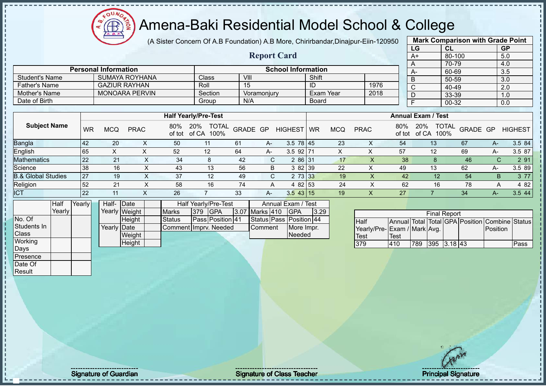**AB** 

# Amena-Baki Residential Model School & College

(A Sister Concern Of A.B Foundation) A.B More, Chirirbandar,Dinajpur-Eiin-120950

**Report Card**

|                   | <b>Mark Comparison with Grade Point</b> |           |  |  |  |  |  |  |  |
|-------------------|-----------------------------------------|-----------|--|--|--|--|--|--|--|
| LG                | CL                                      | <b>GP</b> |  |  |  |  |  |  |  |
| $A+$              | 80-100                                  | 5.0       |  |  |  |  |  |  |  |
| A                 | 70-79                                   | 4.0       |  |  |  |  |  |  |  |
| А-                | 60-69                                   | 3.5       |  |  |  |  |  |  |  |
| B                 | 50-59                                   | 3.0       |  |  |  |  |  |  |  |
| C                 | 40-49                                   | 2.0       |  |  |  |  |  |  |  |
| 33-39<br>D<br>1.0 |                                         |           |  |  |  |  |  |  |  |
| F                 | 00-32                                   | 0.0       |  |  |  |  |  |  |  |
|                   |                                         |           |  |  |  |  |  |  |  |

|                       |                             |         |             |                           |      |     | 70-79 |
|-----------------------|-----------------------------|---------|-------------|---------------------------|------|-----|-------|
|                       | <b>Personal Information</b> |         |             | <b>School Information</b> |      | -A  | 60-69 |
| <b>Student's Name</b> | SUMAYA ROYHANA              | Class   | VIII        | Shift                     |      | - 6 | 50-59 |
| Father's Name         | <b>GAZIUR RAYHAN</b>        | Roll    |             | ID                        | 1976 | ັ   | 40-49 |
| Mother's Name         | <b>MONOARA PERVIN</b>       | Section | Voramoniurv | Exam Year                 | 2018 | D   | 33-39 |
| Date of Birth         |                             | Group   | N/A         | <b>Board</b>              |      |     | 00-32 |

|                               |    |     |             |     | <b>Half Yearly/Pre-Test</b>              |          |    |                | <b>Annual Exam / Test</b> |            |             |     |                     |                                  |    |                |
|-------------------------------|----|-----|-------------|-----|------------------------------------------|----------|----|----------------|---------------------------|------------|-------------|-----|---------------------|----------------------------------|----|----------------|
| <b>Subject Name</b>           | WR | MCQ | <b>PRAC</b> | 80% | <b>TOTAL</b><br>20%<br>of tot of CA 100% | GRADE GP |    | <b>HIGHEST</b> | <b>WR</b>                 | <b>MCQ</b> | <b>PRAC</b> | 80% | 20%<br>of tot of CA | <b>TOTAL</b><br>GRADE GP<br>100% |    | <b>HIGHEST</b> |
|                               | 42 | 20  |             | 50  | 11                                       | 61       | A- | $3.5$ 78 45    |                           | 23         | ∧           | 54  | 13                  | 67                               | А- | 3.5 84         |
| Bangla<br>English             | 65 | ∧   |             | 52  | 12                                       | 64       | A- | $3.5$ 92 71    |                           |            |             | 57  | 12                  | 69                               | A- | 3.5 87         |
| <b>Mathematics</b>            | 22 | 21  | $\sim$      | 34  | 8                                        | -42      | C. | 2 86 31        |                           |            |             | 38  | 8                   | 46                               |    | 2 9 1<br>C.    |
| Science                       | 38 | 16  | ⌒           | 43  | 13                                       | 56       | B. | 3 82 39        |                           | 22         | Х           | 49  | 13                  | 62                               | A- | 3.5 89         |
| <b>B.&amp; Global Studies</b> | 27 | 19  |             | 37  | 12                                       | 49       | C. | 2 73 33        |                           | 19         |             | 42  | 12                  | 54                               | B. | 3 7 7          |
| Religion                      | 52 | 21  | ⌒           | 58  | 16                                       | 74       | A  | 4 82 53        |                           | 24         |             | 62  | 16                  | 78                               | A  | 4 8 2          |
| <b>ICT</b>                    | 22 | 11  |             | 26  |                                          | 33       | A- | $3.5$ 43 15    |                           | 19         | х           | 27  |                     | 34                               | А- | 3.544          |

|              | Half   | Yearly | Half- Date  |               |                       |         | Half Yearly/Pre-Test    |  |                | Annual Exam / Test      |      |
|--------------|--------|--------|-------------|---------------|-----------------------|---------|-------------------------|--|----------------|-------------------------|------|
|              | Yearly |        |             | Yearly Weight | <b>Marks</b>          | 379     | <b>IGPA</b>             |  | 3.07 Marks 410 | IGPA                    | 3.29 |
| INo. Of      |        |        |             | <b>Height</b> | <b>Status</b>         |         | <b>Pass Position 41</b> |  |                | Status Pass Position 44 |      |
| Students In  |        |        | Yearly Date |               | Comment Imprv. Needed | Comment | More Impr.              |  |                |                         |      |
| <b>Class</b> |        |        |             | Weight        |                       |         |                         |  |                | Needed                  |      |
| Working      |        |        |             | Height        |                       |         |                         |  |                |                         |      |
| Days         |        |        |             |               |                       |         |                         |  |                |                         |      |

|                             |      |     | <b>Final Report</b> |  |                                                |      |
|-----------------------------|------|-----|---------------------|--|------------------------------------------------|------|
| <b>I</b> Half               |      |     |                     |  | Annual Total Total GPA Position Combine Status |      |
| Yearly/Pre-Exam / Mark Avg. |      |     |                     |  | <b>Position</b>                                |      |
| Test                        | Test |     |                     |  |                                                |      |
| 379                         | 410  | 789 | 395 3.18 43         |  |                                                | Pass |

Presence Date Of Result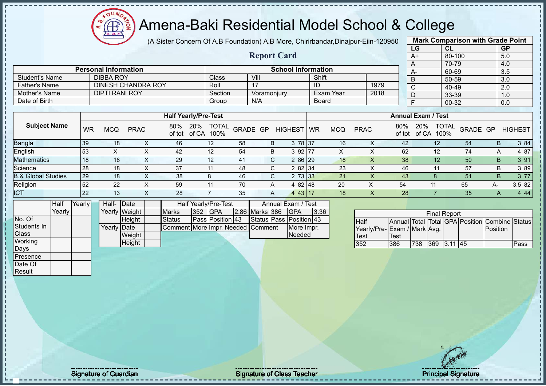(A Sister Concern Of A.B Foundation) A.B More, Chirirbandar,Dinajpur-Eiin-120950

|                               |        |           |                             |               |                |               |                                   |    |                         |                    |            |                           |            |                              |                           | LG             |                | CL                  |                                                | <b>GP</b>    |                |
|-------------------------------|--------|-----------|-----------------------------|---------------|----------------|---------------|-----------------------------------|----|-------------------------|--------------------|------------|---------------------------|------------|------------------------------|---------------------------|----------------|----------------|---------------------|------------------------------------------------|--------------|----------------|
|                               |        |           |                             |               |                |               |                                   |    | <b>Report Card</b>      |                    |            |                           |            |                              |                           | $A+$           |                | 80-100              |                                                | 5.0          |                |
|                               |        |           |                             |               |                |               |                                   |    |                         |                    |            |                           |            |                              |                           | A              |                | 70-79               |                                                | 4.0          |                |
|                               |        |           | <b>Personal Information</b> |               |                |               |                                   |    |                         |                    |            | <b>School Information</b> |            |                              |                           | A-             |                | 60-69               |                                                | 3.5          |                |
| <b>Student's Name</b>         |        |           | <b>DIBBA ROY</b>            |               |                |               | Class                             |    | VIII                    |                    |            | Shift                     |            |                              |                           | B              |                | 50-59               |                                                | 3.0          |                |
| <b>Father's Name</b>          |        |           | <b>DINESH CHANDRA ROY</b>   |               |                |               | Roll                              |    | 17                      |                    |            | ID                        |            | 1979                         |                           | $\overline{C}$ |                | 40-49               |                                                | 2.0          |                |
| <b>Mother's Name</b>          |        |           | <b>DIPTI RANI ROY</b>       |               |                |               | Section                           |    | Voramonjury             |                    |            |                           | Exam Year  | 2018                         |                           | D              |                | 33-39               |                                                | 1.0          |                |
| Date of Birth                 |        |           |                             |               |                |               | Group                             |    | N/A                     |                    |            | <b>Board</b>              |            |                              |                           | $\overline{F}$ |                | $00 - 32$           |                                                | 0.0          |                |
|                               |        |           |                             |               |                |               |                                   |    |                         |                    |            |                           |            |                              |                           |                |                |                     |                                                |              |                |
|                               |        |           |                             |               |                |               | <b>Half Yearly/Pre-Test</b>       |    |                         |                    |            |                           |            |                              | <b>Annual Exam / Test</b> |                |                |                     |                                                |              |                |
| <b>Subject Name</b>           |        | <b>WR</b> | <b>MCQ</b>                  | <b>PRAC</b>   |                | 80%<br>of tot | 20%<br><b>TOTAL</b><br>of CA 100% |    | GRADE GP                | <b>HIGHEST</b>     |            | <b>WR</b>                 | <b>MCQ</b> | <b>PRAC</b>                  | 80%<br>of tot             | 20%            | of CA 100%     | <b>TOTAL</b>        | GRADE GP                                       |              | <b>HIGHEST</b> |
| Bangla                        |        | 39        | 18                          |               | X              | 46            | 12                                | 58 | B                       |                    | 3 78 37    |                           | 16         | X                            | 42                        |                | 12             |                     | 54                                             | $\mathsf B$  | 3 84           |
| English                       |        | 53        | $\pmb{\times}$              |               | X              | 42            | 12                                | 54 | B                       |                    | $392$ 77   |                           | X          | X                            | 62                        |                | 12             |                     | 74                                             | A            | 4 87           |
| <b>Mathematics</b>            |        | 18        | 18                          |               | $\pmb{\times}$ | 29            | 12                                | 41 | $\mathsf C$             |                    | 2 86 29    |                           | 18         | $\mathsf{X}$                 | 38                        |                | 12             |                     | 50                                             | B            | 3 91           |
| Science                       |        | 28        | 18                          |               | X              | 37            | 11                                | 48 | C                       |                    | 2 82 34    |                           | 23         | X                            | 46                        |                | 11             |                     | 57                                             | B            | 3 8 9          |
| <b>B.&amp; Global Studies</b> |        | 29        | 18                          |               | X              | 38            | 8                                 | 46 | C                       |                    | 2 73 33    |                           | 21         | X                            | 43                        |                | 8              |                     | 51                                             | B.           | 3 77           |
| Religion                      |        | 52        | 22                          |               | X              | 59            | 11                                | 70 | Α                       |                    | 4 82 48    |                           | 20         | X                            | 54                        |                | 11             |                     | 65                                             | А-           | 3.5 82         |
| <b>ICT</b>                    |        | 22        | 13                          |               | X              | 28            | $\overline{7}$                    | 35 | A                       |                    | $443$ 17   |                           | 18         | $\times$                     | 28                        |                | $\overline{7}$ |                     | 35                                             | $\mathsf{A}$ | 4 4 4          |
|                               | Half   | Yearly    | Half- Date                  |               |                |               | <b>Half Yearly/Pre-Test</b>       |    |                         | Annual Exam / Test |            |                           |            |                              |                           |                |                |                     |                                                |              |                |
|                               | Yearly |           |                             | Yearly Weight |                | <b>Marks</b>  | 352<br><b>GPA</b>                 |    | 2.86 Marks 386          |                    | <b>GPA</b> | 3.36                      |            |                              |                           |                |                | <b>Final Report</b> |                                                |              |                |
| No. Of                        |        |           |                             | Height        |                | <b>Status</b> | Pass Position 43                  |    | Status Pass Position 43 |                    |            |                           |            | <b>Half</b>                  |                           |                |                |                     | Annual Total Total GPA Position Combine Status |              |                |
| Students In                   |        |           | Yearly Date                 |               |                |               | Comment More Impr. Needed Comment |    |                         |                    | More Impr. |                           |            | Yearly/Pre- Exam / Mark Avg. |                           |                |                |                     |                                                | Position     |                |
| Class                         |        |           |                             | Weight        |                |               |                                   |    |                         |                    | Needed     |                           |            | <b>Test</b>                  | Test                      |                |                |                     |                                                |              |                |
| Working                       |        |           |                             | Height        |                |               |                                   |    |                         |                    |            |                           |            | 352                          | 386                       | 738            |                | 369 3.11 45         |                                                |              | Pass           |
| Days                          |        |           |                             |               |                |               |                                   |    |                         |                    |            |                           |            |                              |                           |                |                |                     |                                                |              |                |
| Presence                      |        |           |                             |               |                |               |                                   |    |                         |                    |            |                           |            |                              |                           |                |                |                     |                                                |              |                |
| Date Of                       |        |           |                             |               |                |               |                                   |    |                         |                    |            |                           |            |                              |                           |                |                |                     |                                                |              |                |
| Result                        |        |           |                             |               |                |               |                                   |    |                         |                    |            |                           |            |                              |                           |                |                |                     |                                                |              |                |
|                               |        |           |                             |               |                |               |                                   |    |                         |                    |            |                           |            |                              |                           |                |                |                     |                                                |              |                |

**Mark Comparison with Grade Point**

Signature of Guardian Contract Contract Contract Contract Contract Contract Contract Contract Contract Contract Contract Contract Contract Contract Contract Contract Contract Contract Contract Contract Contract Contract Co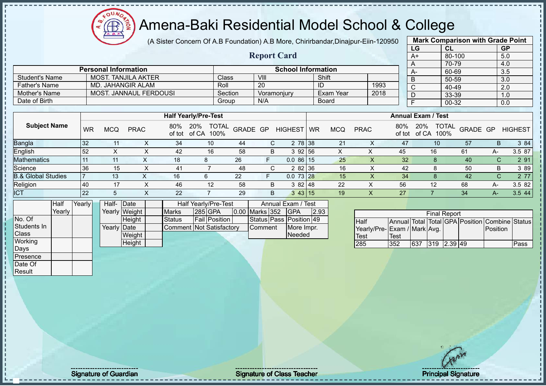# Amena-Baki Residential Model School & College

(A Sister Concern Of A.B Foundation) A.B More, Chirirbandar,Dinajpur-Eiin-120950

**Report Card**

|                       | <b>Mark Comparison with Grade Point</b> |           |
|-----------------------|-----------------------------------------|-----------|
| LG                    | CL                                      | <b>GP</b> |
| $A+$                  | 80-100                                  | 5.0       |
| A                     | 70-79                                   | 4.0       |
| A-                    | 60-69                                   | 3.5       |
| B                     | 50-59                                   | 3.0       |
| $\overline{\text{c}}$ | 40-49                                   | 2.0       |
| D                     | 33-39                                   | 1.0       |
| F                     | 00-32                                   | 0.0       |
|                       |                                         |           |

|                      | <b>Personal Information</b> |              | <b>School Information</b> |              |      |  |
|----------------------|-----------------------------|--------------|---------------------------|--------------|------|--|
| Student's Name       | MOST. TANJILA AKTER         | <b>Class</b> | VIII                      | Shift        |      |  |
| <b>Father's Name</b> | MD. JAHANGIR ALAM           | Roll         | 20                        | ID           | 1993 |  |
| Mother's Name        | MOST. JANNAUL FERDOUSI      | Section      | Voramoniurv               | Exam Year    | 2018 |  |
| Date of Birth        |                             | Group        | N/A                       | <b>Board</b> |      |  |

|                               |    |            |             |               | <b>Half Yearly/Pre-Test</b>          |          |   |                 | <b>Annual Exam / Test</b> |            |             |               |                      |                          |           |                |
|-------------------------------|----|------------|-------------|---------------|--------------------------------------|----------|---|-----------------|---------------------------|------------|-------------|---------------|----------------------|--------------------------|-----------|----------------|
| <b>Subject Name</b>           | WR | <b>MCQ</b> | <b>PRAC</b> | 80%<br>of tot | <b>TOTAL</b><br>20%<br>of CA<br>100% | GRADE GP |   | HIGHEST WR      |                           | <b>MCQ</b> | <b>PRAC</b> | 80%<br>of tot | 20%<br>100%<br>of CA | <b>TOTAL</b><br>GRADE GP |           | <b>HIGHEST</b> |
| <b>Bangla</b>                 | 32 |            |             | 34            | 10                                   | 44       |   | 2 78 38         |                           | 21         |             | 47            | 10                   | 57                       | B         | 3 84           |
| English                       | 52 |            |             | 42            | 16                                   | 58       | в | 3 92 56         |                           |            |             | 45            | 16                   | 61                       | A-        | 3.5 87         |
| <b>Mathematics</b>            |    |            |             | 18            |                                      | 26       | F | $0.086$ 15      |                           | 25         | ∧           | 32            |                      | 40                       | $\sqrt{}$ | 2 91           |
| Science                       | 36 | 15         |             | 41            |                                      | 48       |   | 2 82 36         |                           | 16         |             | 42            |                      | 50                       | В         | 3 8 9          |
| <b>B.&amp; Global Studies</b> |    | 13         |             | 16            |                                      | 22       | F | $0.073$ 28      |                           | 15         |             | 34            |                      | 42                       | $\sim$    | 2 77           |
| Religion                      | 40 |            |             | 46            | 12                                   | 58       | B | 382148          |                           | 22         | ∧           | 56            | 12                   | 68                       | A-        | 3.5 82         |
| <b>ICT</b>                    | 22 |            |             | 22            |                                      | 29       | B | $3 \, 43 \, 15$ |                           | 19         | Х           | 27            |                      | 34                       | A-        | 3.5 44         |

|              | Half   | Yearly | Half- Date  |               |                          | Half Yearly/Pre-Test |                       | Annual Exam / Test      |      |  |
|--------------|--------|--------|-------------|---------------|--------------------------|----------------------|-----------------------|-------------------------|------|--|
|              | Yearly |        |             | Yearly Weight | <b>Marks</b>             | 285 GPA              | <b>0.00 Marks 352</b> | <b>IGPA</b>             | 2.93 |  |
| No. Of       |        |        |             | <b>Height</b> | Status                   | <b>Fail Position</b> |                       | Status Pass Position 49 |      |  |
| Students In  |        |        | Yearly Date |               | Comment Not Satisfactory |                      | <b>I</b> Comment      | More Impr.              |      |  |
| <b>Class</b> |        |        |             | Weight        |                          |                      |                       | Needed                  |      |  |
| Working      |        |        |             | <b>Height</b> |                          |                      |                       |                         |      |  |
| Days         |        |        |             |               |                          |                      |                       |                         |      |  |

|                             |      |     | <b>Final Report</b> |          |                                                |      |
|-----------------------------|------|-----|---------------------|----------|------------------------------------------------|------|
| <b>I</b> Half               |      |     |                     |          | Annual Total Total GPA Position Combine Status |      |
| Yearly/Pre-Exam / Mark Avg. |      |     |                     |          | <b>Position</b>                                |      |
| Test                        | Test |     |                     |          |                                                |      |
| 285                         | 352  | 637 | 319                 | 12.39149 |                                                | Pass |

Presence Date Of **Result**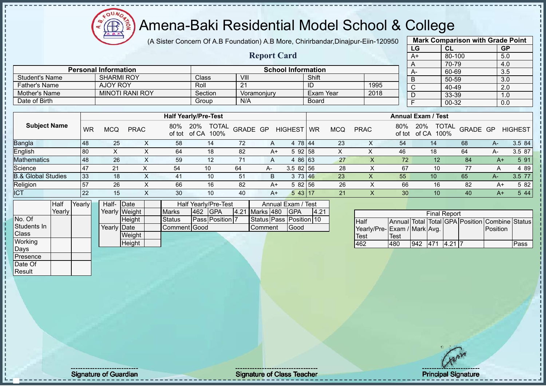

(A Sister Concern Of A.B Foundation) A.B More, Chirirbandar,Dinajpur-Eiin-120950

**Report Card**

|      | <b>Mark Comparison with Grade Point</b> |           |
|------|-----------------------------------------|-----------|
| LG   | <b>CL</b>                               | <b>GP</b> |
| $A+$ | 80-100                                  | 5.0       |
| A    | 70-79                                   | 4.0       |
| A-   | 60-69                                   | 3.5       |
| B    | 50-59                                   | 3.0       |
| C    | 40-49                                   | 2.0       |
| D    | 33-39                                   | 1.0       |
| E    | $00 - 32$                               | 0.0       |
|      |                                         |           |

|                       |                             |         |             | $\sqrt{ }$                | 70-79  |      |       |
|-----------------------|-----------------------------|---------|-------------|---------------------------|--------|------|-------|
|                       | <b>Personal Information</b> |         |             | <b>School Information</b> |        | $A-$ | 60-69 |
| <b>Student's Name</b> | <b>SHARMI ROY</b>           | Class   | VIII.       | Shift                     |        |      | 50-59 |
| <b>Father's Name</b>  | AJOY ROY                    | Roll    | 21          | ID                        | 1995   | ⌒    | 40-49 |
| Mother's Name         | <b>MINOTI RANI ROY</b>      | Section | Voramoniurv | Exam Year                 | 2018   |      | 33-39 |
| Date of Birth         |                             | Group   | N/A         | <b>Board</b>              |        |      | 00-32 |
|                       |                             |         |             |                           |        |      |       |
|                       |                             |         |             | . .                       | $\sim$ |      |       |

|                               |           |            |             |               | <b>Half Yearly/Pre-Test</b>          |          |      |                | <b>Annual Exam / Test</b> |     |             |               |                                      |          |      |                |
|-------------------------------|-----------|------------|-------------|---------------|--------------------------------------|----------|------|----------------|---------------------------|-----|-------------|---------------|--------------------------------------|----------|------|----------------|
| <b>Subject Name</b>           | <b>WR</b> | <b>MCQ</b> | <b>PRAC</b> | 80%<br>of tot | 20%<br><b>TOTAL</b><br>of CA<br>100% | GRADE GP |      | <b>HIGHEST</b> | <b>WR</b>                 | MCQ | <b>PRAC</b> | 80%<br>of tot | <b>TOTAL</b><br>20%<br>of CA<br>100% | GRADE GP |      | <b>HIGHEST</b> |
| <b>Bangla</b>                 | 48        | 25         |             | 58            | 14                                   | 72       | A    | 4 78 44        |                           | 23  | ∧           | 54            | 14                                   | 68       | $A-$ | 3.5 84         |
| English                       | 80        |            |             | 64            | 18                                   | 82       | $A+$ | 5 92 58        |                           | ⌒   | ⋏           | 46            | 18                                   | 64       | A-   | 3.5 87         |
| <b>Mathematics</b>            | 48        | 26         |             | 59            | 12                                   | 71       | A    | 4 86 63        |                           | 27  |             | 72            | 12                                   | 84       | A+   | 5 91           |
| Science                       | -47       | 21         |             | 54            | 10                                   | 64       | A-   | $3.582$ 56     |                           | 28  |             | 67            | 10                                   | 77       |      | 4 8 9          |
| <b>B.&amp; Global Studies</b> | 33        | 18         |             | 41            | 10                                   | 51       | B    | 3 73 46        |                           | 23  | $\sim$      | 55            | 10                                   | 65       | $A-$ | $3.5$ 77       |
| Religion                      | $-57$     | 26         |             | 66            | 16                                   | -82      | A+   | 5 82 56        |                           | 26  |             | 66            | 16                                   | 82       | $A+$ | 5 82           |
| <b>ICT</b>                    | 22        | 15         |             | 30            | 10                                   | 40       | A+   | 543 17         |                           | 21  |             | 30            | 10                                   | 40       | $A+$ | 5 4 4          |

|              | Half   | Yearly <b>I</b> | Half- Date  |               |               |     | Half Yearly/Pre-Test | Annual Exam / Test |  |                         |      |  |
|--------------|--------|-----------------|-------------|---------------|---------------|-----|----------------------|--------------------|--|-------------------------|------|--|
|              | Yearly |                 |             | Yearly Weight | <b>Marks</b>  | 462 | <b>IGPA</b>          | 4.21 Marks 480     |  | <b>GPA</b>              | 4.21 |  |
| No. Of       |        |                 |             | Height        | <b>Status</b> |     | Pass Position 7      |                    |  | Status Pass Position 10 |      |  |
| Students In  |        |                 | Yearly Date |               | Comment Good  |     |                      | <b>Comment</b>     |  | Good                    |      |  |
| <b>Class</b> |        |                 |             | Weight        |               |     |                      |                    |  |                         |      |  |
| Working      |        |                 |             | Height        |               |     |                      |                    |  |                         |      |  |
| Days         |        |                 |             |               |               |     |                      |                    |  |                         |      |  |
| Presence     |        |                 |             |               |               |     |                      |                    |  |                         |      |  |
| Date Of      |        |                 |             |               |               |     |                      |                    |  |                         |      |  |

| <b>Final Report</b>         |      |     |           |  |  |                                                |      |  |  |  |  |  |
|-----------------------------|------|-----|-----------|--|--|------------------------------------------------|------|--|--|--|--|--|
| <b>Half</b>                 |      |     |           |  |  | Annual Total Total GPA Position Combine Status |      |  |  |  |  |  |
| Yearly/Pre-Exam / Mark Avg. |      |     |           |  |  | <b>IPosition</b>                               |      |  |  |  |  |  |
| <b>Test</b>                 | Test |     |           |  |  |                                                |      |  |  |  |  |  |
| 462                         | 480  | 942 | 471 421 7 |  |  |                                                | Pass |  |  |  |  |  |

Result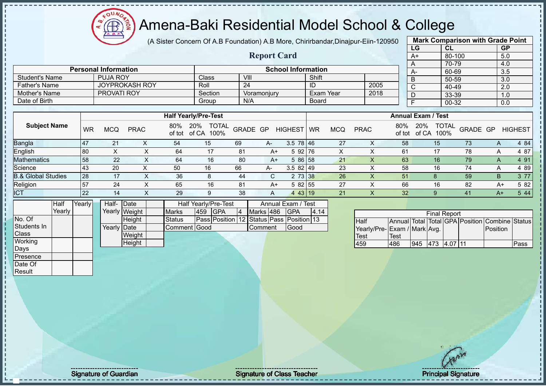$\Omega$ Æ

#### Amena-Baki Residential Model School & College

(A Sister Concern Of A.B Foundation) A.B More, Chirirbandar,Dinajpur-Eiin-120950

**Report Card**

| <b>Mark Comparison with Grade Point</b> |        |           |  |  |  |  |  |  |  |
|-----------------------------------------|--------|-----------|--|--|--|--|--|--|--|
| LG                                      | CL     | <b>GP</b> |  |  |  |  |  |  |  |
| $A+$                                    | 80-100 | 5.0       |  |  |  |  |  |  |  |
| Α                                       | 70-79  | 4.0       |  |  |  |  |  |  |  |
| A-                                      | 60-69  | 3.5       |  |  |  |  |  |  |  |
| B                                       | 50-59  | 3.0       |  |  |  |  |  |  |  |
| C                                       | 40-49  | 2.0       |  |  |  |  |  |  |  |
| D                                       | 33-39  | 1.0       |  |  |  |  |  |  |  |
| F                                       | 00-32  | 0.0       |  |  |  |  |  |  |  |
|                                         |        |           |  |  |  |  |  |  |  |

| Date of Birth                 |                  |            |             |               | Group                                | N/A      |      |                 | Board     |            |             |               |                           | 00-32                |          | 0.0            |
|-------------------------------|------------------|------------|-------------|---------------|--------------------------------------|----------|------|-----------------|-----------|------------|-------------|---------------|---------------------------|----------------------|----------|----------------|
|                               |                  |            |             |               |                                      |          |      |                 |           |            |             |               |                           |                      |          |                |
|                               |                  |            |             |               | <b>Half Yearly/Pre-Test</b>          |          |      |                 |           |            |             |               | <b>Annual Exam / Test</b> |                      |          |                |
| <b>Subject Name</b>           | <b>WR</b>        | <b>MCQ</b> | <b>PRAC</b> | 80%<br>of tot | <b>TOTAL</b><br>20%<br>of CA<br>100% | GRADE GP |      | <b>HIGHEST</b>  | <b>WR</b> | <b>MCQ</b> | <b>PRAC</b> | 80%<br>of tot | 20%<br>of CA              | <b>TOTAL</b><br>100% | GRADE GP | <b>HIGHEST</b> |
| <b>Bangla</b>                 | $\overline{147}$ | 21         |             | 54            | 15                                   | 69       | A-   | $3.5 \ 78 \ 46$ |           | 27         | х           | 58            |                           | 15                   | 73       | 4 8 4<br>A     |
| English                       | 80               | ⋏          | ᄉ           | 64            | 17                                   | 81       | A+   | $592$ 76        |           | X.         |             | 61            |                           | 17                   | 78       | 4 87<br>A      |
| <b>Mathematics</b>            | 58               | 22         |             | 64            | 16                                   | 80       | $A+$ | 5 86 58         |           | 21         |             | 63            |                           | 16                   | 79       | 4 91<br>A      |
| Science                       | 43               | 20         | $\sim$      | 50            | 16                                   | 66       | A-   | $3.582$   49    |           | 23         |             | 58            |                           | 16                   | 74       | 4 8 9<br>A     |
| <b>B.&amp; Global Studies</b> | 28               | 17         | x           | 36            | 8                                    | 44       | C.   | 2 73 38         |           | 26         |             | 51            |                           |                      | 59       | 3 7 7<br>B     |
| Religion                      | 57               | 24         | ⋏           | 65            | 16                                   | 81       | A+   | $582$ 55        |           | 27         |             | 66            |                           | 16                   | 82       | 5 82<br>A+     |
| <b>ICT</b>                    | 22               | 14         |             | 29            | 9                                    | 38       | A    | 443 19          |           | 21         |             | 32            |                           | g                    | 41       | 5 4 4<br>$A+$  |

|              | Half   | Yearly | Half-       | <b>IDate</b>  |              | Half Yearly/Pre-Test | Annual Exam / Test                              |           |  |             |      |
|--------------|--------|--------|-------------|---------------|--------------|----------------------|-------------------------------------------------|-----------|--|-------------|------|
|              | Yearlv |        |             | Yearly Weight | <b>Marks</b> | 459                  | <b>IGPA</b>                                     | Marks 486 |  | <b>IGPA</b> | 4.14 |
| No. Of       |        |        |             | Height        | Status       |                      | <b>Pass Position 12 Status Pass Position 13</b> |           |  |             |      |
| Students In  |        |        | Yearly Date |               | Comment Good |                      |                                                 | Comment   |  | Good        |      |
| <b>Class</b> |        |        |             | Weight        |              |                      |                                                 |           |  |             |      |
| Working      |        |        |             | Height        |              |                      |                                                 |           |  |             |      |
| Days         |        |        |             |               |              |                      |                                                 |           |  |             |      |
| Presence     |        |        |             |               |              |                      |                                                 |           |  |             |      |

**Personal Information**<br> **PUJA ROY** Class VIII VIII Shift

Father's Name JOYPROKASH ROY Roll 24 ID 2005<br>
Mother's Name PROVATI ROY Section Voramoniury Exam Year 2018

Student's Name PUJA ROY Class VIII Shift<br>
Father's Name JOYPROKASH ROY Roll 24 ID

Mother's Name PROVATI ROY Section Voramonjury Exam Year 2019<br>Date of Birth Board

| <b>Final Report</b>         |      |     |             |  |  |                                                |      |  |  |  |  |
|-----------------------------|------|-----|-------------|--|--|------------------------------------------------|------|--|--|--|--|
| <b>I</b> Half               |      |     |             |  |  | Annual Total Total GPA Position Combine Status |      |  |  |  |  |
| Yearly/Pre-Exam / Mark Avg. |      |     |             |  |  | <b>Position</b>                                |      |  |  |  |  |
| Test                        | Test |     |             |  |  |                                                |      |  |  |  |  |
| 459                         | 486  | 945 | 473 4.07 11 |  |  |                                                | Pass |  |  |  |  |

Date Of **Result** 

J.

Signature of Guardian Signature of Class Teacher Number of Class Teacher Principal Signature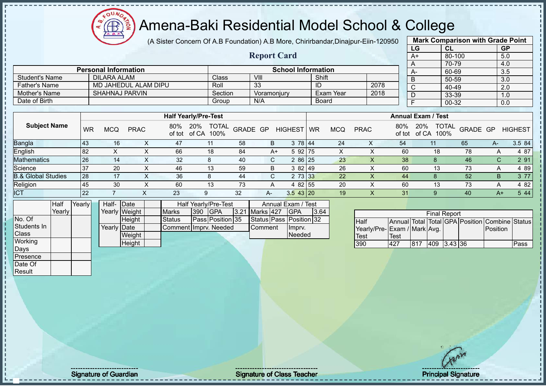ou Æ

# Amena-Baki Residential Model School & College

(A Sister Concern Of A.B Foundation) A.B More, Chirirbandar,Dinajpur-Eiin-120950

**Report Card**

| ่ว | <b>Mark Comparison with Grade Point</b> |           |           |  |  |  |  |  |  |  |
|----|-----------------------------------------|-----------|-----------|--|--|--|--|--|--|--|
|    | LG                                      | <b>CL</b> | <b>GP</b> |  |  |  |  |  |  |  |
|    | $A+$                                    | 80-100    | 5.0       |  |  |  |  |  |  |  |
|    | A                                       | 70-79     | 4.0       |  |  |  |  |  |  |  |
|    | A-                                      | 60-69     | 3.5       |  |  |  |  |  |  |  |
|    | B                                       | 50-59     | 3.0       |  |  |  |  |  |  |  |
|    | C                                       | 40-49     | 2.0       |  |  |  |  |  |  |  |
|    | D                                       | 33-39     | 1.0       |  |  |  |  |  |  |  |
|    |                                         | 00-32     | 0.0       |  |  |  |  |  |  |  |
|    |                                         |           |           |  |  |  |  |  |  |  |

| <b>Student's Name</b>         |           | <b>DILARA ALAM</b>    |                      |               | Class                                       |          | VIII        |                |           | Shift      |             |               | B                                    | 50-59    |    | 3.0            |
|-------------------------------|-----------|-----------------------|----------------------|---------------|---------------------------------------------|----------|-------------|----------------|-----------|------------|-------------|---------------|--------------------------------------|----------|----|----------------|
| <b>Father's Name</b>          |           |                       | MD JAHEDUL ALAM DIPU |               | Roll                                        |          | 33          |                | ID        |            | 2078        |               | $\sim$                               | 40-49    |    | 2.0            |
| Mother's Name                 |           | <b>SHAHNAJ PARVIN</b> |                      |               | Section                                     |          | Voramonjury |                |           | Exam Year  | 2018        |               |                                      | 33-39    |    | 1.0            |
| Date of Birth                 |           |                       |                      |               | Group                                       |          | N/A         |                |           | Board      |             |               |                                      | 00-32    |    | 0.0            |
|                               |           |                       |                      |               |                                             |          |             |                |           |            |             |               |                                      |          |    |                |
|                               |           |                       |                      |               | <b>Half Yearly/Pre-Test</b>                 |          |             |                |           |            |             |               | <b>Annual Exam / Test</b>            |          |    |                |
| <b>Subject Name</b>           | <b>WR</b> | <b>MCQ</b>            | <b>PRAC</b>          | 80%<br>of tot | <b>20%</b><br><b>TOTAL</b><br>of CA<br>100% | GRADE GP |             | <b>HIGHEST</b> | <b>WR</b> | <b>MCQ</b> | <b>PRAC</b> | 80%<br>of tot | <b>TOTAL</b><br>20%<br>of CA<br>100% | GRADE GP |    | <b>HIGHEST</b> |
| Bangla                        | <b>43</b> | 16                    | x                    | 47            | 11                                          | 58       | B           | 3 78 44        |           | 24         | X           | 54            | 11                                   | 65       | A- | 3.5 84         |
| English                       | 82        | X                     |                      | 66            | 18                                          | 84       | A+          | 5 92 75        |           | X          | ∧           | 60            | 18                                   | 78       | A  | 4 87           |
| Mathematics                   | 26        | 14                    | x                    | 32            | 8                                           | 40       | C.          | 2 86 25        |           | 23         |             | 38            |                                      | 46       | C. | 2 91           |
| Science                       | 37        | 20                    | ⋏                    | 46            | 13                                          | 59       | B           | 382149         |           | 26         | v           | 60            | 13                                   | 73       | A  | 4 8 9          |
| <b>B.&amp; Global Studies</b> | 28        | 17                    |                      | 36            | 8                                           | 44       | C.          | 2 73 33        |           | 22         |             | 44            |                                      | 52       | B  | 3 77           |

Religion 45 30 X 60 13 73 A 4 82 55 20 X 60 13 73 A 4 82 ICT 22 7 X 23 9 32 A- 3.5 43 20 19 X 31 9 40 A+ 5 44

|              | Half   | Yearlvl | Half-Date   |               |                       |               | <b>Half Yearly/Pre-Test</b> | Annual Exam / Test |                |  |                         |      |
|--------------|--------|---------|-------------|---------------|-----------------------|---------------|-----------------------------|--------------------|----------------|--|-------------------------|------|
|              | Yearlv |         |             | Yearly Weight | <b>Marks</b>          | $ 390\rangle$ | <b>IGPA</b>                 |                    | 3.21 Marks 427 |  | IGPA                    | 3.64 |
| No. Of       |        |         |             | <b>Height</b> | Status                |               | Pass Position 35            |                    |                |  | Status Pass Position 32 |      |
| Students In  |        |         | Yearly Date |               | Comment Imprv. Needed |               |                             |                    | <b>Comment</b> |  | Imprv.                  |      |
| <b>Class</b> |        |         |             | Weight        |                       |               |                             |                    |                |  | <b>Needed</b>           |      |
| Working      |        |         |             | Height        |                       |               |                             |                    |                |  |                         |      |
| Days         |        |         |             |               |                       |               |                             |                    |                |  |                         |      |

**Personal Information**<br> **School Information**<br> **School Information**<br> **School Information**<br> **School Information**<br> **School Information**<br> **School Information** 

| <b>Final Report</b>         |             |      |             |  |  |                                                |      |  |  |  |  |
|-----------------------------|-------------|------|-------------|--|--|------------------------------------------------|------|--|--|--|--|
| <b>I</b> Half               |             |      |             |  |  | Annual Total Total GPA Position Combine Status |      |  |  |  |  |
| Yearly/Pre-Exam / Mark Avg. |             |      |             |  |  | Position                                       |      |  |  |  |  |
| <b>Test</b>                 | <b>Test</b> |      |             |  |  |                                                |      |  |  |  |  |
| 390                         | 427         | 1817 | 409 3.43 36 |  |  |                                                | Pass |  |  |  |  |

Presence Date Of Result

Signature of Guardian Signature of Class Teacher Number of Class Teacher Principal Signature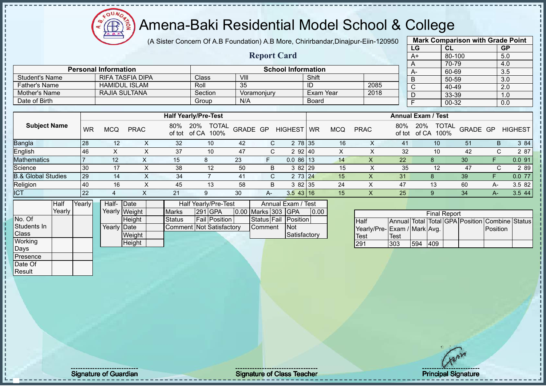# Amena-Baki Residential Model School & College

(A Sister Concern Of A.B Foundation) A.B More, Chirirbandar,Dinajpur-Eiin-120950

**Report Card**

| <b>Mark Comparison with Grade Point</b> |           |           |  |  |  |  |  |  |  |
|-----------------------------------------|-----------|-----------|--|--|--|--|--|--|--|
| LG                                      | <b>CL</b> | <b>GP</b> |  |  |  |  |  |  |  |
| $A+$                                    | 80-100    | 5.0       |  |  |  |  |  |  |  |
| A                                       | 70-79     | 4.0       |  |  |  |  |  |  |  |
| А-                                      | 60-69     | 3.5       |  |  |  |  |  |  |  |
| B                                       | 50-59     | 3.0       |  |  |  |  |  |  |  |
| C                                       | 40-49     | 2.0       |  |  |  |  |  |  |  |
| D                                       | 33-39     | 1.0       |  |  |  |  |  |  |  |
| F                                       | $00 - 32$ | 0.0       |  |  |  |  |  |  |  |
|                                         |           |           |  |  |  |  |  |  |  |

|                | <b>Personal Information</b> |              | <b>School Information</b> |           |      |  |      |  |  |  |  |  |  |
|----------------|-----------------------------|--------------|---------------------------|-----------|------|--|------|--|--|--|--|--|--|
| Student's Name | <b>RIFA TASFIA DIPA</b>     | <b>Class</b> | VIII                      | Shift     |      |  | $A-$ |  |  |  |  |  |  |
| Father's Name  | <b>HAMIDUL ISLAM</b>        | Roll         | 35                        | ID        | 2085 |  |      |  |  |  |  |  |  |
| Mother's Name  | RAJIA SULTANA               | Section      | Voramoniurv               | Exam Year | 2018 |  |      |  |  |  |  |  |  |
| Date of Birth  |                             | Group        | N/A                       | Board     |      |  |      |  |  |  |  |  |  |

|                               |    |            |             |     | <b>Half Yearly/Pre-Test</b>              |          |    |                |           |            |             |                 | <b>Annual Exam / Test</b>                   |          |    |                |
|-------------------------------|----|------------|-------------|-----|------------------------------------------|----------|----|----------------|-----------|------------|-------------|-----------------|---------------------------------------------|----------|----|----------------|
| <b>Subject Name</b>           | WR | <b>MCQ</b> | <b>PRAC</b> | 80% | <b>TOTAL</b><br>20%<br>of tot of CA 100% | GRADE GP |    | <b>HIGHEST</b> | <b>WR</b> | <b>MCQ</b> | <b>PRAC</b> | 80%             | <b>TOTAL</b><br>20%<br>100%<br>of tot of CA | GRADE GP |    | <b>HIGHEST</b> |
| <b>Bangla</b>                 | 28 | 12         |             | 32  | 10                                       | 42       |    | 2 78 35        |           | 16         |             | 41              | 10 <sup>°</sup>                             | 51       | B  | 3 84           |
| English                       | 46 |            |             | 37  | 10                                       | 47       |    | 2 92 40        |           | X          |             | 32              | 10                                          | 42       | C. | 2 87           |
| <b>Mathematics</b>            |    | 12         |             | 15  |                                          | 23       | F. | 0.086113       |           | 14         | X           | 22 <sub>1</sub> | 8                                           | 30       | F  | 0.091          |
| Science                       | 30 |            |             | 38  | 12                                       | 50       | B  | 3 82 29        |           | 15         | х           | 35              | 12                                          | 47       |    | 2 8 9          |
| <b>B.&amp; Global Studies</b> | 29 | 14         |             | 34  |                                          | 41       | С  | 2 73 24        |           | 15         |             | 31              | 8                                           | 39       | E  | 0.0 77         |
| Religion                      | 40 | 16         |             | 45  | 13                                       | 58       | B  | 3 82 35        |           | 24         |             | 47              | 13                                          | 60       | А- | 3.5 82         |
| <b>ICT</b>                    | 22 |            |             | 21  |                                          | 30       | A- | 3.543 16       |           | 15         | ↗           | 25              |                                             | 34       | A- | 3.5 44         |

|              | Half   | Yearly | Half-       | <b>IDate</b>  |                                 | Half Yearly/Pre-Test |                    | Annual Exam / Test   |      |
|--------------|--------|--------|-------------|---------------|---------------------------------|----------------------|--------------------|----------------------|------|
|              | Yearlv |        |             | Yearly Weight | <b>Marks</b>                    | 291 GPA              | 0.00 Marks 303 GPA |                      | 0.00 |
| No. Of       |        |        |             | <b>Height</b> | <b>Status</b>                   | <b>Fail Position</b> |                    | Status Fail Position |      |
| Students In  |        |        | Yearly Date |               | <b>Comment Not Satisfactory</b> |                      | <b>Comment</b>     | <b>INot</b>          |      |
| <b>Class</b> |        |        |             | Weight        |                                 |                      |                    | Satisfactory         |      |
| Working      |        |        |             | Height        |                                 |                      |                    |                      |      |
| Days         |        |        |             |               |                                 |                      |                    |                      |      |

|                             |      |     | <b>Final Report</b> |  |                                                |  |
|-----------------------------|------|-----|---------------------|--|------------------------------------------------|--|
| <b>Half</b>                 |      |     |                     |  | Annual Total Total GPA Position Combine Status |  |
| Yearly/Pre-Exam / Mark Avg. |      |     |                     |  | <b>Position</b>                                |  |
| Test                        | Test |     |                     |  |                                                |  |
| 291                         | 303  | 594 | 409                 |  |                                                |  |

Presence Date Of **Result**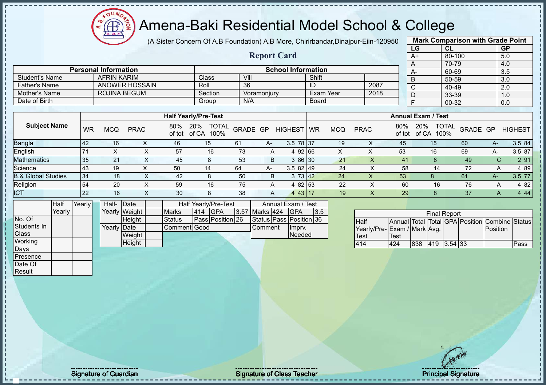

(A Sister Concern Of A.B Foundation) A.B More, Chirirbandar,Dinajpur-Eiin-120950

**Report Card**

|                       | <b>Mark Comparison with Grade Point</b> |           |
|-----------------------|-----------------------------------------|-----------|
| LG                    | <b>CL</b>                               | <b>GP</b> |
| $A+$                  | 80-100                                  | 5.0       |
| Α                     | 70-79                                   | 4.0       |
| A-                    | 60-69                                   | 3.5       |
| B                     | 50-59                                   | 3.0       |
| $\overline{\text{c}}$ | 40-49                                   | 2.0       |
| D                     | 33-39                                   | 1.0       |
| F                     | 00-32                                   | 0.0       |
|                       |                                         |           |

|                               |           |            |             |     |                                          |          |      |                           |           |            |             |               |                           | -- -- |                |             | $ -$           |
|-------------------------------|-----------|------------|-------------|-----|------------------------------------------|----------|------|---------------------------|-----------|------------|-------------|---------------|---------------------------|-------|----------------|-------------|----------------|
|                               |           |            |             |     |                                          |          |      |                           |           |            |             |               |                           |       |                |             |                |
|                               |           |            |             |     | <b>Half Yearly/Pre-Test</b>              |          |      |                           |           |            |             |               | <b>Annual Exam / Test</b> |       |                |             |                |
| <b>Subject Name</b>           | <b>WR</b> | <b>MCQ</b> | <b>PRAC</b> | 80% | <b>TOTAL</b><br>20%<br>of tot of CA 100% | GRADE GP |      | <b>HIGHEST</b>            | <b>WR</b> | <b>MCQ</b> | <b>PRAC</b> | 80%<br>of tot | 20%<br>of CA              | 100%  | TOTAL GRADE GP |             | <b>HIGHEST</b> |
| <b>Bangla</b>                 | 42        | 16         | Λ           | 46  | 15                                       | 61       | $A-$ | 3.5 78 37                 |           | 19         | х           | 45            | 15                        |       | 60             | $A-$        | 3.5 84         |
| English                       |           |            |             | 57  | 16                                       | 73       | A    | 4 92 66                   |           |            |             | 53            | 16                        |       | 69             | A-          | 3.5 87         |
| <b>Mathematics</b>            | 35        | 21         |             | 45  | 8                                        | 53       | B    | 3 86 30                   |           | 21         |             | 41            |                           |       | 49             | С           | 2 91           |
| Science                       | 43        | 19         |             | 50  | 14                                       | 64       | A-   | $3.582$  49               |           | 24         |             | 58            |                           | 14    | 72             | A           | 4 8 9          |
| <b>B.&amp; Global Studies</b> | 34        | 18         | X           | 42  | 8                                        | 50       | B.   | 3 73 42                   |           | 24         | х           | 53            |                           |       | 61             | A-          | 3.5 77         |
| Religion                      | 54        | 20         |             | 59  | 16                                       | 75       | A    | 4 82 53                   |           | 22         |             | 60            |                           | 16    | 76             |             | 4 82           |
| <b>ICT</b>                    | 22        | 16         |             | 30  | 8                                        | 38       | A    | 43   17<br>$\overline{4}$ |           | 19         |             | 29            | 8                         |       | 37             | $\breve{~}$ | 4 4 4          |

|              | Half   | Yearly | Half- Date  |               |                     |     | <b>Half Yearly/Pre-Test</b> |                | Annual Exam / Test      |     |
|--------------|--------|--------|-------------|---------------|---------------------|-----|-----------------------------|----------------|-------------------------|-----|
|              | Yearly |        |             | Yearly Weight | <b>Marks</b>        | 414 | <b>IGPA</b>                 | 3.57 Marks 424 | <b>IGPA</b>             | 3.5 |
| No. Of       |        |        |             | <b>Height</b> | <b>Status</b>       |     | Pass Position 26            |                | Status Pass Position 36 |     |
| Students In  |        |        | Yearly Date |               | <b>Comment Good</b> |     |                             | Comment        | Ilmpry.                 |     |
| <b>Class</b> |        |        |             | Weight        |                     |     |                             |                | Needed                  |     |
| Working      |        |        |             | Height        |                     |     |                             |                |                         |     |
| Days         |        |        |             |               |                     |     |                             |                |                         |     |

**Personal Information**<br> **AFRIN KARIM** Class VIII VIII Shift

Father's Name ANOWER HOSSAIN Roll 36 ID 2087<br>
Mother's Name ROJINA BEGUM Section Voramonjury Exam Year 2018

Student's Name AFRIN KARIM Class VIII Shift Shift Shift Shift Shift Shift Shift Shift Shift Shift Shift Shift Shift Shift Shift Shift Shift Shift Shift Shift Shift Shift Shift Shift Shift Shift Shift Shift Shift Shift Shif

Mother's Name ROJINA BEGUM Section Voramonjury Exam <br>
Date of Birth Board Date of Birth Group N/A Board

|                              |      |     | <b>Final Report</b> |  |                                                |      |
|------------------------------|------|-----|---------------------|--|------------------------------------------------|------|
| <b>Half</b>                  |      |     |                     |  | Annual Total Total GPA Position Combine Status |      |
| Yearly/Pre- Exam / Mark Avg. |      |     |                     |  | Position                                       |      |
| <b>Test</b>                  | Test |     |                     |  |                                                |      |
| 414                          | 424  | 838 | 419 3.54 33         |  |                                                | Pass |

Presence Date Of **Result** 

Signature of Guardian Signature of Class Teacher Number of Class Teacher Principal Signature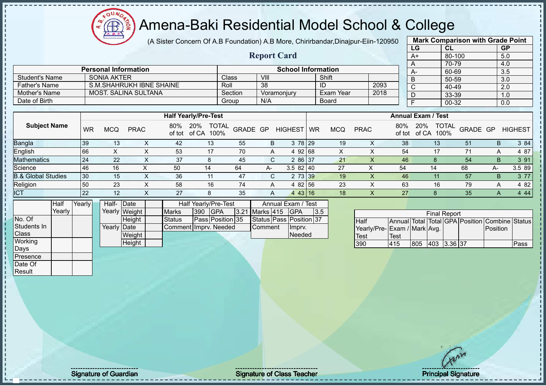(A Sister Concern Of A.B Foundation) A.B More, Chirirbandar,Dinajpur-Eiin-120950

**Report Card**

|      | <b>Mark Comparison with Grade Point</b> |           |
|------|-----------------------------------------|-----------|
| LG   | CL                                      | <b>GP</b> |
| $A+$ | 80-100                                  | 5.0       |
| A    | 70-79                                   | 4.0       |
| A-   | 60-69                                   | 3.5       |
| B    | 50-59                                   | 3.0       |
| C    | 40-49                                   | 2.0       |
| D    | 33-39                                   | 1.0       |
| F    | 00-32                                   | 0.0       |
|      |                                         |           |

|                  |                             |         |                           |              |      |  | $\overline{A}$ |
|------------------|-----------------------------|---------|---------------------------|--------------|------|--|----------------|
|                  | <b>Personal Information</b> |         | <b>School Information</b> |              |      |  | $A-$           |
| ' Student's Name | SONIA AKTER                 | Class   | VIII                      | Shift        |      |  | $\overline{B}$ |
| Father's Name⊥   | S.M. SHAHRUKH IBNE SHAINE   | Roll    | 38                        | ID           | 2093 |  | $\sim$<br>ັ    |
| Mother's Name    | <b>MOST. SALINA SULTANA</b> | Section | Voramoniurv               | Exam Year    | 2018 |  |                |
| Date of Birth    |                             | Group   | N/A                       | <b>Board</b> |      |  |                |

|                               |           |     |             |               | <b>Half Yearly/Pre-Test</b> |                      |          |                         |                |           |            |             | <b>Annual Exam / Test</b> |                     |                      |                 |    |                |
|-------------------------------|-----------|-----|-------------|---------------|-----------------------------|----------------------|----------|-------------------------|----------------|-----------|------------|-------------|---------------------------|---------------------|----------------------|-----------------|----|----------------|
| <b>Subject Name</b>           | <b>WR</b> | MCQ | <b>PRAC</b> | 80%<br>of tot | 20%<br>of CA                | <b>TOTAL</b><br>100% | GRADE GP |                         | <b>HIGHEST</b> | <b>WR</b> | <b>MCQ</b> | <b>PRAC</b> | 80%                       | 20%<br>of tot of CA | <b>TOTAL</b><br>100% | <b>GRADE GP</b> |    | <b>HIGHEST</b> |
| <b>Bangla</b>                 | 39        | 13  |             | 42            | 13                          | 55                   |          | B                       | 3 78 29        |           | 19         |             | 38                        |                     | 13                   | 5 <sup>1</sup>  | B  | 3 84           |
| English                       | 66        |     |             | 53            |                             | 70                   |          | $\overline{\mathsf{A}}$ | 92168<br>4     |           |            |             | 54                        |                     |                      |                 |    | 4 87           |
| <b>Mathematics</b>            | 24        | 22  | ⌒           | 37            | 8                           | 45                   |          | C.                      | 2 86 37        |           | 21         |             | 46                        |                     |                      | 54              | B  | 3 91           |
| Science                       | 46        | 16  |             | 50            | 14                          | 64                   |          | A-                      | 3.582140       |           | 27         |             | 54                        | 14                  |                      | 68              | A- | 3.5 89         |
| <b>B.&amp; Global Studies</b> | 30        | 15  |             | 36            | 11                          | 47                   |          |                         | 2 73 39        |           | 19         |             | 46                        |                     |                      | 57              | B  | 3 7 7          |
| Religion                      | 50        | 23  |             | 58            | 16                          | 74                   |          | A                       | 4 82 56        |           | 23         |             | 63                        |                     | 16                   | 79              |    | 4 82           |
| <b>ICT</b>                    | 22        | 12  |             | 27            | O                           | 35                   |          | A                       | 4 43 16        |           | 18         |             | 27                        |                     |                      | 35              |    | 4 4 4          |

|              | Half   | Yearlv | Half- Date  |               |                       |     | Half Yearly/Pre-Test |                | Annual Exam / Test      |     |
|--------------|--------|--------|-------------|---------------|-----------------------|-----|----------------------|----------------|-------------------------|-----|
|              | Yearly |        |             | Yearly Weight | <b>Marks</b>          | 390 | <b>IGPA</b>          | 3.21 Marks 415 | <b>IGPA</b>             | 3.5 |
| No. Of       |        |        |             | Height        | <b>Status</b>         |     | Pass Position 35     |                | Status Pass Position 37 |     |
| Students In  |        |        | Yearly Date |               | Comment Imprv. Needed |     |                      | Comment        | Imprv.                  |     |
| <b>Class</b> |        |        |             | Weight        |                       |     |                      |                | Needed                  |     |
| Working      |        |        |             | Height        |                       |     |                      |                |                         |     |
| Days         |        |        |             |               |                       |     |                      |                |                         |     |

|                             | <b>Final Report</b> |     |             |  |  |                                                |      |  |  |  |  |  |  |  |
|-----------------------------|---------------------|-----|-------------|--|--|------------------------------------------------|------|--|--|--|--|--|--|--|
| <b>Half</b>                 |                     |     |             |  |  | Annual Total Total GPA Position Combine Status |      |  |  |  |  |  |  |  |
| Yearly/Pre-Exam / Mark Avg. |                     |     |             |  |  | Position                                       |      |  |  |  |  |  |  |  |
| Test                        | <b>Test</b>         |     |             |  |  |                                                |      |  |  |  |  |  |  |  |
| 390                         | 415                 | 805 | 403 3.36 37 |  |  |                                                | Pass |  |  |  |  |  |  |  |

Presence Date Of **Result**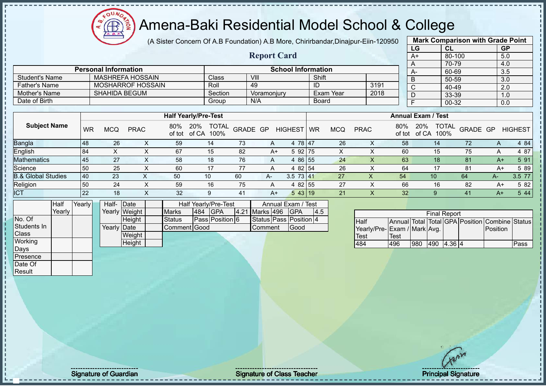(A Sister Concern Of A.B Foundation) A.B More, Chirirbandar,Dinajpur-Eiin-120950

**Report Card**

|      | <b>Mark Comparison with Grade Point</b> |           |
|------|-----------------------------------------|-----------|
| LG   | CL                                      | <b>GP</b> |
| $A+$ | 80-100                                  | 5.0       |
| A    | 70-79                                   | 4.0       |
| A-   | 60-69                                   | 3.5       |
| B    | 50-59                                   | 3.0       |
| C    | 40-49                                   | 2.0       |
| D    | 33-39                                   | 1.0       |
| F    | 00-32                                   | 0.0       |
|      |                                         |           |

| <b>Personal Information</b> | <b>School Information</b> |              |             |           |      |  |  |  |
|-----------------------------|---------------------------|--------------|-------------|-----------|------|--|--|--|
| Student's Name              | MASHREFA HOSSAIN          | <b>Class</b> | VIII        | Shift     |      |  |  |  |
| Father's Name               | MOSHARROF HOSSAIN         | Roll         | 49          | ID        | 3191 |  |  |  |
| <b>I</b> Mother's Name      | SHAHIDA BEGUM             | Section      | Voramoniury | Exam Year | 2018 |  |  |  |
| Date of Birth               |                           | Group        | N/A         | Board     |      |  |  |  |

|                               |           | <b>Half Yearly/Pre-Test</b> |             |               |                                      |          |              |                |    | <b>Annual Exam / Test</b> |             |               |                                      |          |      |                |
|-------------------------------|-----------|-----------------------------|-------------|---------------|--------------------------------------|----------|--------------|----------------|----|---------------------------|-------------|---------------|--------------------------------------|----------|------|----------------|
| <b>Subject Name</b>           | <b>WR</b> | <b>MCQ</b>                  | <b>PRAC</b> | 80%<br>of tot | <b>TOTAL</b><br>20%<br>of CA<br>100% | GRADE GP |              | <b>HIGHEST</b> | WR | <b>MCQ</b>                | <b>PRAC</b> | 80%<br>of tot | <b>TOTAL</b><br>20%<br>of CA<br>100% | GRADE GP |      | <b>HIGHEST</b> |
| <b>Bangla</b>                 | 48        | 26                          | $\sim$      | 59            | 14                                   | 73       | $\mathsf{A}$ | 4 78 47        |    | 26                        | ⌒           | 58            | 14.                                  | 72       | A    | 4 84           |
| <b>English</b>                | 84        |                             |             | 67            | 15                                   | 82       | A+           | 5 92 75        |    | X                         |             | 60            | 15                                   | 75       | A    | 4 87           |
| <b>Mathematics</b>            | 45        | 27                          |             | 58            | 18                                   | 76       | A            | 86 55<br>4     |    | 24                        |             | 63            | 18                                   | 81       | A+   | 5 91           |
| Science                       | 50        | 25                          |             | 60            | 17                                   | 77       | A            | 4 82 54        |    | 26                        |             | 64            | 17                                   | 81       | A+   | 5 89           |
| <b>B.&amp; Global Studies</b> | 40        | 23                          |             | 50            | 10                                   | 60       | $A-$         | 3.5<br>73 41   |    | 27                        | ∧           | 54            | 10                                   | 64       | A-   | 3.5 77         |
| Religion                      | 50        | 24                          |             | 59            | 16                                   | 75       | A            | 4 82 55        |    | 27                        |             | 66            | 16                                   | 82       | A+   | 5 82           |
| <b>ICT</b>                    | 22        | 18                          |             | 32            | 9                                    | 41       | A+           | 543 19         |    | 21                        |             | 32            | 9                                    | 41       | $A+$ | 5 4 4          |

|              | Half   | Yearly | Half-       | Date          | Annual Exam / Test<br>Half Yearly/Pre-Test |     |                 |                |                        |     |
|--------------|--------|--------|-------------|---------------|--------------------------------------------|-----|-----------------|----------------|------------------------|-----|
|              | Yearly |        |             | Yearly Weight | <b>Marks</b>                               | 484 | <b>IGPA</b>     | 4.21 Marks 496 | <b>IGPA</b>            | 4.5 |
| No. Of       |        |        |             | Height        | Status                                     |     | Pass Position 6 |                | Status Pass Position 4 |     |
| Students In  |        |        | Yearly Date |               | Comment Good                               |     |                 | Comment        | Good                   |     |
| <b>Class</b> |        |        |             | Weight        |                                            |     |                 |                |                        |     |
| Working      |        |        |             | Height        |                                            |     |                 |                |                        |     |
| Days         |        |        |             |               |                                            |     |                 |                |                        |     |
| Presence     |        |        |             |               |                                            |     |                 |                |                        |     |
| Date Of      |        |        |             |               |                                            |     |                 |                |                        |     |

| <b>Final Report</b>          |      |     |            |  |  |                                                |      |  |  |  |
|------------------------------|------|-----|------------|--|--|------------------------------------------------|------|--|--|--|
| <b>I</b> Half                |      |     |            |  |  | Annual Total Total GPA Position Combine Status |      |  |  |  |
| Yearly/Pre- Exam / Mark Avg. |      |     |            |  |  | <b>Position</b>                                |      |  |  |  |
| Test                         | Test |     |            |  |  |                                                |      |  |  |  |
| 484                          | 496  | 980 | 490 4.36 4 |  |  |                                                | Pass |  |  |  |

Signature of Guardian Contract Contract Contract Contract Contract Contract Contract Contract Contract Contract Contract Contract Contract Contract Contract Contract Contract Contract Contract Contract Contract Contract Co

Result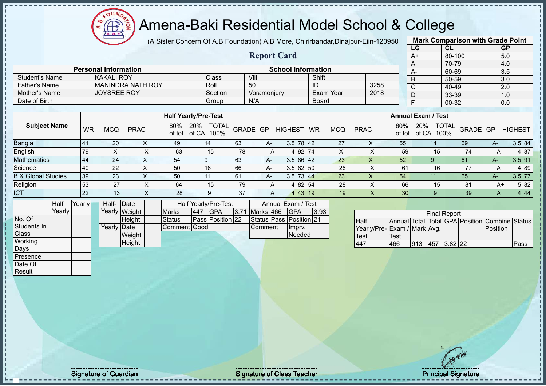# Amena-Baki Residential Model School & College

(A Sister Concern Of A.B Foundation) A.B More, Chirirbandar,Dinajpur-Eiin-120950

**Report Card**

|      | <b>Mark Comparison with Grade Point</b> |           |
|------|-----------------------------------------|-----------|
| LG   | CL                                      | <b>GP</b> |
| $A+$ | 80-100                                  | 5.0       |
| A    | 70-79                                   | 4.0       |
| A-   | 60-69                                   | 3.5       |
| B    | 50-59                                   | 3.0       |
| C    | 40-49                                   | 2.0       |
|      | 33-39                                   | 1.0       |
|      | 00-32                                   | 0.0       |
|      |                                         |           |

|                      | <b>Personal Information</b> |         | <b>School Information</b> |              |      |  |  |  |  |  |
|----------------------|-----------------------------|---------|---------------------------|--------------|------|--|--|--|--|--|
| Student's Name       | <b>KAKALI ROY</b>           | Class   | VIII                      | Shift        |      |  |  |  |  |  |
| <b>Father's Name</b> | <b>MANINDRA NATH ROY</b>    | Roll    | 50                        | ID           | 3258 |  |  |  |  |  |
| Mother's Name        | <b>JOYSREE ROY</b>          | Section | Voramoniurv               | Exam Year    | 2018 |  |  |  |  |  |
| Date of Birth        |                             | Group   | N/A                       | <b>Board</b> |      |  |  |  |  |  |

|                               |    | <b>Half Yearly/Pre-Test</b> |             |               |                                      |          |      |                 |           |            | <b>Annual Exam / Test</b> |               |                                      |                |      |                |  |  |
|-------------------------------|----|-----------------------------|-------------|---------------|--------------------------------------|----------|------|-----------------|-----------|------------|---------------------------|---------------|--------------------------------------|----------------|------|----------------|--|--|
| <b>Subject Name</b>           | WR | MCQ                         | <b>PRAC</b> | 80%<br>of tot | <b>TOTAL</b><br>20%<br>of CA<br>100% | GRADE GP |      | <b>HIGHEST</b>  | <b>WR</b> | <b>MCQ</b> | <b>PRAC</b>               | 80%<br>of tot | 20%<br><b>TOTAL</b><br>100%<br>of CA | GRADE GP       |      | <b>HIGHEST</b> |  |  |
| Bangla                        |    | 20                          |             | 49            | 14                                   | 63       | $A-$ | $3.5 \ 78 \ 42$ |           | 27         |                           | 55            | 14                                   | 69             |      | 3.5 84         |  |  |
| English                       | 79 |                             |             | 63            | 15                                   | 78       |      | 4 92 74         |           | х          |                           | 59            | 15                                   | 74             |      | 4 87           |  |  |
| <b>Mathematics</b>            | 44 | 24                          |             | 54            | 9                                    | 63       | $A-$ | $3.586$   42    |           | 23         | $\Lambda$                 | 52            |                                      | 61             | A-   | 3.5 91         |  |  |
| Science                       | 40 | 22                          |             | 50            | 16                                   | 66       | $A-$ | $3.582$ 50      |           | 26         |                           | 61            | 16                                   | 77             | A    | 4 89           |  |  |
| <b>B.&amp; Global Studies</b> | 39 | 23                          |             | 50            | 11                                   | 61       | $A-$ | $3.5$ 73 44     |           | 23         | Х                         | 54            | 11                                   | 65             | $A-$ | 3.5 77         |  |  |
| Religion                      | 53 | 27                          |             | 64            | 15                                   | 79       |      | 4 82 54         |           | 28         |                           | 66            | 15                                   | 8 <sup>1</sup> | A+   | 5 82           |  |  |
| <b>ICT</b>                    | 22 | 13                          | $\sim$      | 28            | 9                                    | 37       | A    | 4 43 19         |           | 19         | $\lambda$                 | 30            |                                      | 39             | A    | 4 4 4          |  |  |

|              | <b>Half</b> | Yearly <mark>l</mark> |             | Half- Date<br><b>Half Yearly/Pre-Test</b><br>Annual Exam / Test |  |              |     |                  |  |                  |                         |      |
|--------------|-------------|-----------------------|-------------|-----------------------------------------------------------------|--|--------------|-----|------------------|--|------------------|-------------------------|------|
|              | Yearlv l    |                       |             | Yearly Weight                                                   |  | <b>Marks</b> | 447 | <b>IGPA</b>      |  | 3.71 Marks 466   | <b>IGPA</b>             | 3.93 |
| No. Of       |             |                       |             | <b>Height</b>                                                   |  | Status       |     | Pass Position 22 |  |                  | Status Pass Position 21 |      |
| Students In  |             |                       | Yearly Date |                                                                 |  | Comment Good |     |                  |  | <b>I</b> Comment | Impry.                  |      |
| <b>Class</b> |             |                       |             | Weight                                                          |  |              |     |                  |  |                  | Needed                  |      |
| Working      |             |                       |             | Height                                                          |  |              |     |                  |  |                  |                         |      |
| Days         |             |                       |             |                                                                 |  |              |     |                  |  |                  |                         |      |
| IPresence    |             |                       |             |                                                                 |  |              |     |                  |  |                  |                         |      |

| <b>Final Report</b>         |      |      |             |  |  |                                                |      |  |  |  |
|-----------------------------|------|------|-------------|--|--|------------------------------------------------|------|--|--|--|
| Half                        |      |      |             |  |  | Annual Total Total GPA Position Combine Status |      |  |  |  |
| Yearly/Pre-Exam / Mark Avg. |      |      |             |  |  | Position                                       |      |  |  |  |
| <b>Test</b>                 | Test |      |             |  |  |                                                |      |  |  |  |
| 447                         | 466  | .913 | 457 3.82 22 |  |  |                                                | Pass |  |  |  |

Date Of Result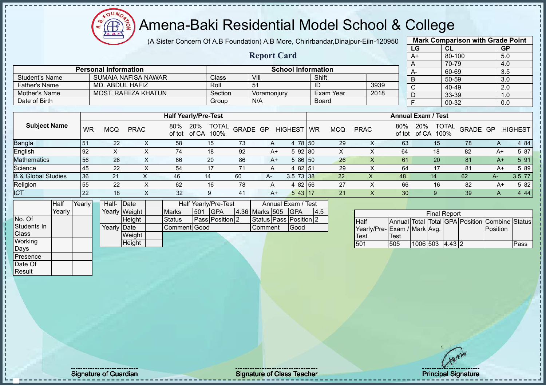# Amena-Baki Residential Model School & College

(A Sister Concern Of A.B Foundation) A.B More, Chirirbandar,Dinajpur-Eiin-120950

**Report Card**

|      | <b>Mark Comparison with Grade Point</b> |           |
|------|-----------------------------------------|-----------|
| LG   | CL                                      | <b>GP</b> |
| $A+$ | 80-100                                  | 5.0       |
| A    | 70-79                                   | 4.0       |
| А-   | 60-69                                   | 3.5       |
| B    | 50-59                                   | 3.0       |
| C    | 40-49                                   | 2.0       |
| D    | 33-39                                   | 1.0       |
|      | 00-32                                   | 0.0       |
|      |                                         |           |

|                | <b>Personal Information</b> | <b>School Information</b> |             |              |      |  |  |  |
|----------------|-----------------------------|---------------------------|-------------|--------------|------|--|--|--|
| Student's Name | SUMAIA NAFISA NAWAR         | Classi                    | VIII        | Shift        |      |  |  |  |
| Father's Name  | MD. ABDUL HAFIZ             | Roll                      | 51          | ID           | 3939 |  |  |  |
| Mother's Name  | MOST, RAFEZA KHATUN         | Section                   | Voramoniurv | Exam Year    | 2018 |  |  |  |
| Date of Birth  |                             | Group                     | N/A         | <b>Board</b> |      |  |  |  |

|                               |    |     |             |               | <b>Half Yearly/Pre-Test</b>          |          |      |                |    |            |             |               | <b>Annual Exam / Test</b> |                          |      |                |
|-------------------------------|----|-----|-------------|---------------|--------------------------------------|----------|------|----------------|----|------------|-------------|---------------|---------------------------|--------------------------|------|----------------|
| <b>Subject Name</b>           | WR | MCQ | <b>PRAC</b> | 80%<br>of tot | <b>TOTAL</b><br>20%<br>of CA<br>100% | GRADE GP |      | <b>HIGHEST</b> | WR | <b>MCQ</b> | <b>PRAC</b> | 80%<br>of tot | 20%<br>100%<br>of CA      | <b>TOTAL</b><br>GRADE GP |      | <b>HIGHEST</b> |
| <b>Bangla</b>                 | 51 | 22  | ∧           | 58            | 15                                   | 73       | A    | 4 78 50        |    | 29         | ⌒           | 63            | 15                        | 78                       | A    | 4 84           |
| English                       | 92 | ∧   | ∧           | 74            | 18                                   | 92       | A+   | 592 80         |    | X          |             | 64            | 18                        | 82                       | A+   | 5 87           |
| <b>Mathematics</b>            | 56 | 26  |             | 66            | 20                                   | 86       | A+   | 5 86 50        |    | 26         |             | 61            | 20                        | 81                       | $A+$ | 5 91           |
| Science                       | 45 | 22  |             | 54            | 17                                   | 71       |      | 4 82 51        |    | 29         |             | 64            | 17                        | 81                       | $A+$ | 5 89           |
| <b>B.&amp; Global Studies</b> | 36 | 21  |             | 46            | 14                                   | 60       | $A-$ | 3.5 73 38      |    | 22         | Х           | 48            | 14                        | 62                       | $A-$ | 3.5 77         |
| Religion                      | 55 | 22  |             | 62            | 16                                   | 78       | A    | 4 82 56        |    | 27         |             | 66            | 16                        | 82                       | A+   | 5 82           |
| <b>ICT</b>                    | 22 | 18  | $\sim$      | 32            | 9                                    | 41       | $A+$ | 543 17         |    | 21         | ∧           | 30            |                           | 39                       | A    | 4 4 4          |

|                 | Half   | Yearly | Half- Date  |               |              |      | Half Yearly/Pre-Test |  | Annual Exam / Test |                        |     |
|-----------------|--------|--------|-------------|---------------|--------------|------|----------------------|--|--------------------|------------------------|-----|
|                 | Yearly |        |             | Yearly Weight | <b>Marks</b> | 1501 | <b>GPA</b>           |  | 4.36 Marks 505     | <b>IGPA</b>            | 4.5 |
| No. Of          |        |        |             | Height        | Status       |      | Pass Position 2      |  |                    | Status Pass Position 2 |     |
| Students In     |        |        | Yearly Date |               | Comment Good |      |                      |  | Comment            | Good                   |     |
| <b>Class</b>    |        |        |             | Weight        |              |      |                      |  |                    |                        |     |
| Working         |        |        |             | Height        |              |      |                      |  |                    |                        |     |
| Days            |        |        |             |               |              |      |                      |  |                    |                        |     |
| <b>Presence</b> |        |        |             |               |              |      |                      |  |                    |                        |     |

|                             |      |                 | <b>Final Report</b> |  |                                                |      |
|-----------------------------|------|-----------------|---------------------|--|------------------------------------------------|------|
| <b>Half</b>                 |      |                 |                     |  | Annual Total Total GPA Position Combine Status |      |
| Yearly/Pre-Exam / Mark Avg. |      |                 |                     |  | <b>IPosition</b>                               |      |
| <b>Test</b>                 | Test |                 |                     |  |                                                |      |
| 501                         | 505  | 1006 503 4.43 2 |                     |  |                                                | Pass |

Date Of Result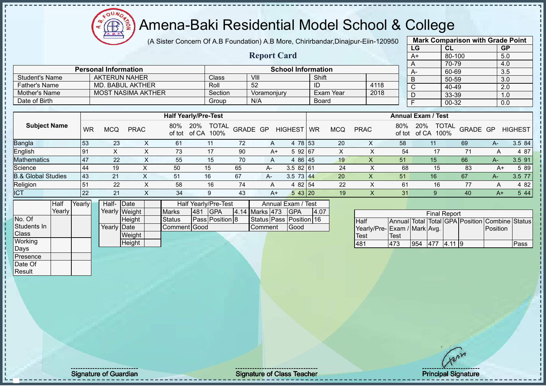# Amena-Baki Residential Model School & College

(A Sister Concern Of A.B Foundation) A.B More, Chirirbandar, Dinajpur-Eiin-12095

**Report Card**

| iΩ |    | <b>Mark Comparison with Grade Point</b> |                  |
|----|----|-----------------------------------------|------------------|
|    | LG | <b>CL</b>                               | <b>GP</b>        |
|    | A+ | 80-100                                  | 5.0              |
|    | A  | 70-79                                   | 4.0              |
|    | A- | 60-69                                   | $\overline{3.5}$ |
|    | B  | 50-59                                   | 3.0              |
|    | C  | 40-49                                   | 2.0              |
|    | D  | 33-39                                   | 1.0              |
|    | F  | 00-32                                   | 0.0              |
|    |    |                                         |                  |

|                       | <b>Personal Information</b> |         | <b>School Information</b> |              |      |  |
|-----------------------|-----------------------------|---------|---------------------------|--------------|------|--|
| <b>Student's Name</b> | AKTERUN NAHER               | Class   | VIII                      | Shift        |      |  |
| <b>Father's Name</b>  | MD. BABUL AKTHER            | Roll    | 52                        |              | 4118 |  |
| Mother's Name         | <b>MOST NASIMA AKTHER</b>   | Section | Voramoniurv               | Exam Year    | 2018 |  |
| Date of Birth         |                             | Group   | N/A                       | <b>Board</b> |      |  |

| <b>WR</b>  | <b>MCQ</b>       | <b>PRAC</b> | 80%<br>of tot | 20%<br>of CA |                                     |              |          | <b>WR</b>              | <b>MCQ</b>                                                                  | <b>PRAC</b> | 80%<br>of tot | 20%<br>of CA    |                           |                      | <b>HIGHEST</b> |
|------------|------------------|-------------|---------------|--------------|-------------------------------------|--------------|----------|------------------------|-----------------------------------------------------------------------------|-------------|---------------|-----------------|---------------------------|----------------------|----------------|
| 53         | 23               |             | 61            | 11           | 72                                  | A            | 4        |                        | 20                                                                          | ∧           | 58            |                 | 69                        | A-                   | 3.5 84         |
| 191        | $\check{ }$<br>∧ |             | 73            | 17           | 90                                  | A+           |          |                        | X                                                                           |             | 54            |                 |                           | A                    | 4 87           |
| 47         | 22               | $\Lambda$   | 55            | 15           | 70                                  | A            |          |                        | 19                                                                          | v<br>∧      | 51            | 15              | 66                        | A-7                  | 3.5 91         |
| 44         | 19               |             | 50            | 15           | 65                                  | $A-$         |          |                        | 24                                                                          |             | 68            | 15              | 83                        | A+                   | 5 89           |
| <b>143</b> | 21               |             | 51            | 16           | 67                                  | A-           |          |                        | 20                                                                          |             | 51            | 16 <sup>°</sup> | 67                        | A-                   | 3.5 77         |
| 51         | 22               |             | 58            | 16           | 74                                  | A            |          |                        | 22                                                                          |             | 61            | 16              |                           | A                    | 4 8 2          |
| 22         | 21               | v           | 34            | 9            | 43                                  |              |          |                        | 19                                                                          |             | 31            |                 | 40                        | $A+$                 | 5 4 4          |
|            |                  |             |               |              | <b>Half Yearly/Pre-Test</b><br>100% | <b>TOTAL</b> | GRADE GP | <b>HIGHEST</b><br>$A+$ | 78 53<br>5 92 67<br>4 86 45<br>3.582 61<br>$3.5$ 73 44<br>4 82 54<br>543 20 |             |               |                 | <b>Annual Exam / Test</b> | <b>TOTAL</b><br>100% | GRADE GP       |

|              | Half   | Yearly I | Half-       | <b>IDate</b>  |               |     | Half Yearly/Pre-Test |                | Annual Exam / Test      |      |
|--------------|--------|----------|-------------|---------------|---------------|-----|----------------------|----------------|-------------------------|------|
|              | Yearlv |          |             | Yearly Weight | <b>Marks</b>  | 481 | <b>IGPA</b>          | 4.14 Marks 473 | <b>IGPA</b>             | 4.07 |
| No. Of       |        |          |             | Height        | <b>Status</b> |     | Pass Position 8      |                | Status Pass Position 16 |      |
| Students In  |        |          | Yearly Date |               | Comment Good  |     |                      | lComment       | Good                    |      |
| <b>Class</b> |        |          |             | Weight        |               |     |                      |                |                         |      |
| Working      |        |          |             | Height        |               |     |                      |                |                         |      |
| Days         |        |          |             |               |               |     |                      |                |                         |      |
| Presence     |        |          |             |               |               |     |                      |                |                         |      |
| Date Of      |        |          |             |               |               |     |                      |                |                         |      |

|                             |      |     | <b>Final Report</b> |  |                                                |      |
|-----------------------------|------|-----|---------------------|--|------------------------------------------------|------|
| <b>Half</b>                 |      |     |                     |  | Annual Total Total GPA Position Combine Status |      |
| Yearly/Pre-Exam / Mark Avg. |      |     |                     |  | <b>Position</b>                                |      |
| <b>Test</b>                 | Test |     |                     |  |                                                |      |
| 481                         | 473  | 954 | 477 4.11 9          |  |                                                | Pass |

Result

Signature of Guardian Signature of Class Teacher Principal Signature of Class Teacher Principal Signature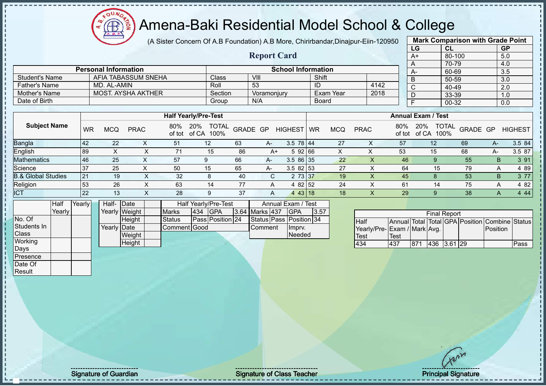(A Sister Concern Of A.B Foundation) A.B More, Chirirbandar,Dinajpur-Eiin-120950

**Report Card**

|      | <b>Mark Comparison with Grade Point</b> |           |
|------|-----------------------------------------|-----------|
| LG   | CL                                      | <b>GP</b> |
| $A+$ | 80-100                                  | 5.0       |
| A    | 70-79                                   | 4.0       |
| A-   | 60-69                                   | 3.5       |
| B    | 50-59                                   | 3.0       |
| C    | 40-49                                   | 2.0       |
| D    | 33-39                                   | 1.0       |
| F    | 00-32                                   | 0.0       |
|      |                                         |           |

|                | <b>Personal Information</b> |              | <b>School Information</b> |           |      |  |
|----------------|-----------------------------|--------------|---------------------------|-----------|------|--|
| Student's Name | AFIA TABASSUM SNEHA         | <b>Class</b> | VIII                      | Shift     |      |  |
| Father's Name  | MD. AL-AMIN                 | Roll         | 53                        |           | 4142 |  |
| Mother's Name  | MOST, AYSHA AKTHER          | Section      | Voramoniurv               | Exam Year | 2018 |  |
| Date of Birth  |                             | Group        | N/A                       | Board     |      |  |

|                               |           |     |                       |               | <b>Half Yearly/Pre-Test</b>          |          |    |                |           |            |             |     | <b>Annual Exam / Test</b>                   |          |    |                |
|-------------------------------|-----------|-----|-----------------------|---------------|--------------------------------------|----------|----|----------------|-----------|------------|-------------|-----|---------------------------------------------|----------|----|----------------|
| <b>Subject Name</b>           | <b>WR</b> | MCQ | <b>PRAC</b>           | 80%<br>of tot | <b>TOTAL</b><br>20%<br>of CA<br>100% | GRADE GP |    | <b>HIGHEST</b> | <b>WR</b> | <b>MCQ</b> | <b>PRAC</b> | 80% | <b>TOTAL</b><br>20%<br>100%<br>of tot of CA | GRADE GP |    | <b>HIGHEST</b> |
| <b>Bangla</b>                 | 42        | 22  |                       | 51            | 12                                   | 63       | A- | $3.5$ 78 44    |           | 27         | х           | 57  | 12                                          | 69       | А- | 3.5 84         |
| English                       | 89        |     |                       | 71            | 15                                   | 86       | A+ | 5 92 66        |           |            |             | 53  | 15                                          | 68       | A- | 3.5 87         |
| <b>Mathematics</b>            | 46        | 25  | ⌒                     | 57            |                                      | 66       | A- | $3.586$ 35     |           | 22         | $\Lambda$   | 46  |                                             | 55       | B  | 3 91           |
| Science                       | 37        | 25  |                       | 50            | 15                                   | 65       | A- | $3.582$ 53     |           | 27         |             | 64  | 15                                          | 79       |    | 4 89           |
| <b>B.&amp; Global Studies</b> | 21        | 19  | $\check{ }$<br>$\sim$ | 32            | 8                                    | 40       | C. | 2 73 37        |           | 19         |             | 45  |                                             | 53       | B. | 3 7 7          |
| Religion                      | 53        | 26  |                       | 63            | 14                                   | 77       | A  | 4 82 52        |           | 24         |             | 61  | 14                                          | 75       | Α  | 4 82           |
| <b>ICT</b>                    | 22        | 13  | ⌒                     | 28            | 9                                    | -37      | A  | 443 18         |           | 18         | ∧           | 29  |                                             | 38       |    | 4 4 4          |

|                 | Half   | Yearly | Half- Date  |               |               |     | Half Yearly/Pre-Test |                | Annual Exam / Test      |      |
|-----------------|--------|--------|-------------|---------------|---------------|-----|----------------------|----------------|-------------------------|------|
|                 | Yearlv |        |             | Yearly Weight | <b>Marks</b>  | 434 | <b>IGPA</b>          | 3.64 Marks 437 | <b>IGPA</b>             | 3.57 |
| No. Of          |        |        |             | <b>Height</b> | <b>Status</b> |     | Pass Position 24     |                | Status Pass Position 34 |      |
| Students In     |        |        | Yearly Date |               | Comment Good  |     |                      | <b>Comment</b> | Ilmpry.                 |      |
| <b>Class</b>    |        |        |             | Weight        |               |     |                      |                | Needed                  |      |
| Working         |        |        |             | Height        |               |     |                      |                |                         |      |
| Days            |        |        |             |               |               |     |                      |                |                         |      |
| <b>Presence</b> |        |        |             |               |               |     |                      |                |                         |      |

| <b>Final Report</b>         |      |      |             |  |  |                                                |      |  |  |  |
|-----------------------------|------|------|-------------|--|--|------------------------------------------------|------|--|--|--|
| <b>Half</b>                 |      |      |             |  |  | Annual Total Total GPA Position Combine Status |      |  |  |  |
| Yearly/Pre-Exam / Mark Avg. |      |      |             |  |  | Position                                       |      |  |  |  |
| <b>Test</b>                 | Test |      |             |  |  |                                                |      |  |  |  |
| 434                         | 437  | 1871 | 436 3.61 29 |  |  |                                                | Pass |  |  |  |

Date Of **Result** 

Signature of Guardian Signature of Class Teacher Number of Class Teacher Principal Signature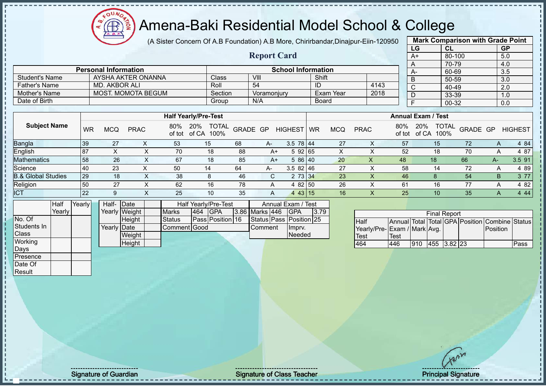

(A Sister Concern Of A.B Foundation) A.B More, Chirirbandar,Dinajpur-Eiin-120950

**Report Card**

| <b>Mark Comparison with Grade Point</b> |           |           |  |  |  |  |  |  |  |
|-----------------------------------------|-----------|-----------|--|--|--|--|--|--|--|
| LG                                      | <b>CL</b> | <b>GP</b> |  |  |  |  |  |  |  |
| $A+$                                    | 80-100    | 5.0       |  |  |  |  |  |  |  |
| A                                       | 70-79     | 4.0       |  |  |  |  |  |  |  |
| A-                                      | 60-69     | 3.5       |  |  |  |  |  |  |  |
| B                                       | 50-59     | 3.0       |  |  |  |  |  |  |  |
| C                                       | 40-49     | 2.0       |  |  |  |  |  |  |  |
| D                                       | 33-39     | 1.0       |  |  |  |  |  |  |  |
| F                                       | 00-32     | 0.0       |  |  |  |  |  |  |  |
|                                         |           |           |  |  |  |  |  |  |  |

|                | <b>Personal Information</b> |         | <b>School Information</b> |           |      |  |
|----------------|-----------------------------|---------|---------------------------|-----------|------|--|
| Student's Name | AYSHA AKTER ONANNA          | Class   | VIII                      | Shift     |      |  |
| Father's Name  | MD. AKBOR ALI               | Roll    | 54                        |           | 4143 |  |
| Mother's Name  | MOST. MOMOTA BEGUM          | Section | Voramoniurv               | Exam Year | 2018 |  |
| Date of Birth  |                             | Group   | N/A                       | Board     |      |  |

|                               |    |            |             |     | <b>Half Yearly/Pre-Test</b>              |          |      |                | <b>Annual Exam / Test</b> |            |             |     |                                             |          |      |                |
|-------------------------------|----|------------|-------------|-----|------------------------------------------|----------|------|----------------|---------------------------|------------|-------------|-----|---------------------------------------------|----------|------|----------------|
| <b>Subject Name</b>           | WR | <b>MCQ</b> | <b>PRAC</b> | 80% | <b>TOTAL</b><br>20%<br>of tot of CA 100% | GRADE GP |      | <b>HIGHEST</b> | <b>WR</b>                 | <b>MCQ</b> | <b>PRAC</b> | 80% | 20%<br><b>TOTAL</b><br>100%<br>of tot of CA | GRADE GP |      | <b>HIGHEST</b> |
| <b>Bangla</b>                 | 39 | 27         |             | 53  | 15                                       | 68       | $A-$ | $3.5$ 78 44    |                           | 27         |             | 57  | 15                                          | 72       | Α    | 4 84           |
| English                       | 87 |            |             | 70  | 18                                       | 88       | A+   | 592 65         |                           | х          |             | 52  | 18                                          | 70       | A    | 4 87           |
| <b>Mathematics</b>            | 58 | 26         | $\sim$      | 67  | 18                                       | 85       | $A+$ | 5 86 40        |                           | 20         | X           | 48  | 18                                          | 66       | $A-$ | 3.5 91         |
| Science                       | 40 | 23         |             | 50  | 14                                       | 64       | A-   | $3.582$   46   |                           | 27         |             | 58  | 14                                          | 72       |      | 4 8 9          |
| <b>B.&amp; Global Studies</b> | 29 | 18         |             | 38  | 8                                        | 46       | C.   | 2 73 34        |                           | 23         |             | 46  |                                             | 54       | B    | 3 7 7          |
| Religion                      | 50 | 27         |             | 62  | 16                                       | 78       |      | 4 82 50        |                           | 26         |             | 61  | 16                                          | 77       | A    | 4 82           |
| <b>ICT</b>                    | 22 | 9          |             | 25  | 10                                       | 35       | Α    | $\overline{A}$ | 43 15                     | 16         |             | 25  | 10                                          | 35       |      | 4 4 4          |

|              | Half     | Yearly | Half- Date  |               |              |     | Half Yearly/Pre-Test |                       | Annual Exam / Test      |      |
|--------------|----------|--------|-------------|---------------|--------------|-----|----------------------|-----------------------|-------------------------|------|
|              | Yearlv l |        |             | Yearly Weight | <b>Marks</b> | 464 | <b>IGPA</b>          | <b>3.86 Marks 446</b> | IGPA                    | 3.79 |
| No. Of       |          |        |             | Height        | Status       |     | Pass Position 16     |                       | Status Pass Position 25 |      |
| Students In  |          |        | Yearly Date |               | Comment Good |     |                      | Comment               | Imprv.                  |      |
| <b>Class</b> |          |        |             | Weight        |              |     |                      |                       | <b>Needed</b>           |      |
| Working      |          |        |             | Height        |              |     |                      |                       |                         |      |
| Days         |          |        |             |               |              |     |                      |                       |                         |      |
| Presence     |          |        |             |               |              |     |                      |                       |                         |      |

|                              |      |     | <b>Final Report</b> |  |                                                |      |
|------------------------------|------|-----|---------------------|--|------------------------------------------------|------|
| <b>Half</b>                  |      |     |                     |  | Annual Total Total GPA Position Combine Status |      |
| Yearly/Pre- Exam / Mark Avg. |      |     |                     |  | Position                                       |      |
| <b>Test</b>                  | Test |     |                     |  |                                                |      |
| 464                          | 446  | 910 | 455 3.82 23         |  |                                                | Pass |

Date Of **Result** 

Signature of Guardian Signature of Class Teacher Number of Class Teacher Principal Signature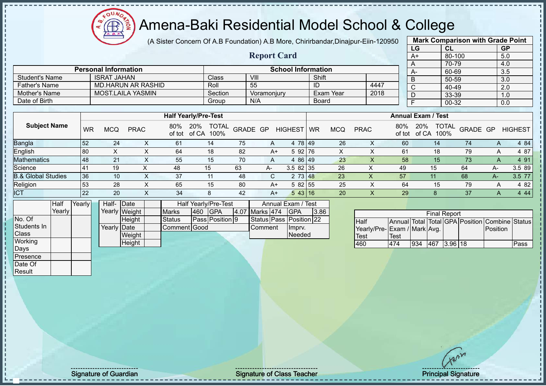$\Omega$ Æ

#### Amena-Baki Residential Model School & College

(A Sister Concern Of A.B Foundation) A.B More, Chirirbandar,Dinajpur-Eiin-120950

**Report Card**

| <b>Mark Comparison with Grade Point</b> |        |           |  |  |  |  |  |  |  |
|-----------------------------------------|--------|-----------|--|--|--|--|--|--|--|
| LG                                      | CL     | <b>GP</b> |  |  |  |  |  |  |  |
| $A+$                                    | 80-100 | 5.0       |  |  |  |  |  |  |  |
| A                                       | 70-79  | 4.0       |  |  |  |  |  |  |  |
| A-                                      | 60-69  | 3.5       |  |  |  |  |  |  |  |
| B                                       | 50-59  | 3.0       |  |  |  |  |  |  |  |
| $\overline{\text{c}}$                   | 40-49  | 2.0       |  |  |  |  |  |  |  |
| D                                       | 33-39  | 1.0       |  |  |  |  |  |  |  |
| F                                       | 00-32  | 0.0       |  |  |  |  |  |  |  |
|                                         |        |           |  |  |  |  |  |  |  |

| <b>Student's Name</b> |           | <b>ISRAT JAHAN</b> |                           |                             | Class             | VIII           |             |            | Shift        |            |             |        |    |                           | 50-59 |                                             | 3.0            |
|-----------------------|-----------|--------------------|---------------------------|-----------------------------|-------------------|----------------|-------------|------------|--------------|------------|-------------|--------|----|---------------------------|-------|---------------------------------------------|----------------|
| <b>Father's Name</b>  |           |                    | <b>MD.HARUN AR RASHID</b> |                             | Roll              | 55             |             |            |              |            |             | 4447   |    |                           | 40-49 |                                             | 2.0            |
| Mother's Name         |           |                    | <b>MOST.LAILA YASMIN</b>  |                             | Section           |                | Voramonjury |            |              | Exam Year  |             | 2018   |    |                           | 33-39 |                                             | 1.0            |
| Date of Birth         |           |                    |                           |                             | Group             | N/A            |             |            | <b>Board</b> |            |             |        |    |                           | 00-32 |                                             | 0.0            |
|                       |           |                    |                           |                             |                   |                |             |            |              |            |             |        |    |                           |       |                                             |                |
|                       |           |                    |                           |                             |                   |                |             |            |              |            |             |        |    |                           |       |                                             |                |
|                       |           |                    |                           | <b>Half Yearly/Pre-Test</b> |                   |                |             |            |              |            |             |        |    | <b>Annual Exam / Test</b> |       |                                             |                |
| <b>Subject Name</b>   | <b>WR</b> | <b>MCQ</b>         | <b>PRAC</b>               | 80% 20%                     | of tot of CA 100% | TOTAL GRADE GP |             | HIGHEST WR |              | <b>MCQ</b> | <b>PRAC</b> |        |    |                           |       | 80% 20% TOTAL GRADE GP<br>of tot of CA 100% | <b>HIGHEST</b> |
| <b>Bangla</b>         | 52        | 24                 |                           | 61                          | 14                | 75             |             | 4 78 49    |              | 26         |             | $\sim$ | 60 |                           | 14    | 74                                          | 4 84           |

| English                       | 80  |                      | 64          | 18  | 82 | A+   | റാ         |       |          | 61 | ιc | 70<br>- - | 87             |
|-------------------------------|-----|----------------------|-------------|-----|----|------|------------|-------|----------|----|----|-----------|----------------|
| <b>Mathematics</b>            | 148 | $\sim$<br>$\epsilon$ | 55          | ט ו |    |      |            | 86 49 | 23       | 58 |    |           | . 91           |
| Science                       |     | 19                   |             | ◡   | 63 | $A-$ | $3.582$ 35 |       | 26       | 49 | 15 | 04        | -89<br>$3.5\,$ |
| <b>B.&amp; Global Studies</b> | 36  | 10                   | $\sim$<br>ີ |     | 48 |      |            |       | nn<br>∠ა |    |    |           | ບ.ບ            |
| Religion                      | 53  | 28                   | 65          | 15  | 80 | A+   | 5 82 55    |       | 25       | 64 |    | 79        | 82             |
| <b>ICT</b>                    | 22  | 20                   | 34          |     |    | A٦   |            |       | 20       | 29 |    |           | 44             |

|                | Half   | Yearly | Half- Date  |               |               |     | Half Yearly/Pre-Test   |                | Annual Exam / Test      |      |
|----------------|--------|--------|-------------|---------------|---------------|-----|------------------------|----------------|-------------------------|------|
|                | Yearly |        |             | Yearly Weight | <b>Marks</b>  | 460 | <b>IGPA</b>            | 4.07 Marks 474 | <b>IGPA</b>             | 3.86 |
| No. Of         |        |        |             | <b>Height</b> | <b>Status</b> |     | <b>Pass Position 9</b> |                | Status Pass Position 22 |      |
| Students In    |        |        | Yearly Date |               | Comment Good  |     |                        | <b>Comment</b> | Imprv.                  |      |
| <b>Class</b>   |        |        |             | Weight        |               |     |                        |                | <b>Needed</b>           |      |
| <b>Working</b> |        |        |             | Height        |               |     |                        |                |                         |      |
| Days           |        |        |             |               |               |     |                        |                |                         |      |
| Presence       |        |        |             |               |               |     |                        |                |                         |      |

**Personal Information School Information** 

|                              |      |     | <b>Final Report</b> |  |                                                |      |
|------------------------------|------|-----|---------------------|--|------------------------------------------------|------|
| <b>Half</b>                  |      |     |                     |  | Annual Total Total GPA Position Combine Status |      |
| Yearly/Pre- Exam / Mark Avg. |      |     |                     |  | Position                                       |      |
| Test                         | Test |     |                     |  |                                                |      |
| 460                          | 474  | 934 | 467 3.96 18         |  |                                                | Pass |

Date Of Result

Signature of Guardian Signature Signature of Class Teacher New York Contract Principal Signature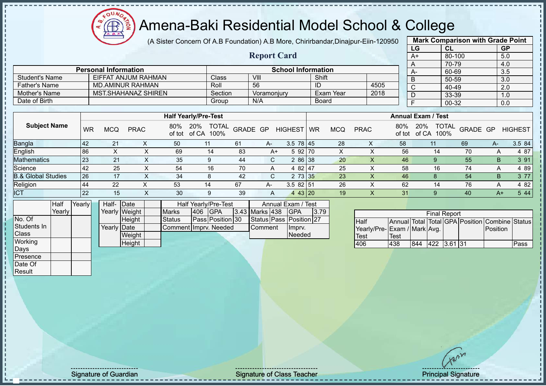(A Sister Concern Of A.B Foundation) A.B More, Chirirbandar,Dinajpur-Eiin-120950

**Report Card**

| <b>Mark Comparison with Grade Point</b> |           |           |  |  |  |  |  |  |  |  |
|-----------------------------------------|-----------|-----------|--|--|--|--|--|--|--|--|
| LG                                      | <b>CL</b> | <b>GP</b> |  |  |  |  |  |  |  |  |
| $A+$                                    | 80-100    | 5.0       |  |  |  |  |  |  |  |  |
| A                                       | 70-79     | 4.0       |  |  |  |  |  |  |  |  |
| A-                                      | 60-69     | 3.5       |  |  |  |  |  |  |  |  |
| B                                       | 50-59     | 3.0       |  |  |  |  |  |  |  |  |
| $\mathsf{C}$                            | 40-49     | 2.0       |  |  |  |  |  |  |  |  |
| D                                       | 33-39     | 1.0       |  |  |  |  |  |  |  |  |
| F                                       | 00-32     | 0.0       |  |  |  |  |  |  |  |  |
|                                         |           |           |  |  |  |  |  |  |  |  |

|                       | <b>Personal Information</b> |         | <b>School Information</b> |           |      |          |
|-----------------------|-----------------------------|---------|---------------------------|-----------|------|----------|
| <b>Student's Name</b> | EIFFAT ANJUM RAHMAN         | Class   | VIII                      | Shift     |      | <b>B</b> |
| Father's Name         | MD.AMINUR RAHMAN            | Roll    | 56                        | -ID       | 4505 |          |
| Mother's Name         | MST.SHAHANAZ SHIREN         | Section | Voramoniurv               | Exam Year | 2018 |          |
| Date of Birth         |                             | Group   | N/A                       | Board     |      |          |

|                               |            |     |              |               | <b>Half Yearly/Pre-Test</b>          |          |    |                 |    |            |             |     | <b>Annual Exam / Test</b>            |          |      |                |
|-------------------------------|------------|-----|--------------|---------------|--------------------------------------|----------|----|-----------------|----|------------|-------------|-----|--------------------------------------|----------|------|----------------|
| <b>Subject Name</b>           | WR         | MCQ | <b>PRAC</b>  | 80%<br>of tot | 20%<br><b>TOTAL</b><br>of CA<br>100% | GRADE GP |    | <b>HIGHEST</b>  | WR | <b>MCQ</b> | <b>PRAC</b> | 80% | TOTAL<br>20%<br>100%<br>of tot of CA | GRADE GP |      | <b>HIGHEST</b> |
| Bangla                        | <b>142</b> | 21  |              | 50            |                                      | 61       | A- | $3.5 \ 78 \ 45$ |    | 28         | ∧           | 58  |                                      | 69       | A-   | 3.5 84         |
| English                       | 86         |     |              | 69            | 14                                   | 83       | A+ | 5 92 70         |    |            |             | 56  | 14                                   | 70       |      | 4 87           |
| Mathematics                   | <b>23</b>  | 21  | ⌒            | 35            | 9                                    | 44       | C. | 2 86 38         |    | 20         |             | 46  | 9                                    | 55       | B.   | 3 91           |
| Science                       | <b>42</b>  | 25  | $\check{ }$  | 54            | 16                                   | 70       | A  | 4 82 47         |    | 25         | v           | 58  | 16                                   | 74       | A    | 4 8 9          |
| <b>B.&amp; Global Studies</b> | 26         | 17  | $\checkmark$ | 34            | 8                                    | 42       | C. | 2 73 35         |    | 23         |             | 46  |                                      | 54       | B.   | 3 77           |
| Religion                      | 44         | 22  |              | 53            | 14                                   | 67       | A- | $3.582$ 51      |    | 26         |             | 62  | 14                                   | 76       | A    | 4 8 2          |
| <b>ICT</b>                    | <b>22</b>  | 15  | ∧            | 30            | 9                                    | 39       | A  | 443 20          |    | 19         |             | 31  |                                      | 40       | $A+$ | 5 4 4          |

|              | Half   | Yearly | Half- Date  |               |                       |     | Half Yearly/Pre-Test |  | Annual Exam / Test |                         |      |
|--------------|--------|--------|-------------|---------------|-----------------------|-----|----------------------|--|--------------------|-------------------------|------|
|              | Yearly |        |             | Yearly Weight | <b>Marks</b>          | 406 | <b>IGPA</b>          |  | 3.43 Marks 438     | <b>IGPA</b>             | 3.79 |
| No. Of       |        |        |             | Height        | <b>Status</b>         |     | Pass Position 30     |  |                    | Status Pass Position 27 |      |
| Students In  |        |        | Yearly Date |               | Comment Imprv. Needed |     |                      |  | <b>I</b> Comment   | Imprv.                  |      |
| <b>Class</b> |        |        |             | Weight        |                       |     |                      |  |                    | Needed                  |      |
| Working      |        |        |             | Height        |                       |     |                      |  |                    |                         |      |
| Days         |        |        |             |               |                       |     |                      |  |                    |                         |      |

| <b>Final Report</b>         |      |     |             |  |  |                                                |      |  |  |  |  |  |
|-----------------------------|------|-----|-------------|--|--|------------------------------------------------|------|--|--|--|--|--|
| <b>Half</b>                 |      |     |             |  |  | Annual Total Total GPA Position Combine Status |      |  |  |  |  |  |
| Yearly/Pre-Exam / Mark Avg. |      |     |             |  |  | <b>IPosition</b>                               |      |  |  |  |  |  |
| Test                        | Test |     |             |  |  |                                                |      |  |  |  |  |  |
| 406                         | 438  | 844 | 422 3.61 31 |  |  |                                                | Pass |  |  |  |  |  |

Presence Date Of Result

Signature of Guardian Signature of Class Teacher Principal Signature of Class Teacher Principal Signature